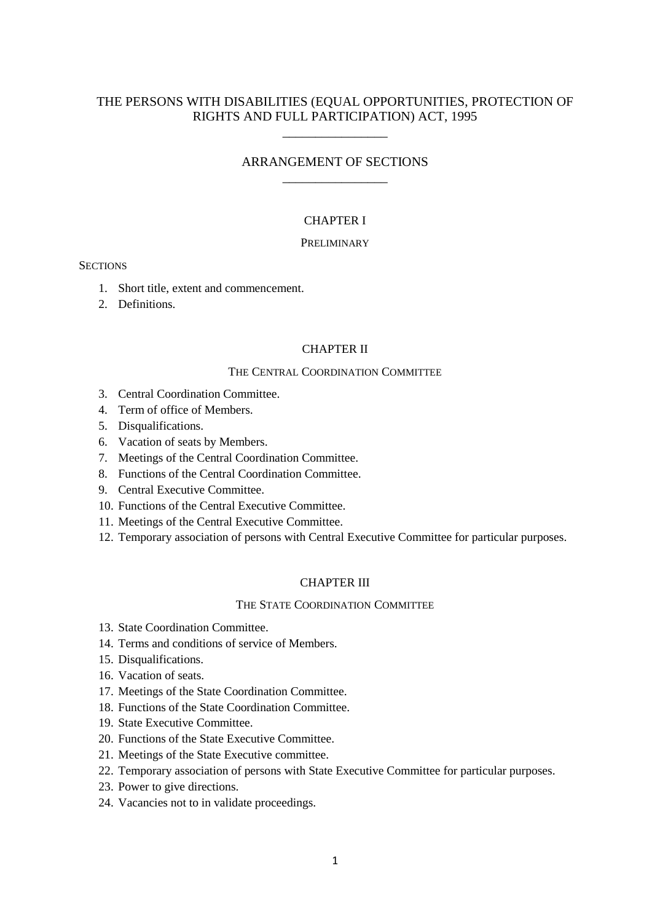## THE PERSONS WITH DISABILITIES (EQUAL OPPORTUNITIES, PROTECTION OF RIGHTS AND FULL PARTICIPATION) ACT, 1995

\_\_\_\_\_\_\_\_\_\_\_\_\_\_\_\_

## ARRANGEMENT OF SECTIONS \_\_\_\_\_\_\_\_\_\_\_\_\_\_\_\_

## CHAPTER I

#### PRELIMINARY

#### **SECTIONS**

- 1. Short title, extent and commencement.
- 2. Definitions.

#### CHAPTER II

#### THE CENTRAL COORDINATION COMMITTEE

- 3. Central Coordination Committee.
- 4. Term of office of Members.
- 5. Disqualifications.
- 6. Vacation of seats by Members.
- 7. Meetings of the Central Coordination Committee.
- 8. Functions of the Central Coordination Committee.
- 9. Central Executive Committee.
- 10. Functions of the Central Executive Committee.
- 11. Meetings of the Central Executive Committee.
- 12. Temporary association of persons with Central Executive Committee for particular purposes.

## CHAPTER III

#### THE STATE COORDINATION COMMITTEE

- 13. State Coordination Committee.
- 14. Terms and conditions of service of Members.
- 15. Disqualifications.
- 16. Vacation of seats.
- 17. Meetings of the State Coordination Committee.
- 18. Functions of the State Coordination Committee.
- 19. State Executive Committee.
- 20. Functions of the State Executive Committee.
- 21. Meetings of the State Executive committee.
- 22. Temporary association of persons with State Executive Committee for particular purposes.
- 23. Power to give directions.
- 24. Vacancies not to in validate proceedings.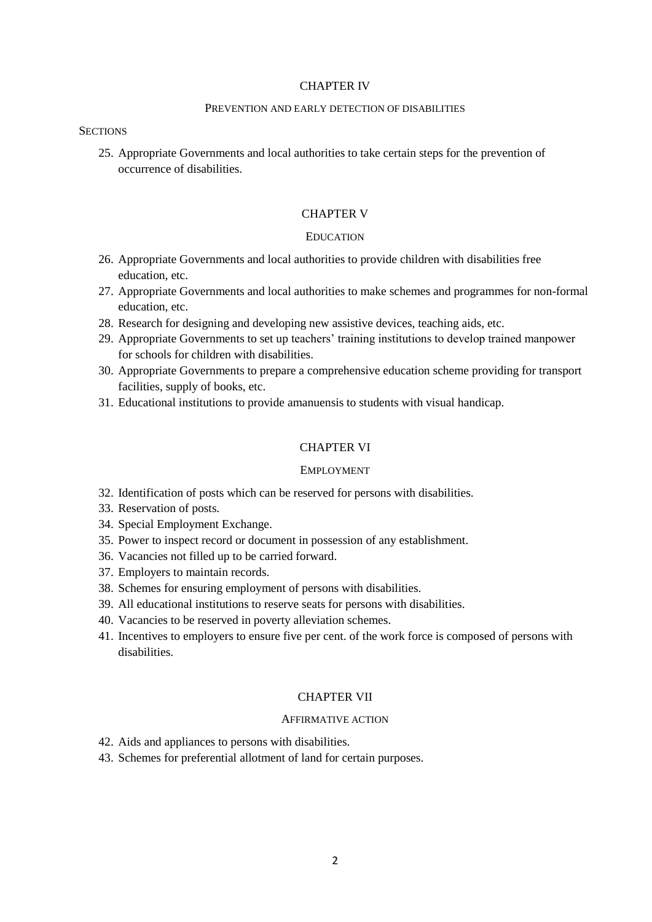#### CHAPTER IV

#### PREVENTION AND EARLY DETECTION OF DISABILITIES

#### **SECTIONS**

25. Appropriate Governments and local authorities to take certain steps for the prevention of occurrence of disabilities.

#### CHAPTER V

#### **EDUCATION**

- 26. Appropriate Governments and local authorities to provide children with disabilities free education, etc.
- 27. Appropriate Governments and local authorities to make schemes and programmes for non-formal education, etc.
- 28. Research for designing and developing new assistive devices, teaching aids, etc.
- 29. Appropriate Governments to set up teachers' training institutions to develop trained manpower for schools for children with disabilities.
- 30. Appropriate Governments to prepare a comprehensive education scheme providing for transport facilities, supply of books, etc.
- 31. Educational institutions to provide amanuensis to students with visual handicap.

#### CHAPTER VI

#### EMPLOYMENT

- 32. Identification of posts which can be reserved for persons with disabilities.
- 33. Reservation of posts.
- 34. Special Employment Exchange.
- 35. Power to inspect record or document in possession of any establishment.
- 36. Vacancies not filled up to be carried forward.
- 37. Employers to maintain records.
- 38. Schemes for ensuring employment of persons with disabilities.
- 39. All educational institutions to reserve seats for persons with disabilities.
- 40. Vacancies to be reserved in poverty alleviation schemes.
- 41. Incentives to employers to ensure five per cent. of the work force is composed of persons with disabilities.

#### CHAPTER VII

#### AFFIRMATIVE ACTION

- 42. Aids and appliances to persons with disabilities.
- 43. Schemes for preferential allotment of land for certain purposes.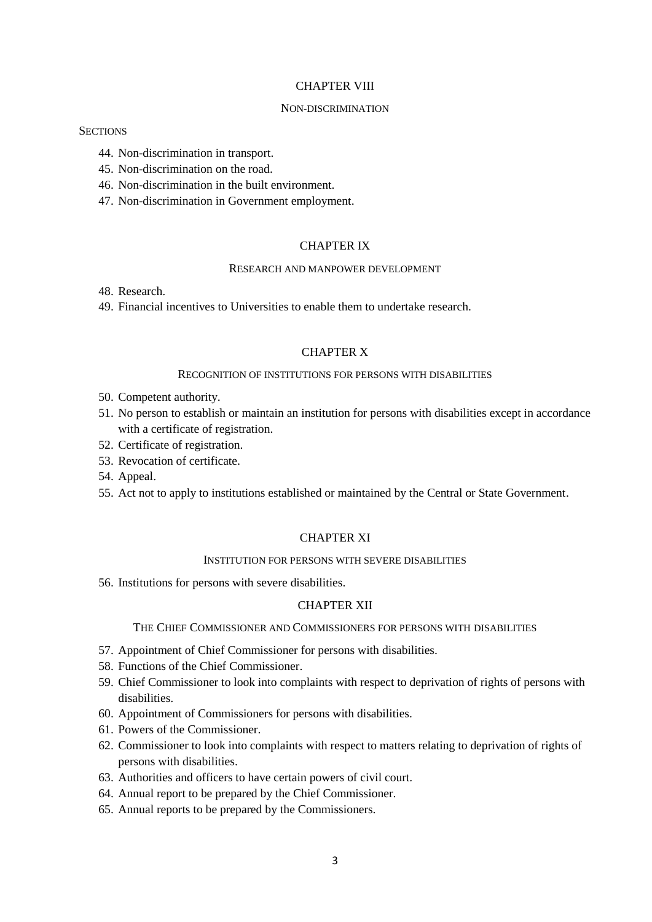#### CHAPTER VIII

#### NON-DISCRIMINATION

#### **SECTIONS**

- 44. Non-discrimination in transport.
- 45. Non-discrimination on the road.
- 46. Non-discrimination in the built environment.
- 47. Non-discrimination in Government employment.

#### CHAPTER IX

#### RESEARCH AND MANPOWER DEVELOPMENT

- 48. Research.
- 49. Financial incentives to Universities to enable them to undertake research.

#### CHAPTER X

#### RECOGNITION OF INSTITUTIONS FOR PERSONS WITH DISABILITIES

- 50. Competent authority.
- 51. No person to establish or maintain an institution for persons with disabilities except in accordance with a certificate of registration.
- 52. Certificate of registration.
- 53. Revocation of certificate.
- 54. Appeal.
- 55. Act not to apply to institutions established or maintained by the Central or State Government.

## CHAPTER XI

## INSTITUTION FOR PERSONS WITH SEVERE DISABILITIES

56. Institutions for persons with severe disabilities.

#### CHAPTER XII

#### THE CHIEF COMMISSIONER AND COMMISSIONERS FOR PERSONS WITH DISABILITIES

- 57. Appointment of Chief Commissioner for persons with disabilities.
- 58. Functions of the Chief Commissioner.
- 59. Chief Commissioner to look into complaints with respect to deprivation of rights of persons with disabilities.
- 60. Appointment of Commissioners for persons with disabilities.
- 61. Powers of the Commissioner.
- 62. Commissioner to look into complaints with respect to matters relating to deprivation of rights of persons with disabilities.
- 63. Authorities and officers to have certain powers of civil court.
- 64. Annual report to be prepared by the Chief Commissioner.
- 65. Annual reports to be prepared by the Commissioners.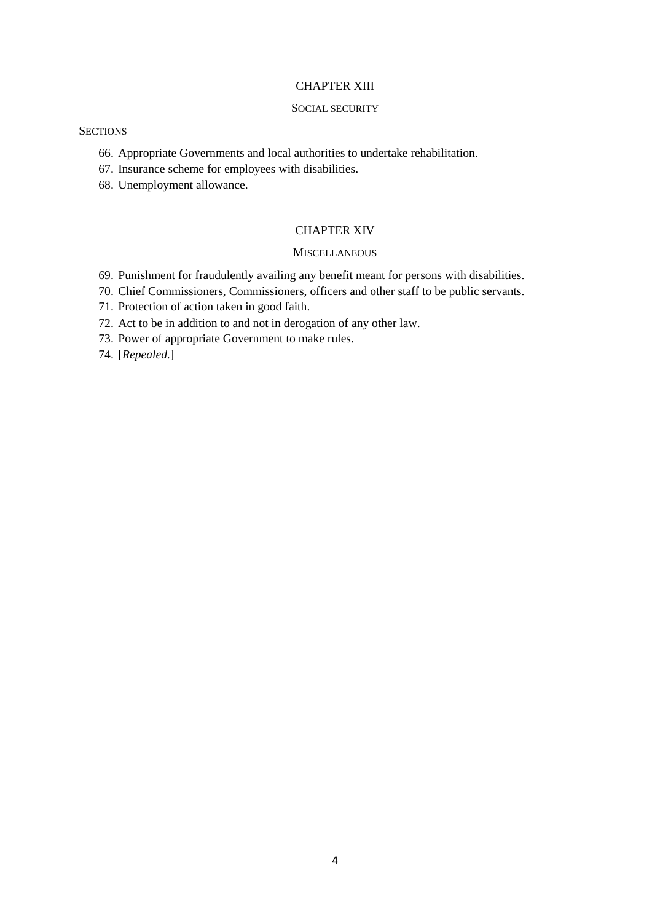#### CHAPTER XIII

#### SOCIAL SECURITY

#### **SECTIONS**

- 66. Appropriate Governments and local authorities to undertake rehabilitation.
- 67. Insurance scheme for employees with disabilities.
- 68. Unemployment allowance.

#### CHAPTER XIV

#### **MISCELLANEOUS**

- 69. Punishment for fraudulently availing any benefit meant for persons with disabilities.
- 70. Chief Commissioners, Commissioners, officers and other staff to be public servants.
- 71. Protection of action taken in good faith.
- 72. Act to be in addition to and not in derogation of any other law.
- 73. Power of appropriate Government to make rules.
- 74. [*Repealed*.]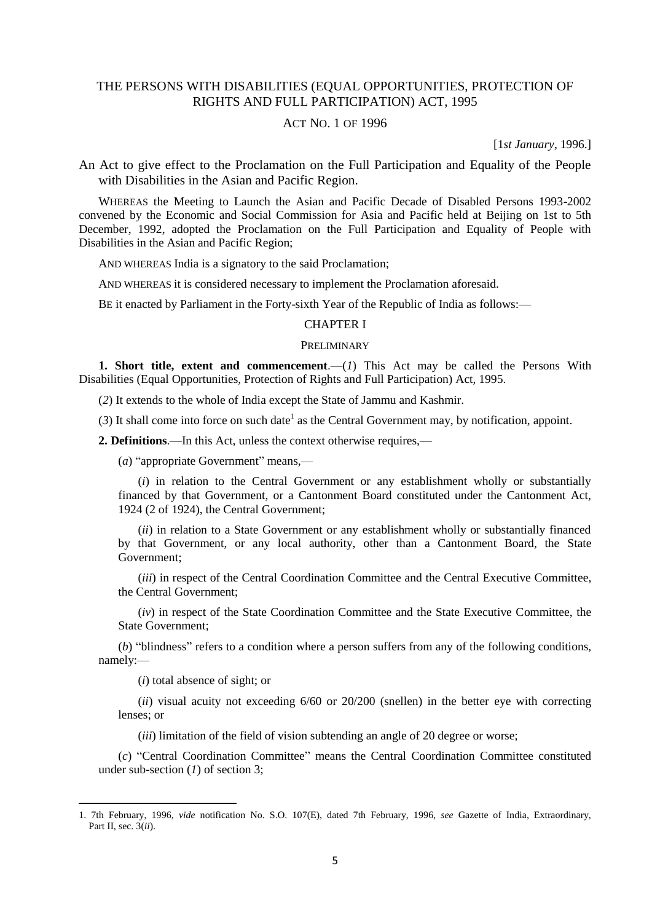## THE PERSONS WITH DISABILITIES (EQUAL OPPORTUNITIES, PROTECTION OF RIGHTS AND FULL PARTICIPATION) ACT, 1995

#### ACT NO. 1 OF 1996

[1*st January*, 1996.]

An Act to give effect to the Proclamation on the Full Participation and Equality of the People with Disabilities in the Asian and Pacific Region.

WHEREAS the Meeting to Launch the Asian and Pacific Decade of Disabled Persons 1993-2002 convened by the Economic and Social Commission for Asia and Pacific held at Beijing on 1st to 5th December, 1992, adopted the Proclamation on the Full Participation and Equality of People with Disabilities in the Asian and Pacific Region;

AND WHEREAS India is a signatory to the said Proclamation;

AND WHEREAS it is considered necessary to implement the Proclamation aforesaid.

BE it enacted by Parliament in the Forty-sixth Year of the Republic of India as follows:—

## CHAPTER I

### PRELIMINARY

**1. Short title, extent and commencement**.—(*1*) This Act may be called the Persons With Disabilities (Equal Opportunities, Protection of Rights and Full Participation) Act, 1995.

(*2*) It extends to the whole of India except the State of Jammu and Kashmir.

 $(3)$  It shall come into force on such date<sup>1</sup> as the Central Government may, by notification, appoint.

**2. Definitions**.—In this Act, unless the context otherwise requires,—

(*a*) "appropriate Government" means,—

(*i*) in relation to the Central Government or any establishment wholly or substantially financed by that Government, or a Cantonment Board constituted under the Cantonment Act, 1924 (2 of 1924), the Central Government;

(*ii*) in relation to a State Government or any establishment wholly or substantially financed by that Government, or any local authority, other than a Cantonment Board, the State Government;

(*iii*) in respect of the Central Coordination Committee and the Central Executive Committee, the Central Government;

(*iv*) in respect of the State Coordination Committee and the State Executive Committee, the State Government;

(*b*) "blindness" refers to a condition where a person suffers from any of the following conditions, namely:—

(*i*) total absence of sight; or

**.** 

(*ii*) visual acuity not exceeding 6/60 or 20/200 (snellen) in the better eye with correcting lenses; or

(*iii*) limitation of the field of vision subtending an angle of 20 degree or worse;

(*c*) "Central Coordination Committee" means the Central Coordination Committee constituted under sub-section (*1*) of section 3;

<sup>1. 7</sup>th February, 1996, *vide* notification No. S.O. 107(E), dated 7th February, 1996, *see* Gazette of India, Extraordinary, Part II, sec. 3(*ii*).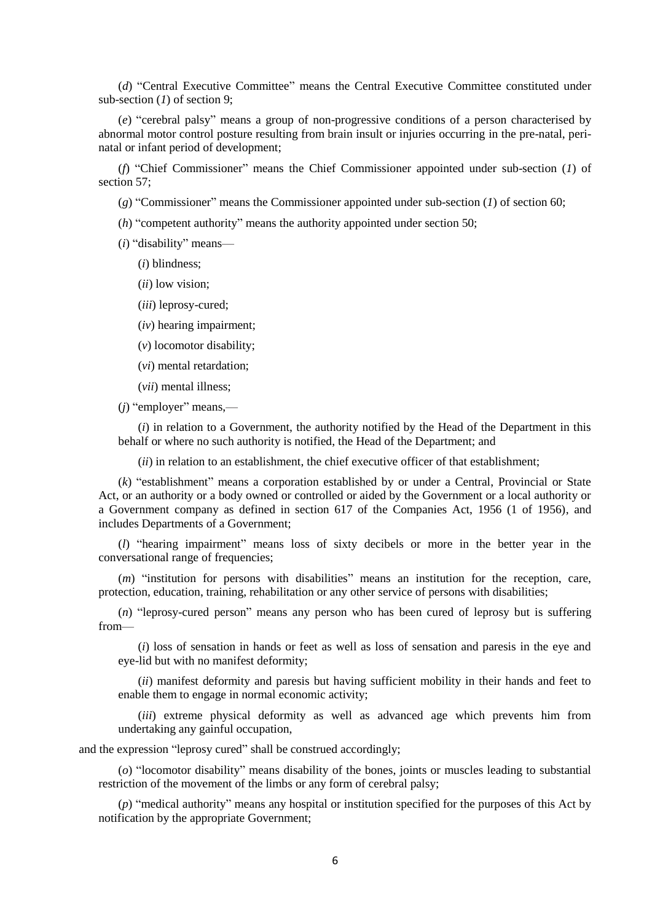(*d*) "Central Executive Committee" means the Central Executive Committee constituted under sub-section (*1*) of section 9;

(*e*) "cerebral palsy" means a group of non-progressive conditions of a person characterised by abnormal motor control posture resulting from brain insult or injuries occurring in the pre-natal, perinatal or infant period of development;

(*f*) "Chief Commissioner" means the Chief Commissioner appointed under sub-section (*1*) of section 57;

(*g*) "Commissioner" means the Commissioner appointed under sub-section (*1*) of section 60;

(*h*) "competent authority" means the authority appointed under section 50;

(*i*) "disability" means—

(*i*) blindness;

- (*ii*) low vision;
- (*iii*) leprosy-cured;
- (*iv*) hearing impairment;
- (*v*) locomotor disability;
- (*vi*) mental retardation;
- (*vii*) mental illness;

(*j*) "employer" means,—

(*i*) in relation to a Government, the authority notified by the Head of the Department in this behalf or where no such authority is notified, the Head of the Department; and

(*ii*) in relation to an establishment, the chief executive officer of that establishment;

(*k*) "establishment" means a corporation established by or under a Central, Provincial or State Act, or an authority or a body owned or controlled or aided by the Government or a local authority or a Government company as defined in section 617 of the Companies Act, 1956 (1 of 1956), and includes Departments of a Government;

(*l*) "hearing impairment" means loss of sixty decibels or more in the better year in the conversational range of frequencies;

(*m*) "institution for persons with disabilities" means an institution for the reception, care, protection, education, training, rehabilitation or any other service of persons with disabilities;

(*n*) "leprosy-cured person" means any person who has been cured of leprosy but is suffering from—

(*i*) loss of sensation in hands or feet as well as loss of sensation and paresis in the eye and eye-lid but with no manifest deformity;

(*ii*) manifest deformity and paresis but having sufficient mobility in their hands and feet to enable them to engage in normal economic activity;

(*iii*) extreme physical deformity as well as advanced age which prevents him from undertaking any gainful occupation,

and the expression "leprosy cured" shall be construed accordingly;

(*o*) "locomotor disability" means disability of the bones, joints or muscles leading to substantial restriction of the movement of the limbs or any form of cerebral palsy;

(*p*) "medical authority" means any hospital or institution specified for the purposes of this Act by notification by the appropriate Government;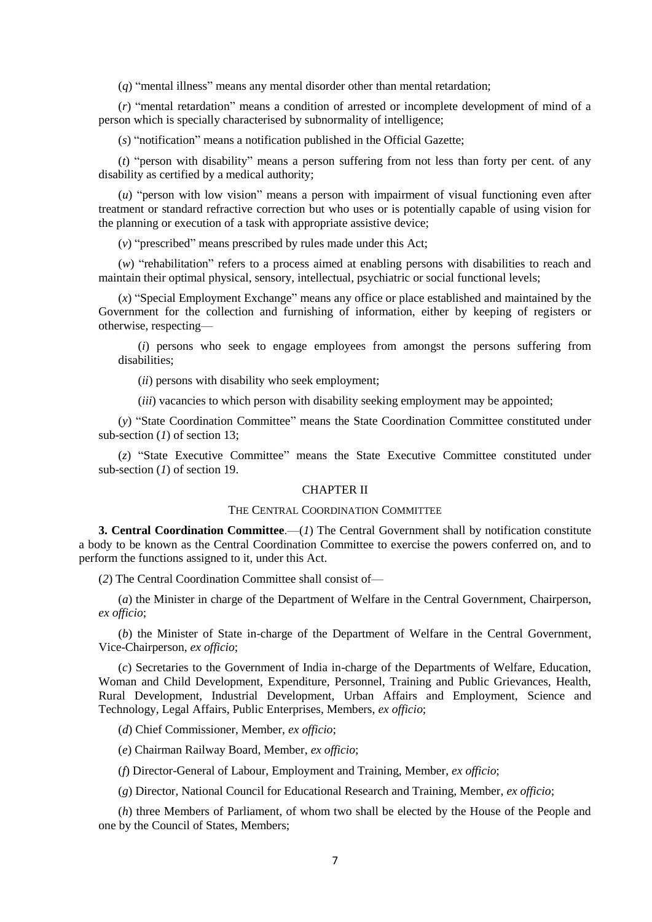(*q*) "mental illness" means any mental disorder other than mental retardation;

(*r*) "mental retardation" means a condition of arrested or incomplete development of mind of a person which is specially characterised by subnormality of intelligence;

(*s*) "notification" means a notification published in the Official Gazette;

(*t*) "person with disability" means a person suffering from not less than forty per cent. of any disability as certified by a medical authority;

(*u*) "person with low vision" means a person with impairment of visual functioning even after treatment or standard refractive correction but who uses or is potentially capable of using vision for the planning or execution of a task with appropriate assistive device;

(*v*) "prescribed" means prescribed by rules made under this Act;

(*w*) "rehabilitation" refers to a process aimed at enabling persons with disabilities to reach and maintain their optimal physical, sensory, intellectual, psychiatric or social functional levels;

(*x*) "Special Employment Exchange" means any office or place established and maintained by the Government for the collection and furnishing of information, either by keeping of registers or otherwise, respecting—

(*i*) persons who seek to engage employees from amongst the persons suffering from disabilities;

(*ii*) persons with disability who seek employment;

(*iii*) vacancies to which person with disability seeking employment may be appointed;

(*y*) "State Coordination Committee" means the State Coordination Committee constituted under sub-section (*1*) of section 13;

(*z*) "State Executive Committee" means the State Executive Committee constituted under sub-section (*1*) of section 19.

#### CHAPTER II

#### THE CENTRAL COORDINATION COMMITTEE

**3. Central Coordination Committee.**—(*1*) The Central Government shall by notification constitute a body to be known as the Central Coordination Committee to exercise the powers conferred on, and to perform the functions assigned to it, under this Act.

(*2*) The Central Coordination Committee shall consist of—

(*a*) the Minister in charge of the Department of Welfare in the Central Government, Chairperson, *ex officio*;

(*b*) the Minister of State in-charge of the Department of Welfare in the Central Government, Vice-Chairperson, *ex officio*;

(*c*) Secretaries to the Government of India in-charge of the Departments of Welfare, Education, Woman and Child Development, Expenditure, Personnel, Training and Public Grievances, Health, Rural Development, Industrial Development, Urban Affairs and Employment, Science and Technology, Legal Affairs, Public Enterprises, Members, *ex officio*;

(*d*) Chief Commissioner, Member, *ex officio*;

(*e*) Chairman Railway Board, Member, *ex officio*;

(*f*) Director-General of Labour, Employment and Training, Member, *ex officio*;

(*g*) Director, National Council for Educational Research and Training, Member, *ex officio*;

(*h*) three Members of Parliament, of whom two shall be elected by the House of the People and one by the Council of States, Members;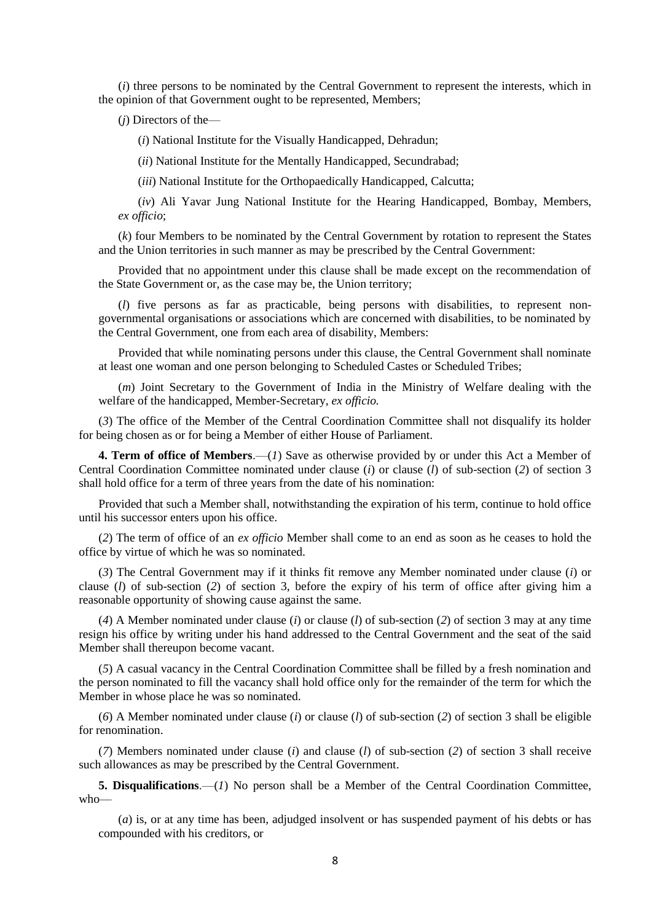(*i*) three persons to be nominated by the Central Government to represent the interests, which in the opinion of that Government ought to be represented, Members;

(*j*) Directors of the—

(*i*) National Institute for the Visually Handicapped, Dehradun;

(*ii*) National Institute for the Mentally Handicapped, Secundrabad;

(*iii*) National Institute for the Orthopaedically Handicapped, Calcutta;

(*iv*) Ali Yavar Jung National Institute for the Hearing Handicapped, Bombay, Members, *ex officio*;

(*k*) four Members to be nominated by the Central Government by rotation to represent the States and the Union territories in such manner as may be prescribed by the Central Government:

Provided that no appointment under this clause shall be made except on the recommendation of the State Government or, as the case may be, the Union territory;

(*l*) five persons as far as practicable, being persons with disabilities, to represent nongovernmental organisations or associations which are concerned with disabilities, to be nominated by the Central Government, one from each area of disability, Members:

Provided that while nominating persons under this clause, the Central Government shall nominate at least one woman and one person belonging to Scheduled Castes or Scheduled Tribes;

(*m*) Joint Secretary to the Government of India in the Ministry of Welfare dealing with the welfare of the handicapped, Member-Secretary, *ex officio.*

(*3*) The office of the Member of the Central Coordination Committee shall not disqualify its holder for being chosen as or for being a Member of either House of Parliament.

**4. Term of office of Members**.—(*1*) Save as otherwise provided by or under this Act a Member of Central Coordination Committee nominated under clause (*i*) or clause (*l*) of sub-section (*2*) of section 3 shall hold office for a term of three years from the date of his nomination:

Provided that such a Member shall, notwithstanding the expiration of his term, continue to hold office until his successor enters upon his office.

(*2*) The term of office of an *ex officio* Member shall come to an end as soon as he ceases to hold the office by virtue of which he was so nominated.

(*3*) The Central Government may if it thinks fit remove any Member nominated under clause (*i*) or clause (*l*) of sub-section (*2*) of section 3, before the expiry of his term of office after giving him a reasonable opportunity of showing cause against the same.

(*4*) A Member nominated under clause (*i*) or clause (*l*) of sub-section (*2*) of section 3 may at any time resign his office by writing under his hand addressed to the Central Government and the seat of the said Member shall thereupon become vacant.

(*5*) A casual vacancy in the Central Coordination Committee shall be filled by a fresh nomination and the person nominated to fill the vacancy shall hold office only for the remainder of the term for which the Member in whose place he was so nominated.

(*6*) A Member nominated under clause (*i*) or clause (*l*) of sub-section (*2*) of section 3 shall be eligible for renomination.

(*7*) Members nominated under clause (*i*) and clause (*l*) of sub-section (*2*) of section 3 shall receive such allowances as may be prescribed by the Central Government.

**5. Disqualifications**.—(*1*) No person shall be a Member of the Central Coordination Committee, who—

(*a*) is, or at any time has been, adjudged insolvent or has suspended payment of his debts or has compounded with his creditors, or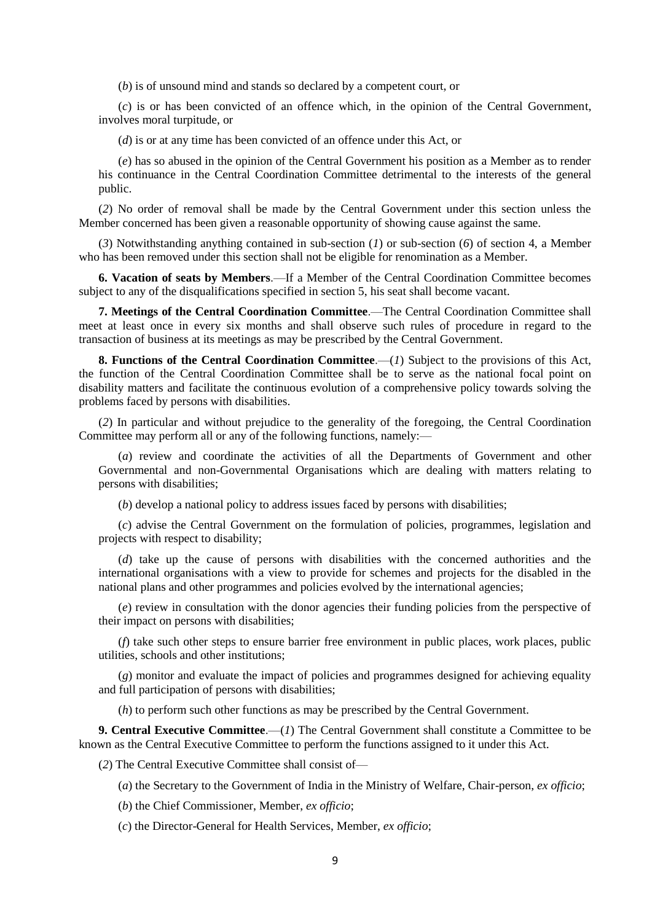(*b*) is of unsound mind and stands so declared by a competent court, or

(*c*) is or has been convicted of an offence which, in the opinion of the Central Government, involves moral turpitude, or

(*d*) is or at any time has been convicted of an offence under this Act, or

(*e*) has so abused in the opinion of the Central Government his position as a Member as to render his continuance in the Central Coordination Committee detrimental to the interests of the general public.

(*2*) No order of removal shall be made by the Central Government under this section unless the Member concerned has been given a reasonable opportunity of showing cause against the same.

(*3*) Notwithstanding anything contained in sub-section (*1*) or sub-section (*6*) of section 4, a Member who has been removed under this section shall not be eligible for renomination as a Member.

**6. Vacation of seats by Members**.—If a Member of the Central Coordination Committee becomes subject to any of the disqualifications specified in section 5, his seat shall become vacant.

**7. Meetings of the Central Coordination Committee**.—The Central Coordination Committee shall meet at least once in every six months and shall observe such rules of procedure in regard to the transaction of business at its meetings as may be prescribed by the Central Government.

**8. Functions of the Central Coordination Committee**.—(*1*) Subject to the provisions of this Act, the function of the Central Coordination Committee shall be to serve as the national focal point on disability matters and facilitate the continuous evolution of a comprehensive policy towards solving the problems faced by persons with disabilities.

(*2*) In particular and without prejudice to the generality of the foregoing, the Central Coordination Committee may perform all or any of the following functions, namely:—

(*a*) review and coordinate the activities of all the Departments of Government and other Governmental and non-Governmental Organisations which are dealing with matters relating to persons with disabilities;

(*b*) develop a national policy to address issues faced by persons with disabilities;

(*c*) advise the Central Government on the formulation of policies, programmes, legislation and projects with respect to disability;

(*d*) take up the cause of persons with disabilities with the concerned authorities and the international organisations with a view to provide for schemes and projects for the disabled in the national plans and other programmes and policies evolved by the international agencies;

(*e*) review in consultation with the donor agencies their funding policies from the perspective of their impact on persons with disabilities;

(*f*) take such other steps to ensure barrier free environment in public places, work places, public utilities, schools and other institutions;

(*g*) monitor and evaluate the impact of policies and programmes designed for achieving equality and full participation of persons with disabilities;

(*h*) to perform such other functions as may be prescribed by the Central Government.

**9. Central Executive Committee**.—(*1*) The Central Government shall constitute a Committee to be known as the Central Executive Committee to perform the functions assigned to it under this Act.

(*2*) The Central Executive Committee shall consist of—

(*a*) the Secretary to the Government of India in the Ministry of Welfare, Chair-person, *ex officio*;

(*b*) the Chief Commissioner, Member, *ex officio*;

(*c*) the Director-General for Health Services, Member, *ex officio*;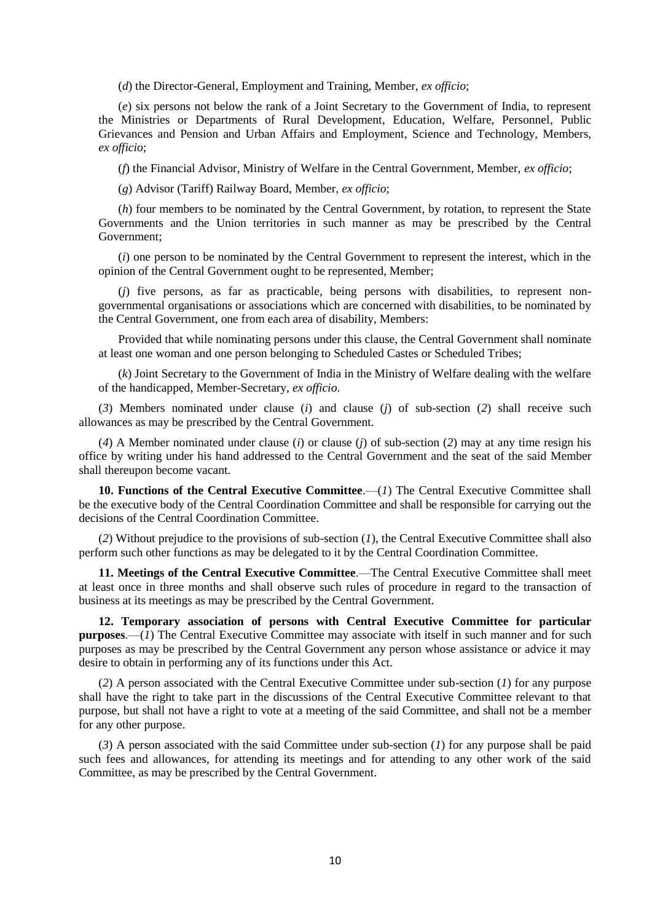(*d*) the Director-General, Employment and Training, Member, *ex officio*;

(*e*) six persons not below the rank of a Joint Secretary to the Government of India, to represent the Ministries or Departments of Rural Development, Education, Welfare, Personnel, Public Grievances and Pension and Urban Affairs and Employment, Science and Technology, Members, *ex officio*;

(*f*) the Financial Advisor, Ministry of Welfare in the Central Government, Member, *ex officio*;

(*g*) Advisor (Tariff) Railway Board, Member, *ex officio*;

(*h*) four members to be nominated by the Central Government, by rotation, to represent the State Governments and the Union territories in such manner as may be prescribed by the Central Government;

(*i*) one person to be nominated by the Central Government to represent the interest, which in the opinion of the Central Government ought to be represented, Member;

(*j*) five persons, as far as practicable, being persons with disabilities, to represent nongovernmental organisations or associations which are concerned with disabilities, to be nominated by the Central Government, one from each area of disability, Members:

Provided that while nominating persons under this clause, the Central Government shall nominate at least one woman and one person belonging to Scheduled Castes or Scheduled Tribes;

(*k*) Joint Secretary to the Government of India in the Ministry of Welfare dealing with the welfare of the handicapped, Member-Secretary, *ex officio*.

(*3*) Members nominated under clause (*i*) and clause (*j*) of sub-section (*2*) shall receive such allowances as may be prescribed by the Central Government.

(*4*) A Member nominated under clause (*i*) or clause (*j*) of sub-section (*2*) may at any time resign his office by writing under his hand addressed to the Central Government and the seat of the said Member shall thereupon become vacant.

**10. Functions of the Central Executive Committee**.—(*1*) The Central Executive Committee shall be the executive body of the Central Coordination Committee and shall be responsible for carrying out the decisions of the Central Coordination Committee.

(*2*) Without prejudice to the provisions of sub-section (*1*), the Central Executive Committee shall also perform such other functions as may be delegated to it by the Central Coordination Committee.

**11. Meetings of the Central Executive Committee**.—The Central Executive Committee shall meet at least once in three months and shall observe such rules of procedure in regard to the transaction of business at its meetings as may be prescribed by the Central Government.

**12. Temporary association of persons with Central Executive Committee for particular purposes.**—(*1*) The Central Executive Committee may associate with itself in such manner and for such purposes as may be prescribed by the Central Government any person whose assistance or advice it may desire to obtain in performing any of its functions under this Act.

(*2*) A person associated with the Central Executive Committee under sub-section (*1*) for any purpose shall have the right to take part in the discussions of the Central Executive Committee relevant to that purpose, but shall not have a right to vote at a meeting of the said Committee, and shall not be a member for any other purpose.

(*3*) A person associated with the said Committee under sub-section (*1*) for any purpose shall be paid such fees and allowances, for attending its meetings and for attending to any other work of the said Committee, as may be prescribed by the Central Government.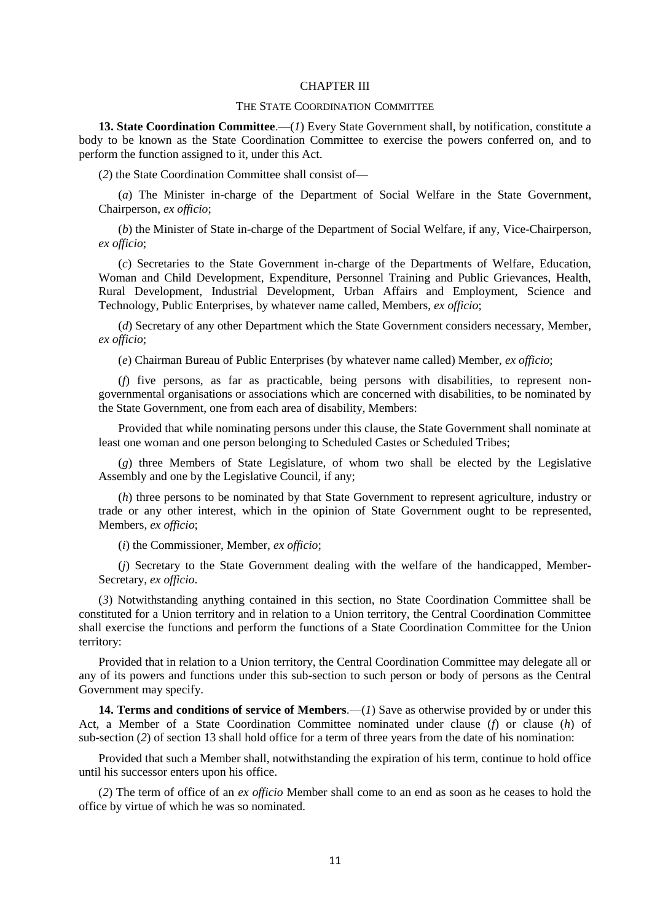#### CHAPTER III

#### THE STATE COORDINATION COMMITTEE

13. State Coordination Committee.—(1) Every State Government shall, by notification, constitute a body to be known as the State Coordination Committee to exercise the powers conferred on, and to perform the function assigned to it, under this Act.

(*2*) the State Coordination Committee shall consist of—

(*a*) The Minister in-charge of the Department of Social Welfare in the State Government, Chairperson, *ex officio*;

(*b*) the Minister of State in-charge of the Department of Social Welfare, if any, Vice-Chairperson, *ex officio*;

(*c*) Secretaries to the State Government in-charge of the Departments of Welfare, Education, Woman and Child Development, Expenditure, Personnel Training and Public Grievances, Health, Rural Development, Industrial Development, Urban Affairs and Employment, Science and Technology, Public Enterprises, by whatever name called, Members, *ex officio*;

(*d*) Secretary of any other Department which the State Government considers necessary, Member, *ex officio*;

(*e*) Chairman Bureau of Public Enterprises (by whatever name called) Member, *ex officio*;

(*f*) five persons, as far as practicable, being persons with disabilities, to represent nongovernmental organisations or associations which are concerned with disabilities, to be nominated by the State Government, one from each area of disability, Members:

Provided that while nominating persons under this clause, the State Government shall nominate at least one woman and one person belonging to Scheduled Castes or Scheduled Tribes;

(*g*) three Members of State Legislature, of whom two shall be elected by the Legislative Assembly and one by the Legislative Council, if any;

(*h*) three persons to be nominated by that State Government to represent agriculture, industry or trade or any other interest, which in the opinion of State Government ought to be represented, Members, *ex officio*;

(*i*) the Commissioner, Member, *ex officio*;

(*j*) Secretary to the State Government dealing with the welfare of the handicapped, Member-Secretary, *ex officio*.

(*3*) Notwithstanding anything contained in this section, no State Coordination Committee shall be constituted for a Union territory and in relation to a Union territory, the Central Coordination Committee shall exercise the functions and perform the functions of a State Coordination Committee for the Union territory:

Provided that in relation to a Union territory, the Central Coordination Committee may delegate all or any of its powers and functions under this sub-section to such person or body of persons as the Central Government may specify.

**14. Terms and conditions of service of Members**.—(*1*) Save as otherwise provided by or under this Act, a Member of a State Coordination Committee nominated under clause (*f*) or clause (*h*) of sub-section (*2*) of section 13 shall hold office for a term of three years from the date of his nomination:

Provided that such a Member shall, notwithstanding the expiration of his term, continue to hold office until his successor enters upon his office.

(*2*) The term of office of an *ex officio* Member shall come to an end as soon as he ceases to hold the office by virtue of which he was so nominated.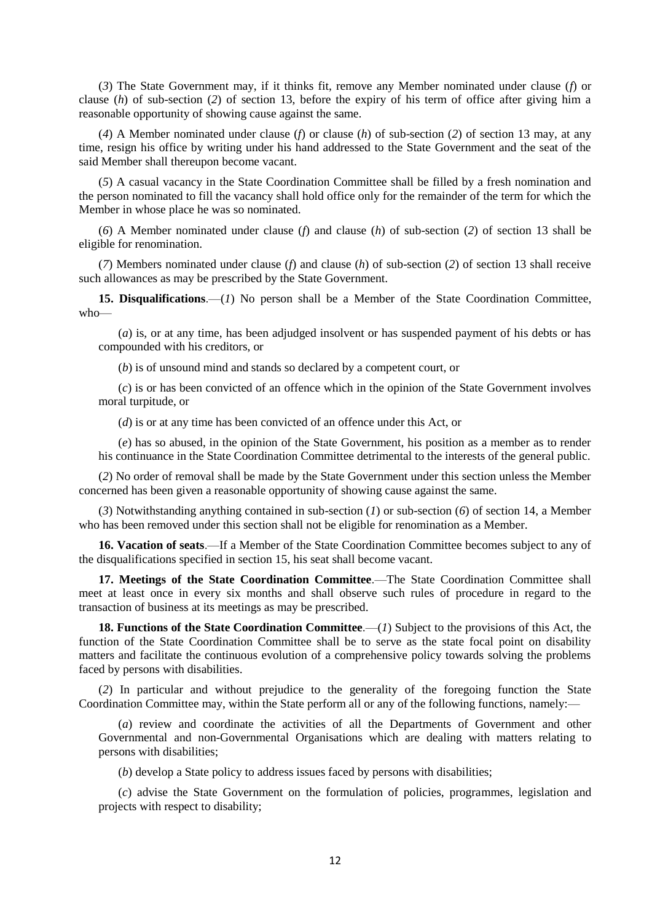(*3*) The State Government may, if it thinks fit, remove any Member nominated under clause (*f*) or clause (*h*) of sub-section (*2*) of section 13, before the expiry of his term of office after giving him a reasonable opportunity of showing cause against the same.

(*4*) A Member nominated under clause (*f*) or clause (*h*) of sub-section (*2*) of section 13 may, at any time, resign his office by writing under his hand addressed to the State Government and the seat of the said Member shall thereupon become vacant.

(*5*) A casual vacancy in the State Coordination Committee shall be filled by a fresh nomination and the person nominated to fill the vacancy shall hold office only for the remainder of the term for which the Member in whose place he was so nominated.

(*6*) A Member nominated under clause (*f*) and clause (*h*) of sub-section (*2*) of section 13 shall be eligible for renomination.

(*7*) Members nominated under clause (*f*) and clause (*h*) of sub-section (*2*) of section 13 shall receive such allowances as may be prescribed by the State Government.

**15. Disqualifications**.—(*1*) No person shall be a Member of the State Coordination Committee, who—

(*a*) is, or at any time, has been adjudged insolvent or has suspended payment of his debts or has compounded with his creditors, or

(*b*) is of unsound mind and stands so declared by a competent court, or

(*c*) is or has been convicted of an offence which in the opinion of the State Government involves moral turpitude, or

(*d*) is or at any time has been convicted of an offence under this Act, or

(*e*) has so abused, in the opinion of the State Government, his position as a member as to render his continuance in the State Coordination Committee detrimental to the interests of the general public.

(*2*) No order of removal shall be made by the State Government under this section unless the Member concerned has been given a reasonable opportunity of showing cause against the same.

(*3*) Notwithstanding anything contained in sub-section (*1*) or sub-section (*6*) of section 14, a Member who has been removed under this section shall not be eligible for renomination as a Member.

**16. Vacation of seats**.—If a Member of the State Coordination Committee becomes subject to any of the disqualifications specified in section 15, his seat shall become vacant.

**17. Meetings of the State Coordination Committee**.—The State Coordination Committee shall meet at least once in every six months and shall observe such rules of procedure in regard to the transaction of business at its meetings as may be prescribed.

**18. Functions of the State Coordination Committee**.—(*1*) Subject to the provisions of this Act, the function of the State Coordination Committee shall be to serve as the state focal point on disability matters and facilitate the continuous evolution of a comprehensive policy towards solving the problems faced by persons with disabilities.

(*2*) In particular and without prejudice to the generality of the foregoing function the State Coordination Committee may, within the State perform all or any of the following functions, namely:—

(*a*) review and coordinate the activities of all the Departments of Government and other Governmental and non-Governmental Organisations which are dealing with matters relating to persons with disabilities;

(*b*) develop a State policy to address issues faced by persons with disabilities;

(*c*) advise the State Government on the formulation of policies, programmes, legislation and projects with respect to disability;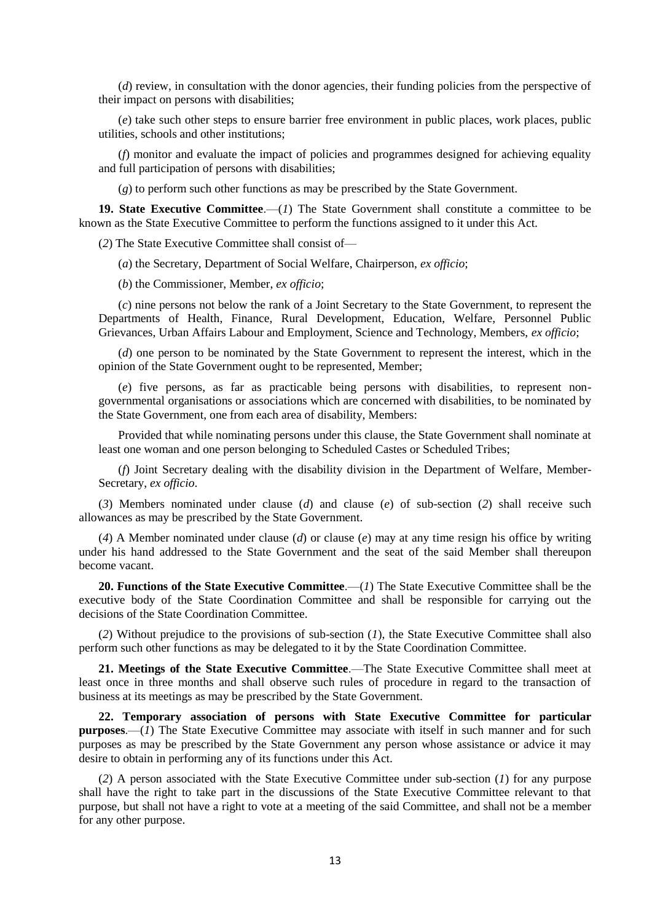(*d*) review, in consultation with the donor agencies, their funding policies from the perspective of their impact on persons with disabilities;

(*e*) take such other steps to ensure barrier free environment in public places, work places, public utilities, schools and other institutions;

(*f*) monitor and evaluate the impact of policies and programmes designed for achieving equality and full participation of persons with disabilities;

(*g*) to perform such other functions as may be prescribed by the State Government.

19. State Executive Committee.—(*1*) The State Government shall constitute a committee to be known as the State Executive Committee to perform the functions assigned to it under this Act.

(*2*) The State Executive Committee shall consist of—

(*a*) the Secretary, Department of Social Welfare, Chairperson, *ex officio*;

(*b*) the Commissioner, Member, *ex officio*;

(*c*) nine persons not below the rank of a Joint Secretary to the State Government, to represent the Departments of Health, Finance, Rural Development, Education, Welfare, Personnel Public Grievances, Urban Affairs Labour and Employment, Science and Technology, Members, *ex officio*;

(*d*) one person to be nominated by the State Government to represent the interest, which in the opinion of the State Government ought to be represented, Member;

(*e*) five persons, as far as practicable being persons with disabilities, to represent nongovernmental organisations or associations which are concerned with disabilities, to be nominated by the State Government, one from each area of disability, Members:

Provided that while nominating persons under this clause, the State Government shall nominate at least one woman and one person belonging to Scheduled Castes or Scheduled Tribes;

(*f*) Joint Secretary dealing with the disability division in the Department of Welfare, Member-Secretary, *ex officio*.

(*3*) Members nominated under clause (*d*) and clause (*e*) of sub-section (*2*) shall receive such allowances as may be prescribed by the State Government.

(*4*) A Member nominated under clause (*d*) or clause (*e*) may at any time resign his office by writing under his hand addressed to the State Government and the seat of the said Member shall thereupon become vacant.

**20. Functions of the State Executive Committee**.—(*1*) The State Executive Committee shall be the executive body of the State Coordination Committee and shall be responsible for carrying out the decisions of the State Coordination Committee.

(*2*) Without prejudice to the provisions of sub-section (*1*), the State Executive Committee shall also perform such other functions as may be delegated to it by the State Coordination Committee.

**21. Meetings of the State Executive Committee**.—The State Executive Committee shall meet at least once in three months and shall observe such rules of procedure in regard to the transaction of business at its meetings as may be prescribed by the State Government.

**22. Temporary association of persons with State Executive Committee for particular purposes.—(***1***)** The State Executive Committee may associate with itself in such manner and for such purposes as may be prescribed by the State Government any person whose assistance or advice it may desire to obtain in performing any of its functions under this Act.

(*2*) A person associated with the State Executive Committee under sub-section (*1*) for any purpose shall have the right to take part in the discussions of the State Executive Committee relevant to that purpose, but shall not have a right to vote at a meeting of the said Committee, and shall not be a member for any other purpose.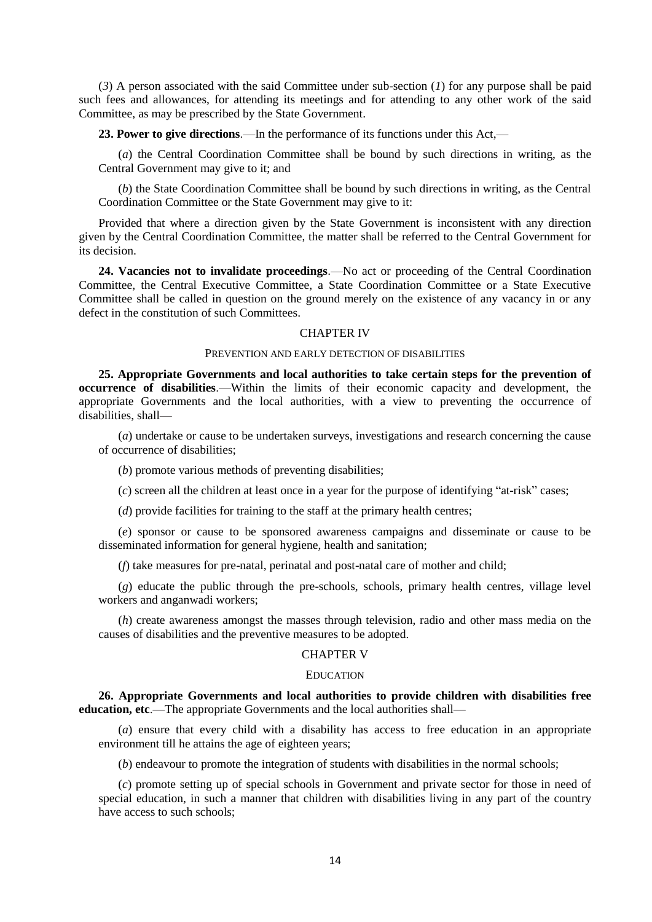(*3*) A person associated with the said Committee under sub-section (*1*) for any purpose shall be paid such fees and allowances, for attending its meetings and for attending to any other work of the said Committee, as may be prescribed by the State Government.

**23. Power to give directions**.—In the performance of its functions under this Act,—

(*a*) the Central Coordination Committee shall be bound by such directions in writing, as the Central Government may give to it; and

(*b*) the State Coordination Committee shall be bound by such directions in writing, as the Central Coordination Committee or the State Government may give to it:

Provided that where a direction given by the State Government is inconsistent with any direction given by the Central Coordination Committee, the matter shall be referred to the Central Government for its decision.

**24. Vacancies not to invalidate proceedings**.—No act or proceeding of the Central Coordination Committee, the Central Executive Committee, a State Coordination Committee or a State Executive Committee shall be called in question on the ground merely on the existence of any vacancy in or any defect in the constitution of such Committees.

#### CHAPTER IV

#### PREVENTION AND EARLY DETECTION OF DISABILITIES

**25. Appropriate Governments and local authorities to take certain steps for the prevention of occurrence of disabilities**.—Within the limits of their economic capacity and development, the appropriate Governments and the local authorities, with a view to preventing the occurrence of disabilities, shall—

(*a*) undertake or cause to be undertaken surveys, investigations and research concerning the cause of occurrence of disabilities;

(*b*) promote various methods of preventing disabilities;

(*c*) screen all the children at least once in a year for the purpose of identifying "at-risk" cases;

(*d*) provide facilities for training to the staff at the primary health centres;

(*e*) sponsor or cause to be sponsored awareness campaigns and disseminate or cause to be disseminated information for general hygiene, health and sanitation;

(*f*) take measures for pre-natal, perinatal and post-natal care of mother and child;

(*g*) educate the public through the pre-schools, schools, primary health centres, village level workers and anganwadi workers;

(*h*) create awareness amongst the masses through television, radio and other mass media on the causes of disabilities and the preventive measures to be adopted.

#### CHAPTER V

#### **EDUCATION**

**26. Appropriate Governments and local authorities to provide children with disabilities free education, etc**.—The appropriate Governments and the local authorities shall—

(*a*) ensure that every child with a disability has access to free education in an appropriate environment till he attains the age of eighteen years;

(*b*) endeavour to promote the integration of students with disabilities in the normal schools;

(*c*) promote setting up of special schools in Government and private sector for those in need of special education, in such a manner that children with disabilities living in any part of the country have access to such schools: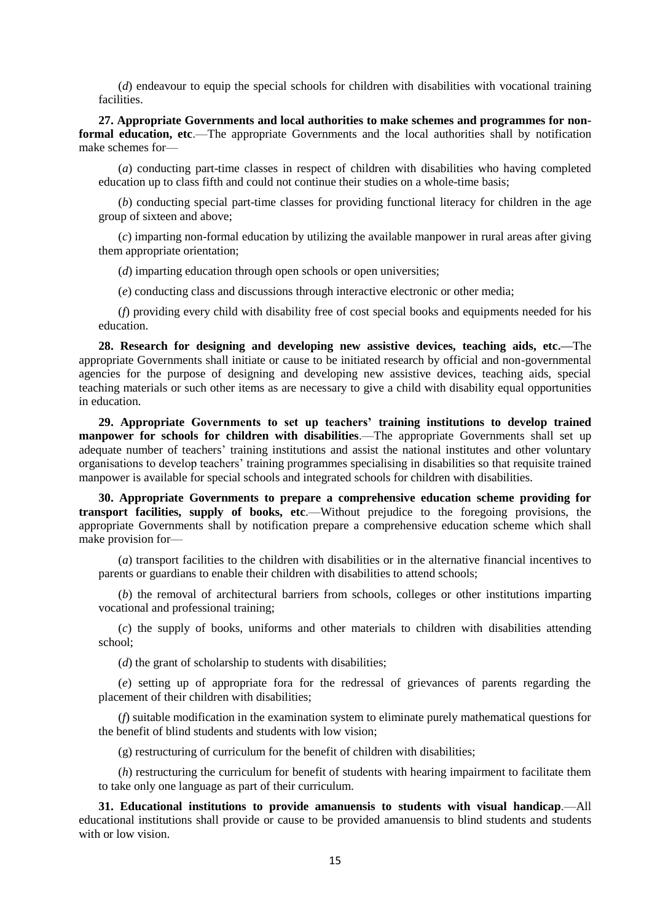(*d*) endeavour to equip the special schools for children with disabilities with vocational training facilities.

**27. Appropriate Governments and local authorities to make schemes and programmes for nonformal education, etc.—The appropriate Governments and the local authorities shall by notification** make schemes for—

(*a*) conducting part-time classes in respect of children with disabilities who having completed education up to class fifth and could not continue their studies on a whole-time basis;

(*b*) conducting special part-time classes for providing functional literacy for children in the age group of sixteen and above;

(*c*) imparting non-formal education by utilizing the available manpower in rural areas after giving them appropriate orientation;

(*d*) imparting education through open schools or open universities;

(*e*) conducting class and discussions through interactive electronic or other media;

(*f*) providing every child with disability free of cost special books and equipments needed for his education.

**28. Research for designing and developing new assistive devices, teaching aids, etc.—**The appropriate Governments shall initiate or cause to be initiated research by official and non-governmental agencies for the purpose of designing and developing new assistive devices, teaching aids, special teaching materials or such other items as are necessary to give a child with disability equal opportunities in education.

**29. Appropriate Governments to set up teachers' training institutions to develop trained manpower for schools for children with disabilities**.—The appropriate Governments shall set up adequate number of teachers' training institutions and assist the national institutes and other voluntary organisations to develop teachers' training programmes specialising in disabilities so that requisite trained manpower is available for special schools and integrated schools for children with disabilities.

**30. Appropriate Governments to prepare a comprehensive education scheme providing for transport facilities, supply of books, etc**.—Without prejudice to the foregoing provisions, the appropriate Governments shall by notification prepare a comprehensive education scheme which shall make provision for—

(*a*) transport facilities to the children with disabilities or in the alternative financial incentives to parents or guardians to enable their children with disabilities to attend schools;

(*b*) the removal of architectural barriers from schools, colleges or other institutions imparting vocational and professional training;

(*c*) the supply of books, uniforms and other materials to children with disabilities attending school;

(*d*) the grant of scholarship to students with disabilities;

(*e*) setting up of appropriate fora for the redressal of grievances of parents regarding the placement of their children with disabilities;

(*f*) suitable modification in the examination system to eliminate purely mathematical questions for the benefit of blind students and students with low vision;

(g) restructuring of curriculum for the benefit of children with disabilities;

(*h*) restructuring the curriculum for benefit of students with hearing impairment to facilitate them to take only one language as part of their curriculum.

**31. Educational institutions to provide amanuensis to students with visual handicap**.—All educational institutions shall provide or cause to be provided amanuensis to blind students and students with or low vision.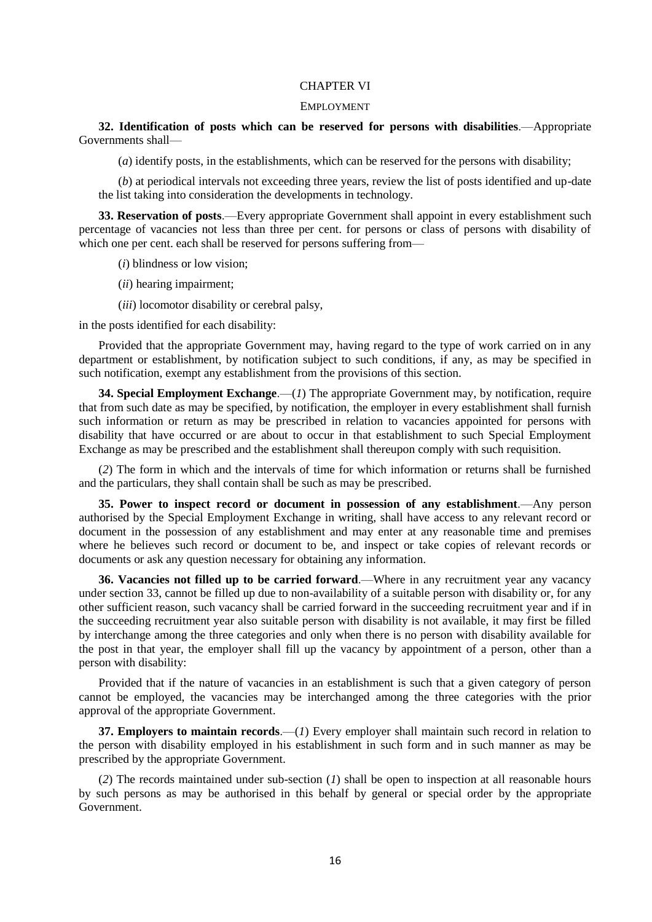#### CHAPTER VI

#### EMPLOYMENT

**32. Identification of posts which can be reserved for persons with disabilities**.—Appropriate Governments shall—

(*a*) identify posts, in the establishments, which can be reserved for the persons with disability;

(*b*) at periodical intervals not exceeding three years, review the list of posts identified and up-date the list taking into consideration the developments in technology.

**33. Reservation of posts**.—Every appropriate Government shall appoint in every establishment such percentage of vacancies not less than three per cent. for persons or class of persons with disability of which one per cent. each shall be reserved for persons suffering from—

(*i*) blindness or low vision;

- (*ii*) hearing impairment;
- (*iii*) locomotor disability or cerebral palsy,

in the posts identified for each disability:

Provided that the appropriate Government may, having regard to the type of work carried on in any department or establishment, by notification subject to such conditions, if any, as may be specified in such notification, exempt any establishment from the provisions of this section.

**34. Special Employment Exchange**.—(*1*) The appropriate Government may, by notification, require that from such date as may be specified, by notification, the employer in every establishment shall furnish such information or return as may be prescribed in relation to vacancies appointed for persons with disability that have occurred or are about to occur in that establishment to such Special Employment Exchange as may be prescribed and the establishment shall thereupon comply with such requisition.

(*2*) The form in which and the intervals of time for which information or returns shall be furnished and the particulars, they shall contain shall be such as may be prescribed.

**35. Power to inspect record or document in possession of any establishment**.—Any person authorised by the Special Employment Exchange in writing, shall have access to any relevant record or document in the possession of any establishment and may enter at any reasonable time and premises where he believes such record or document to be, and inspect or take copies of relevant records or documents or ask any question necessary for obtaining any information.

**36. Vacancies not filled up to be carried forward**.—Where in any recruitment year any vacancy under section 33, cannot be filled up due to non-availability of a suitable person with disability or, for any other sufficient reason, such vacancy shall be carried forward in the succeeding recruitment year and if in the succeeding recruitment year also suitable person with disability is not available, it may first be filled by interchange among the three categories and only when there is no person with disability available for the post in that year, the employer shall fill up the vacancy by appointment of a person, other than a person with disability:

Provided that if the nature of vacancies in an establishment is such that a given category of person cannot be employed, the vacancies may be interchanged among the three categories with the prior approval of the appropriate Government.

**37. Employers to maintain records**.—(*1*) Every employer shall maintain such record in relation to the person with disability employed in his establishment in such form and in such manner as may be prescribed by the appropriate Government.

(*2*) The records maintained under sub-section (*1*) shall be open to inspection at all reasonable hours by such persons as may be authorised in this behalf by general or special order by the appropriate Government.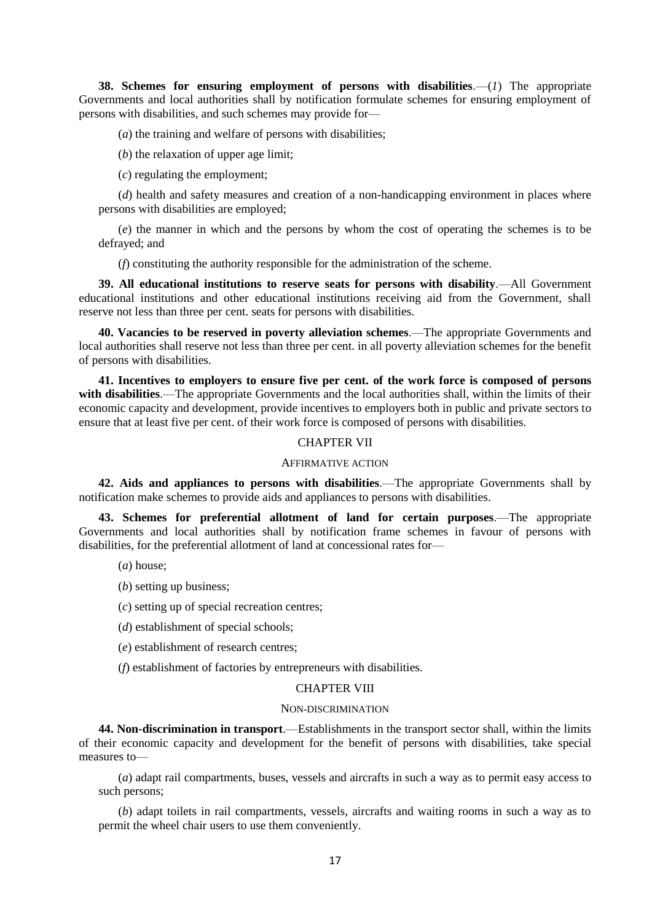**38. Schemes for ensuring employment of persons with disabilities**.—(*1*) The appropriate Governments and local authorities shall by notification formulate schemes for ensuring employment of persons with disabilities, and such schemes may provide for—

(*a*) the training and welfare of persons with disabilities;

(*b*) the relaxation of upper age limit;

(*c*) regulating the employment;

(*d*) health and safety measures and creation of a non-handicapping environment in places where persons with disabilities are employed;

(*e*) the manner in which and the persons by whom the cost of operating the schemes is to be defrayed; and

(*f*) constituting the authority responsible for the administration of the scheme.

**39. All educational institutions to reserve seats for persons with disability**.—All Government educational institutions and other educational institutions receiving aid from the Government, shall reserve not less than three per cent. seats for persons with disabilities.

**40. Vacancies to be reserved in poverty alleviation schemes**.—The appropriate Governments and local authorities shall reserve not less than three per cent. in all poverty alleviation schemes for the benefit of persons with disabilities.

**41. Incentives to employers to ensure five per cent. of the work force is composed of persons with disabilities**.—The appropriate Governments and the local authorities shall, within the limits of their economic capacity and development, provide incentives to employers both in public and private sectors to ensure that at least five per cent. of their work force is composed of persons with disabilities.

#### CHAPTER VII

#### AFFIRMATIVE ACTION

**42. Aids and appliances to persons with disabilities**.—The appropriate Governments shall by notification make schemes to provide aids and appliances to persons with disabilities.

**43. Schemes for preferential allotment of land for certain purposes**.—The appropriate Governments and local authorities shall by notification frame schemes in favour of persons with disabilities, for the preferential allotment of land at concessional rates for—

- (*a*) house;
- (*b*) setting up business;
- (*c*) setting up of special recreation centres;
- (*d*) establishment of special schools;
- (*e*) establishment of research centres;
- (*f*) establishment of factories by entrepreneurs with disabilities.

#### CHAPTER VIII

#### NON-DISCRIMINATION

**44. Non-discrimination in transport**.—Establishments in the transport sector shall, within the limits of their economic capacity and development for the benefit of persons with disabilities, take special measures to—

(*a*) adapt rail compartments, buses, vessels and aircrafts in such a way as to permit easy access to such persons;

(*b*) adapt toilets in rail compartments, vessels, aircrafts and waiting rooms in such a way as to permit the wheel chair users to use them conveniently.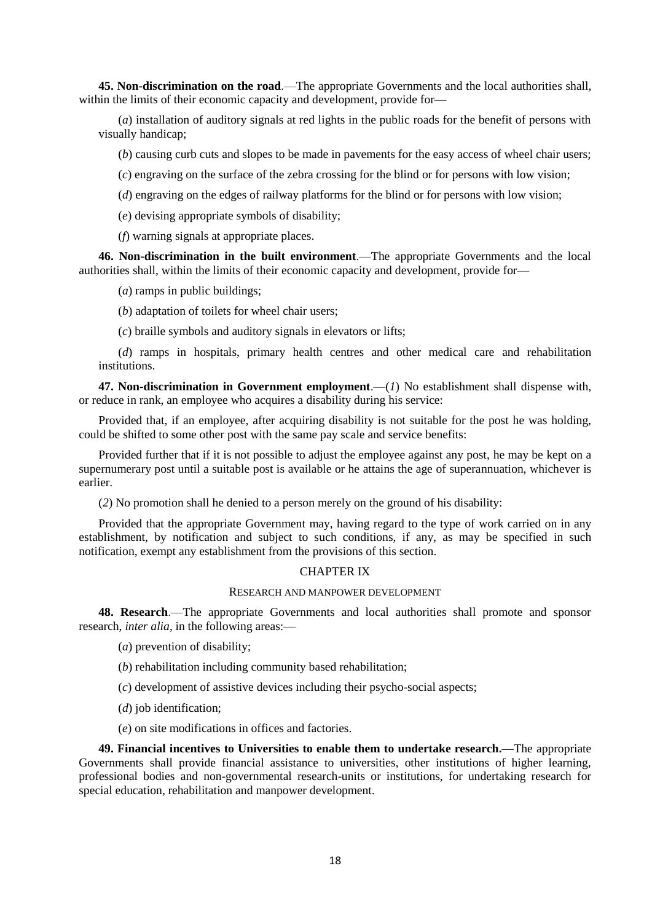**45. Non-discrimination on the road**.—The appropriate Governments and the local authorities shall, within the limits of their economic capacity and development, provide for—

(*a*) installation of auditory signals at red lights in the public roads for the benefit of persons with visually handicap;

(*b*) causing curb cuts and slopes to be made in pavements for the easy access of wheel chair users;

- (*c*) engraving on the surface of the zebra crossing for the blind or for persons with low vision;
- (*d*) engraving on the edges of railway platforms for the blind or for persons with low vision;
- (*e*) devising appropriate symbols of disability;

(*f*) warning signals at appropriate places.

**46. Non-discrimination in the built environment**.—The appropriate Governments and the local authorities shall, within the limits of their economic capacity and development, provide for—

(*a*) ramps in public buildings;

(*b*) adaptation of toilets for wheel chair users;

(*c*) braille symbols and auditory signals in elevators or lifts;

(*d*) ramps in hospitals, primary health centres and other medical care and rehabilitation institutions.

**47. Non-discrimination in Government employment**.—(*1*) No establishment shall dispense with, or reduce in rank, an employee who acquires a disability during his service:

Provided that, if an employee, after acquiring disability is not suitable for the post he was holding, could be shifted to some other post with the same pay scale and service benefits:

Provided further that if it is not possible to adjust the employee against any post, he may be kept on a supernumerary post until a suitable post is available or he attains the age of superannuation, whichever is earlier.

(*2*) No promotion shall he denied to a person merely on the ground of his disability:

Provided that the appropriate Government may, having regard to the type of work carried on in any establishment, by notification and subject to such conditions, if any, as may be specified in such notification, exempt any establishment from the provisions of this section.

#### CHAPTER IX

#### RESEARCH AND MANPOWER DEVELOPMENT

**48. Research**.—The appropriate Governments and local authorities shall promote and sponsor research, *inter alia*, in the following areas:—

- (*a*) prevention of disability;
- (*b*) rehabilitation including community based rehabilitation;
- (*c*) development of assistive devices including their psycho-social aspects;
- (*d*) job identification;

(*e*) on site modifications in offices and factories.

**49. Financial incentives to Universities to enable them to undertake research.—**The appropriate Governments shall provide financial assistance to universities, other institutions of higher learning, professional bodies and non-governmental research-units or institutions, for undertaking research for special education, rehabilitation and manpower development.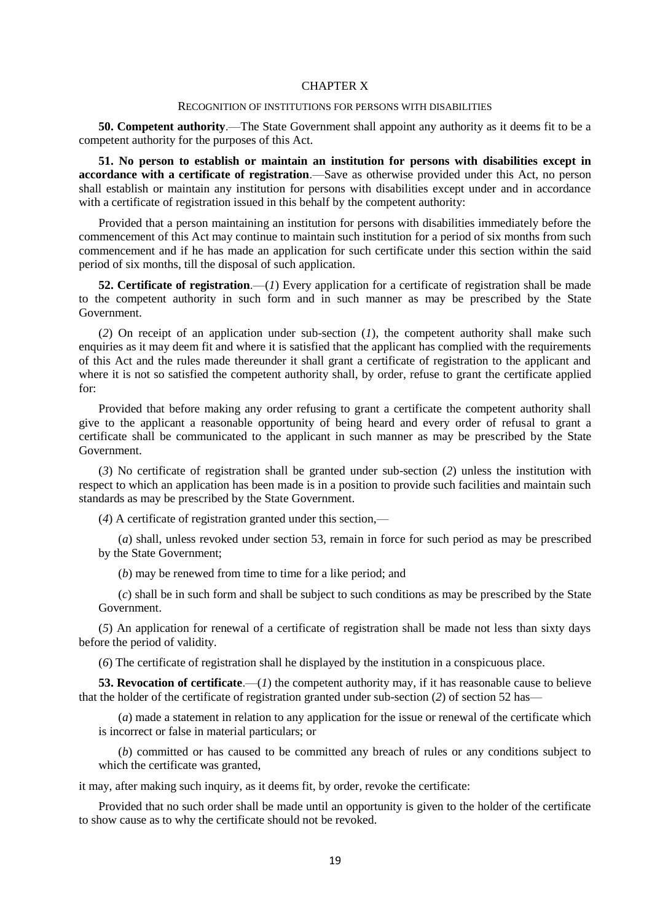#### CHAPTER X

#### RECOGNITION OF INSTITUTIONS FOR PERSONS WITH DISABILITIES

**50. Competent authority**.—The State Government shall appoint any authority as it deems fit to be a competent authority for the purposes of this Act.

**51. No person to establish or maintain an institution for persons with disabilities except in accordance with a certificate of registration**.—Save as otherwise provided under this Act, no person shall establish or maintain any institution for persons with disabilities except under and in accordance with a certificate of registration issued in this behalf by the competent authority:

Provided that a person maintaining an institution for persons with disabilities immediately before the commencement of this Act may continue to maintain such institution for a period of six months from such commencement and if he has made an application for such certificate under this section within the said period of six months, till the disposal of such application.

**52. Certificate of registration**.—(*1*) Every application for a certificate of registration shall be made to the competent authority in such form and in such manner as may be prescribed by the State Government.

(*2*) On receipt of an application under sub-section (*1*), the competent authority shall make such enquiries as it may deem fit and where it is satisfied that the applicant has complied with the requirements of this Act and the rules made thereunder it shall grant a certificate of registration to the applicant and where it is not so satisfied the competent authority shall, by order, refuse to grant the certificate applied for:

Provided that before making any order refusing to grant a certificate the competent authority shall give to the applicant a reasonable opportunity of being heard and every order of refusal to grant a certificate shall be communicated to the applicant in such manner as may be prescribed by the State Government.

(*3*) No certificate of registration shall be granted under sub-section (*2*) unless the institution with respect to which an application has been made is in a position to provide such facilities and maintain such standards as may be prescribed by the State Government.

(*4*) A certificate of registration granted under this section,—

(*a*) shall, unless revoked under section 53, remain in force for such period as may be prescribed by the State Government;

(*b*) may be renewed from time to time for a like period; and

(*c*) shall be in such form and shall be subject to such conditions as may be prescribed by the State Government.

(*5*) An application for renewal of a certificate of registration shall be made not less than sixty days before the period of validity.

(*6*) The certificate of registration shall he displayed by the institution in a conspicuous place.

**53. Revocation of certificate.**—(*1*) the competent authority may, if it has reasonable cause to believe that the holder of the certificate of registration granted under sub-section (*2*) of section 52 has—

(*a*) made a statement in relation to any application for the issue or renewal of the certificate which is incorrect or false in material particulars; or

(*b*) committed or has caused to be committed any breach of rules or any conditions subject to which the certificate was granted,

it may, after making such inquiry, as it deems fit, by order, revoke the certificate:

Provided that no such order shall be made until an opportunity is given to the holder of the certificate to show cause as to why the certificate should not be revoked.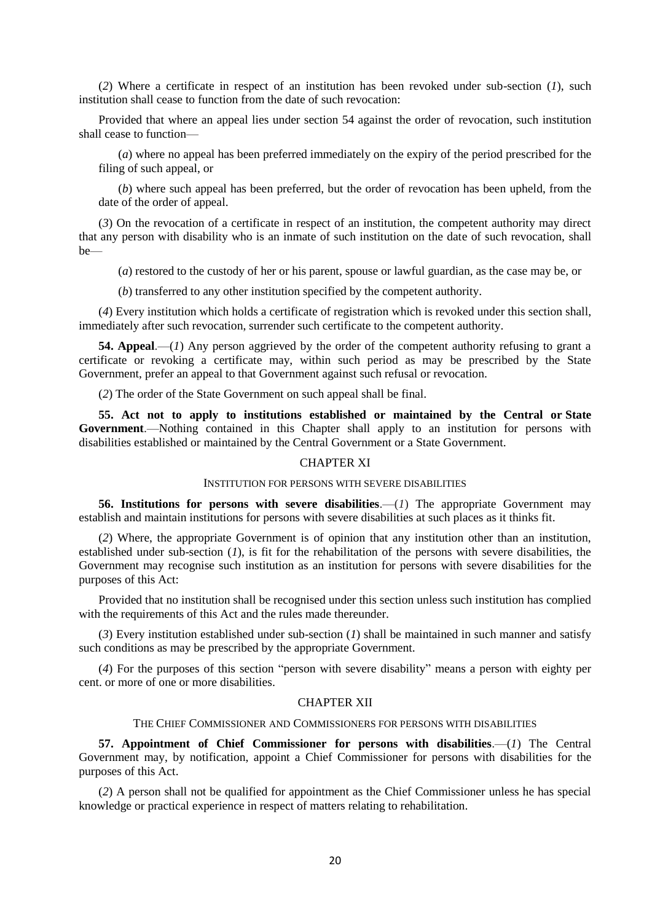(*2*) Where a certificate in respect of an institution has been revoked under sub-section (*1*), such institution shall cease to function from the date of such revocation:

Provided that where an appeal lies under section 54 against the order of revocation, such institution shall cease to function—

(*a*) where no appeal has been preferred immediately on the expiry of the period prescribed for the filing of such appeal, or

(*b*) where such appeal has been preferred, but the order of revocation has been upheld, from the date of the order of appeal.

(*3*) On the revocation of a certificate in respect of an institution, the competent authority may direct that any person with disability who is an inmate of such institution on the date of such revocation, shall be—

(*a*) restored to the custody of her or his parent, spouse or lawful guardian, as the case may be, or

(*b*) transferred to any other institution specified by the competent authority.

(*4*) Every institution which holds a certificate of registration which is revoked under this section shall, immediately after such revocation, surrender such certificate to the competent authority.

**54. Appeal**.—(*1*) Any person aggrieved by the order of the competent authority refusing to grant a certificate or revoking a certificate may, within such period as may be prescribed by the State Government, prefer an appeal to that Government against such refusal or revocation.

(*2*) The order of the State Government on such appeal shall be final.

**55. Act not to apply to institutions established or maintained by the Central or State Government**.—Nothing contained in this Chapter shall apply to an institution for persons with disabilities established or maintained by the Central Government or a State Government.

#### CHAPTER XI

#### INSTITUTION FOR PERSONS WITH SEVERE DISABILITIES

**56. Institutions for persons with severe disabilities**.—(*1*) The appropriate Government may establish and maintain institutions for persons with severe disabilities at such places as it thinks fit.

(*2*) Where, the appropriate Government is of opinion that any institution other than an institution, established under sub-section (*1*), is fit for the rehabilitation of the persons with severe disabilities, the Government may recognise such institution as an institution for persons with severe disabilities for the purposes of this Act:

Provided that no institution shall be recognised under this section unless such institution has complied with the requirements of this Act and the rules made thereunder.

(*3*) Every institution established under sub-section (*1*) shall be maintained in such manner and satisfy such conditions as may be prescribed by the appropriate Government.

(*4*) For the purposes of this section "person with severe disability" means a person with eighty per cent. or more of one or more disabilities.

#### CHAPTER XII

#### THE CHIEF COMMISSIONER AND COMMISSIONERS FOR PERSONS WITH DISABILITIES

**57. Appointment of Chief Commissioner for persons with disabilities**.—(*1*) The Central Government may, by notification, appoint a Chief Commissioner for persons with disabilities for the purposes of this Act.

(*2*) A person shall not be qualified for appointment as the Chief Commissioner unless he has special knowledge or practical experience in respect of matters relating to rehabilitation.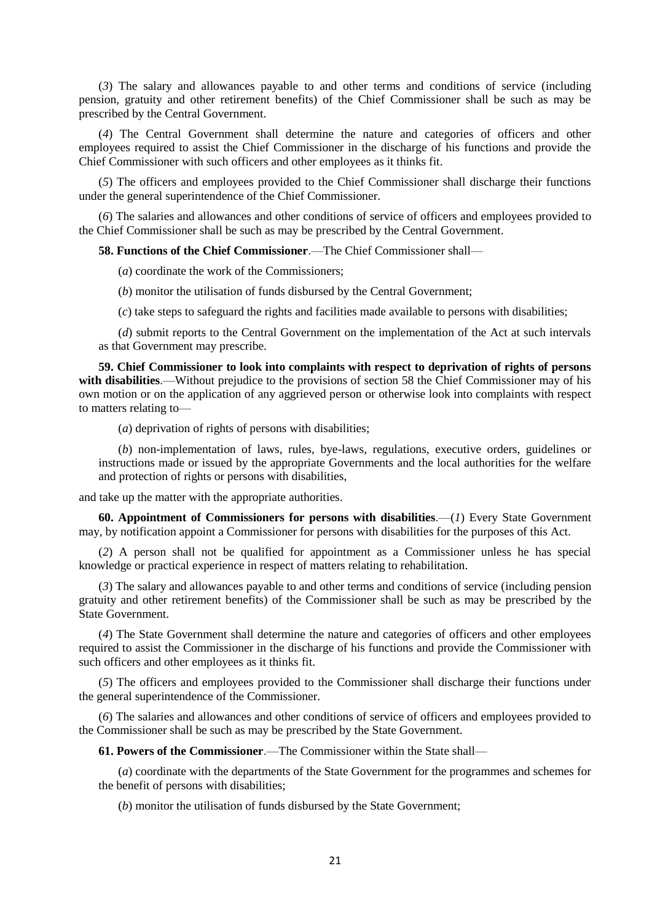(*3*) The salary and allowances payable to and other terms and conditions of service (including pension, gratuity and other retirement benefits) of the Chief Commissioner shall be such as may be prescribed by the Central Government.

(*4*) The Central Government shall determine the nature and categories of officers and other employees required to assist the Chief Commissioner in the discharge of his functions and provide the Chief Commissioner with such officers and other employees as it thinks fit.

(*5*) The officers and employees provided to the Chief Commissioner shall discharge their functions under the general superintendence of the Chief Commissioner.

(*6*) The salaries and allowances and other conditions of service of officers and employees provided to the Chief Commissioner shall be such as may be prescribed by the Central Government.

**58. Functions of the Chief Commissioner**.—The Chief Commissioner shall—

(*a*) coordinate the work of the Commissioners;

(*b*) monitor the utilisation of funds disbursed by the Central Government;

(*c*) take steps to safeguard the rights and facilities made available to persons with disabilities;

(*d*) submit reports to the Central Government on the implementation of the Act at such intervals as that Government may prescribe.

**59. Chief Commissioner to look into complaints with respect to deprivation of rights of persons with disabilities**.—Without prejudice to the provisions of section 58 the Chief Commissioner may of his own motion or on the application of any aggrieved person or otherwise look into complaints with respect to matters relating to—

(*a*) deprivation of rights of persons with disabilities;

(*b*) non-implementation of laws, rules, bye-laws, regulations, executive orders, guidelines or instructions made or issued by the appropriate Governments and the local authorities for the welfare and protection of rights or persons with disabilities,

and take up the matter with the appropriate authorities.

**60. Appointment of Commissioners for persons with disabilities**.—(*1*) Every State Government may, by notification appoint a Commissioner for persons with disabilities for the purposes of this Act.

(*2*) A person shall not be qualified for appointment as a Commissioner unless he has special knowledge or practical experience in respect of matters relating to rehabilitation.

(*3*) The salary and allowances payable to and other terms and conditions of service (including pension gratuity and other retirement benefits) of the Commissioner shall be such as may be prescribed by the State Government.

(*4*) The State Government shall determine the nature and categories of officers and other employees required to assist the Commissioner in the discharge of his functions and provide the Commissioner with such officers and other employees as it thinks fit.

(*5*) The officers and employees provided to the Commissioner shall discharge their functions under the general superintendence of the Commissioner.

(*6*) The salaries and allowances and other conditions of service of officers and employees provided to the Commissioner shall be such as may be prescribed by the State Government.

**61. Powers of the Commissioner**.—The Commissioner within the State shall—

(*a*) coordinate with the departments of the State Government for the programmes and schemes for the benefit of persons with disabilities;

(*b*) monitor the utilisation of funds disbursed by the State Government;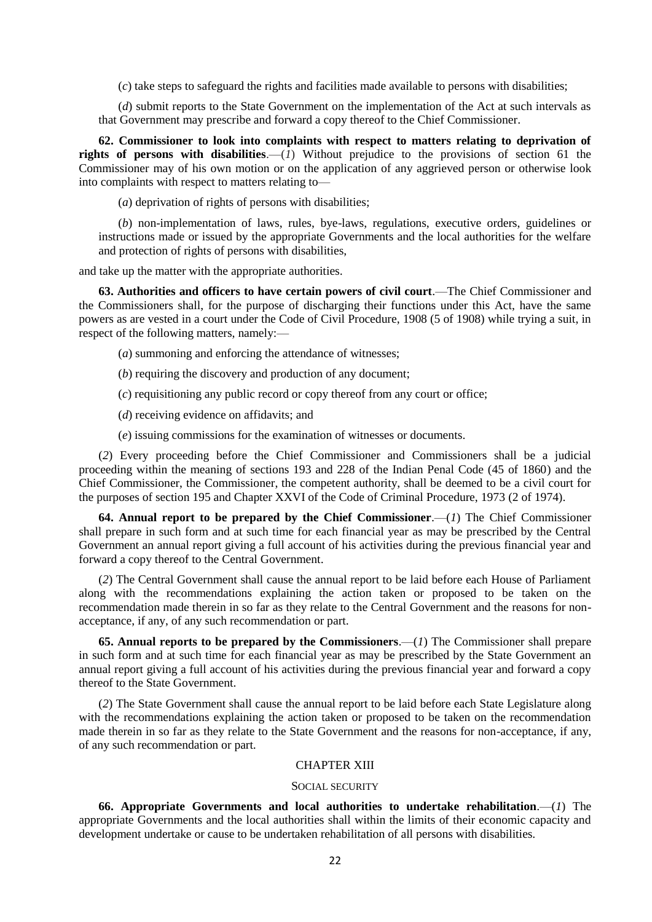(*c*) take steps to safeguard the rights and facilities made available to persons with disabilities;

(*d*) submit reports to the State Government on the implementation of the Act at such intervals as that Government may prescribe and forward a copy thereof to the Chief Commissioner.

**62. Commissioner to look into complaints with respect to matters relating to deprivation of rights of persons with disabilities**.—(*1*) Without prejudice to the provisions of section 61 the Commissioner may of his own motion or on the application of any aggrieved person or otherwise look into complaints with respect to matters relating to—

(*a*) deprivation of rights of persons with disabilities;

(*b*) non-implementation of laws, rules, bye-laws, regulations, executive orders, guidelines or instructions made or issued by the appropriate Governments and the local authorities for the welfare and protection of rights of persons with disabilities,

and take up the matter with the appropriate authorities.

**63. Authorities and officers to have certain powers of civil court**.—The Chief Commissioner and the Commissioners shall, for the purpose of discharging their functions under this Act, have the same powers as are vested in a court under the Code of Civil Procedure, 1908 (5 of 1908) while trying a suit, in respect of the following matters, namely:—

(*a*) summoning and enforcing the attendance of witnesses;

(*b*) requiring the discovery and production of any document;

(*c*) requisitioning any public record or copy thereof from any court or office;

(*d*) receiving evidence on affidavits; and

(*e*) issuing commissions for the examination of witnesses or documents.

(*2*) Every proceeding before the Chief Commissioner and Commissioners shall be a judicial proceeding within the meaning of sections 193 and 228 of the Indian Penal Code (45 of 1860) and the Chief Commissioner, the Commissioner, the competent authority, shall be deemed to be a civil court for the purposes of section 195 and Chapter XXVI of the Code of Criminal Procedure, 1973 (2 of 1974).

**64. Annual report to be prepared by the Chief Commissioner**.—(*1*) The Chief Commissioner shall prepare in such form and at such time for each financial year as may be prescribed by the Central Government an annual report giving a full account of his activities during the previous financial year and forward a copy thereof to the Central Government.

(*2*) The Central Government shall cause the annual report to be laid before each House of Parliament along with the recommendations explaining the action taken or proposed to be taken on the recommendation made therein in so far as they relate to the Central Government and the reasons for nonacceptance, if any, of any such recommendation or part.

**65. Annual reports to be prepared by the Commissioners**.—(*1*) The Commissioner shall prepare in such form and at such time for each financial year as may be prescribed by the State Government an annual report giving a full account of his activities during the previous financial year and forward a copy thereof to the State Government.

(*2*) The State Government shall cause the annual report to be laid before each State Legislature along with the recommendations explaining the action taken or proposed to be taken on the recommendation made therein in so far as they relate to the State Government and the reasons for non-acceptance, if any, of any such recommendation or part.

#### CHAPTER XIII

#### SOCIAL SECURITY

**66. Appropriate Governments and local authorities to undertake rehabilitation**.—(*1*) The appropriate Governments and the local authorities shall within the limits of their economic capacity and development undertake or cause to be undertaken rehabilitation of all persons with disabilities.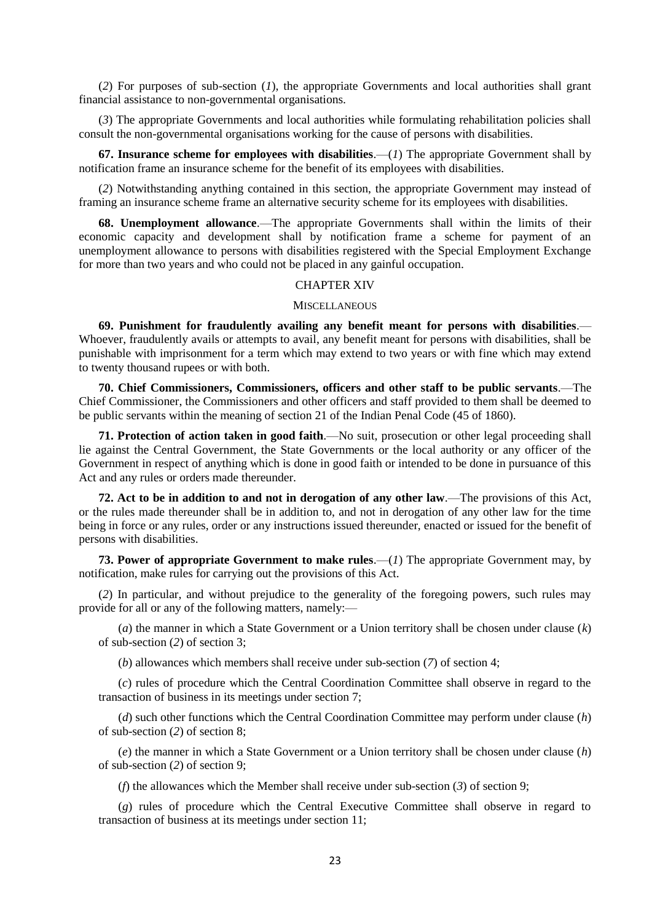(*2*) For purposes of sub-section (*1*), the appropriate Governments and local authorities shall grant financial assistance to non-governmental organisations.

(*3*) The appropriate Governments and local authorities while formulating rehabilitation policies shall consult the non-governmental organisations working for the cause of persons with disabilities.

**67. Insurance scheme for employees with disabilities**.—(*1*) The appropriate Government shall by notification frame an insurance scheme for the benefit of its employees with disabilities.

(*2*) Notwithstanding anything contained in this section, the appropriate Government may instead of framing an insurance scheme frame an alternative security scheme for its employees with disabilities.

**68. Unemployment allowance**.—The appropriate Governments shall within the limits of their economic capacity and development shall by notification frame a scheme for payment of an unemployment allowance to persons with disabilities registered with the Special Employment Exchange for more than two years and who could not be placed in any gainful occupation.

#### CHAPTER XIV

#### **MISCELLANEOUS**

**69. Punishment for fraudulently availing any benefit meant for persons with disabilities**.— Whoever, fraudulently avails or attempts to avail, any benefit meant for persons with disabilities, shall be punishable with imprisonment for a term which may extend to two years or with fine which may extend to twenty thousand rupees or with both.

**70. Chief Commissioners, Commissioners, officers and other staff to be public servants**.—The Chief Commissioner, the Commissioners and other officers and staff provided to them shall be deemed to be public servants within the meaning of section 21 of the Indian Penal Code (45 of 1860).

**71. Protection of action taken in good faith**.—No suit, prosecution or other legal proceeding shall lie against the Central Government, the State Governments or the local authority or any officer of the Government in respect of anything which is done in good faith or intended to be done in pursuance of this Act and any rules or orders made thereunder.

**72. Act to be in addition to and not in derogation of any other law**.—The provisions of this Act, or the rules made thereunder shall be in addition to, and not in derogation of any other law for the time being in force or any rules, order or any instructions issued thereunder, enacted or issued for the benefit of persons with disabilities.

**73. Power of appropriate Government to make rules**.—(*1*) The appropriate Government may, by notification, make rules for carrying out the provisions of this Act.

(*2*) In particular, and without prejudice to the generality of the foregoing powers, such rules may provide for all or any of the following matters, namely:—

(*a*) the manner in which a State Government or a Union territory shall be chosen under clause (*k*) of sub-section (*2*) of section 3;

(*b*) allowances which members shall receive under sub-section (*7*) of section 4;

(*c*) rules of procedure which the Central Coordination Committee shall observe in regard to the transaction of business in its meetings under section 7;

(*d*) such other functions which the Central Coordination Committee may perform under clause (*h*) of sub-section (*2*) of section 8;

(*e*) the manner in which a State Government or a Union territory shall be chosen under clause (*h*) of sub-section (*2*) of section 9;

(*f*) the allowances which the Member shall receive under sub-section (*3*) of section 9;

(*g*) rules of procedure which the Central Executive Committee shall observe in regard to transaction of business at its meetings under section 11;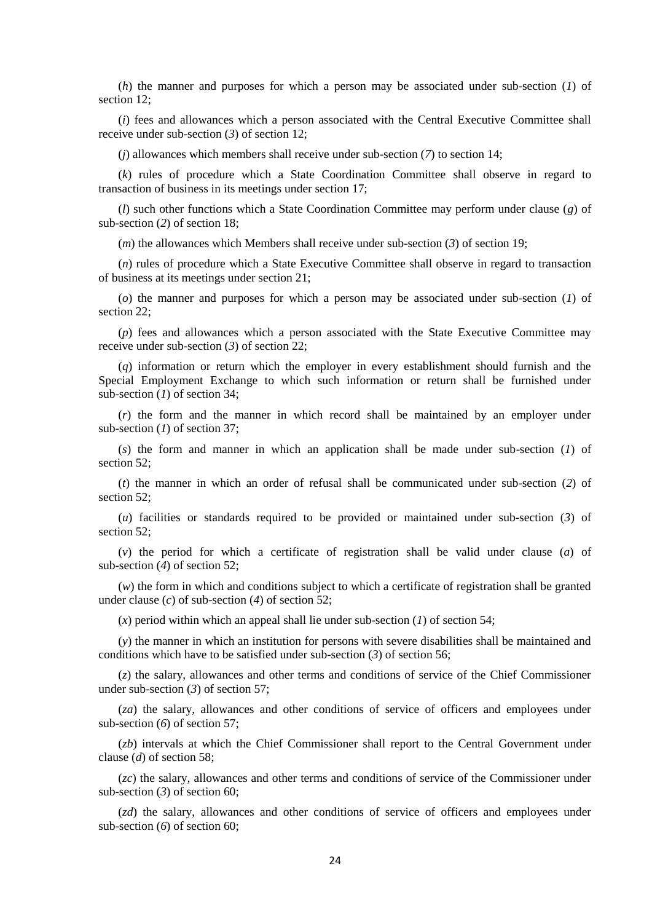(*h*) the manner and purposes for which a person may be associated under sub-section (*1*) of section 12;

(*i*) fees and allowances which a person associated with the Central Executive Committee shall receive under sub-section (*3*) of section 12;

(*j*) allowances which members shall receive under sub-section (*7*) to section 14;

(*k*) rules of procedure which a State Coordination Committee shall observe in regard to transaction of business in its meetings under section 17;

(*l*) such other functions which a State Coordination Committee may perform under clause (*g*) of sub-section (*2*) of section 18;

(*m*) the allowances which Members shall receive under sub-section (*3*) of section 19;

(*n*) rules of procedure which a State Executive Committee shall observe in regard to transaction of business at its meetings under section 21;

(*o*) the manner and purposes for which a person may be associated under sub-section (*1*) of section 22;

(*p*) fees and allowances which a person associated with the State Executive Committee may receive under sub-section (*3*) of section 22;

(*q*) information or return which the employer in every establishment should furnish and the Special Employment Exchange to which such information or return shall be furnished under sub-section (*1*) of section 34;

(*r*) the form and the manner in which record shall be maintained by an employer under sub-section (*1*) of section 37;

(*s*) the form and manner in which an application shall be made under sub-section (*1*) of section 52;

(*t*) the manner in which an order of refusal shall be communicated under sub-section (*2*) of section 52:

(*u*) facilities or standards required to be provided or maintained under sub-section (*3*) of section 52;

(*v*) the period for which a certificate of registration shall be valid under clause (*a*) of sub-section (*4*) of section 52;

(*w*) the form in which and conditions subject to which a certificate of registration shall be granted under clause (*c*) of sub-section (*4*) of section 52;

(*x*) period within which an appeal shall lie under sub-section (*1*) of section 54;

(*y*) the manner in which an institution for persons with severe disabilities shall be maintained and conditions which have to be satisfied under sub-section (*3*) of section 56;

(*z*) the salary, allowances and other terms and conditions of service of the Chief Commissioner under sub-section (*3*) of section 57;

(*za*) the salary, allowances and other conditions of service of officers and employees under sub-section (*6*) of section 57;

(*zb*) intervals at which the Chief Commissioner shall report to the Central Government under clause (*d*) of section 58;

(*zc*) the salary, allowances and other terms and conditions of service of the Commissioner under sub-section (*3*) of section 60;

(*zd*) the salary, allowances and other conditions of service of officers and employees under sub-section (*6*) of section 60;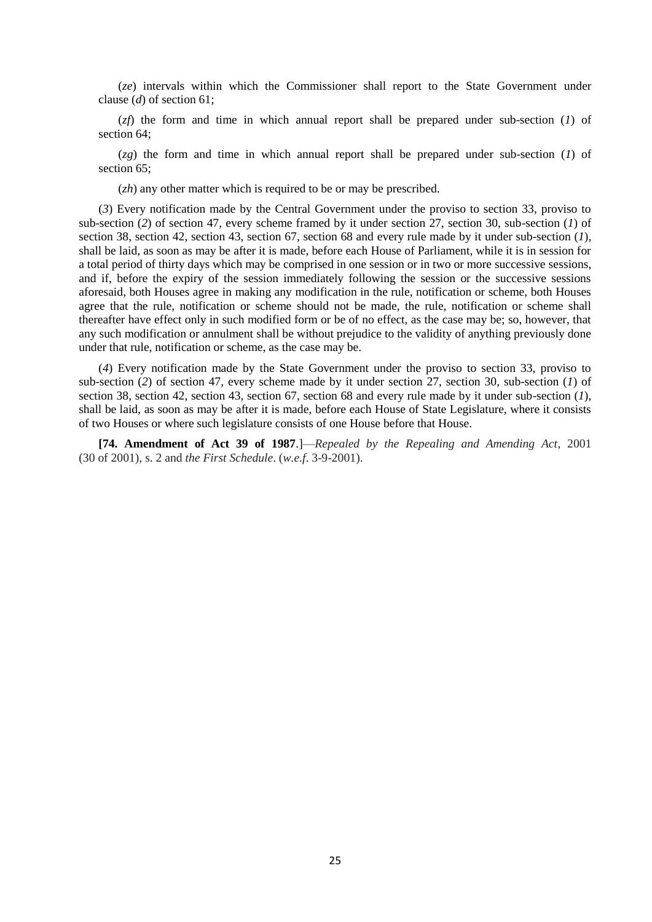(*ze*) intervals within which the Commissioner shall report to the State Government under clause (*d*) of section 61;

(*zf*) the form and time in which annual report shall be prepared under sub-section (*1*) of section 64;

(*zg*) the form and time in which annual report shall be prepared under sub-section (*1*) of section 65;

(*zh*) any other matter which is required to be or may be prescribed.

(*3*) Every notification made by the Central Government under the proviso to section 33, proviso to sub-section (*2*) of section 47, every scheme framed by it under section 27, section 30, sub-section (*1*) of section 38, section 42, section 43, section 67, section 68 and every rule made by it under sub-section (*1*), shall be laid, as soon as may be after it is made, before each House of Parliament, while it is in session for a total period of thirty days which may be comprised in one session or in two or more successive sessions, and if, before the expiry of the session immediately following the session or the successive sessions aforesaid, both Houses agree in making any modification in the rule, notification or scheme, both Houses agree that the rule, notification or scheme should not be made, the rule, notification or scheme shall thereafter have effect only in such modified form or be of no effect, as the case may be; so, however, that any such modification or annulment shall be without prejudice to the validity of anything previously done under that rule, notification or scheme, as the case may be.

(*4*) Every notification made by the State Government under the proviso to section 33, proviso to sub-section (*2*) of section 47, every scheme made by it under section 27, section 30, sub-section (*1*) of section 38, section 42, section 43, section 67, section 68 and every rule made by it under sub-section (*1*), shall be laid, as soon as may be after it is made, before each House of State Legislature, where it consists of two Houses or where such legislature consists of one House before that House.

**[74. Amendment of Act 39 of 1987**.]—*Repealed by the Repealing and Amending Act*, 2001 (30 of 2001), s. 2 and *the First Schedule*. (*w.e.f*. 3-9-2001).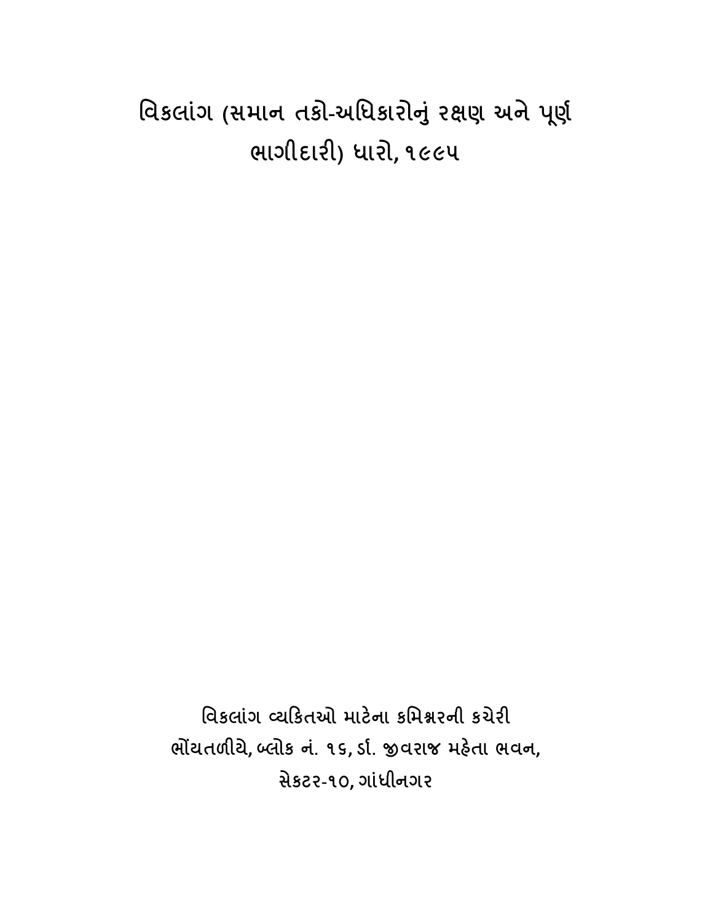# ાવકલાંગ (સમાન તકા-અાધકારાનું રક્ષણ અને પૂર્ણ ભાગીદાર) ધારો, ૧૯૯૫

િવકલાંગ યકતઓ માટના કિમરની કચેર ભોંયતળીયે, બ્લોક નં. ૧૬, ર્ડા. જીવરાજ મહેતા ભવન, સેકટર-૧૦, ગાંધીનગર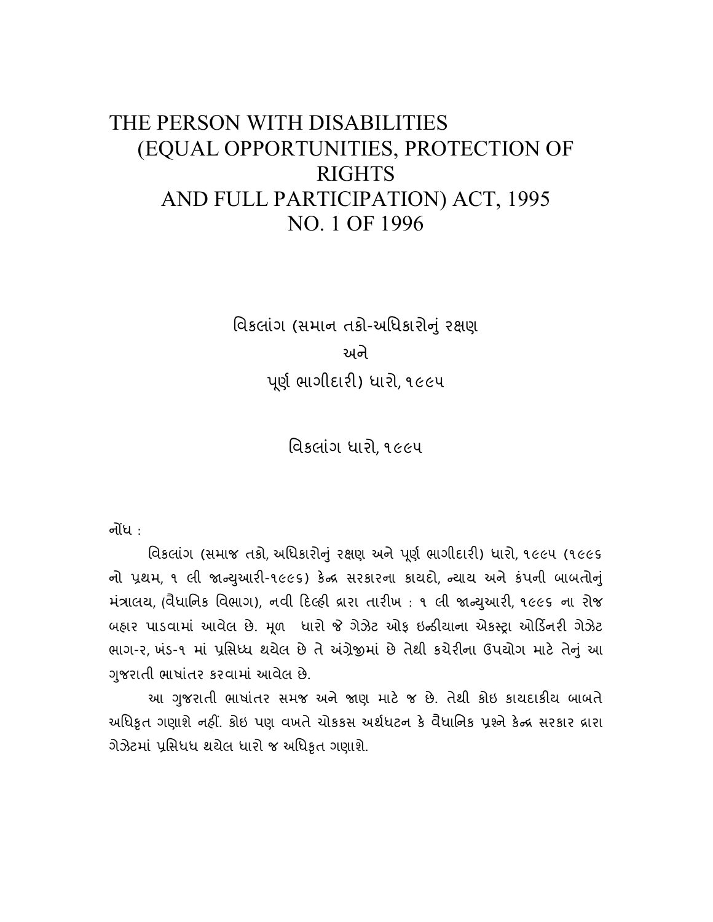## THE PERSON WITH DISABILITIES (EQUAL OPPORTUNITIES, PROTECTION OF RIGHTS AND FULL PARTICIPATION) ACT, 1995 NO. 1 OF 1996

વિકલાંગ (સમાન તકો-અધિકારોનું રક્ષણ અને ૂણ ભાગીદાર) ધારો, ૧૯૯૫

િવકલાંગ ધારો, ૧૯૯૫

નોંધ $\cdot$ 

વિકલાંગ (સમાજ તકો, અધિકારોનું રક્ષણ અને પૂર્ણ ભાગીદારી) ધારો, ૧૯૯૫ (૧૯૯૬ નો પ્રથમ, ૧ લી જાન્યુઆરી-૧૯૯૬) કેન્દ્ર સરકારના કાયદો, ન્યાય અને કંપની બાબતોનું મંત્રાલય, (વૈધાનિક વિભાગ), નવી દિલ્હી દ્રારા તારીખ: ૧ લી જાન્યુઆરી, ૧૯૯૬ ના રોજ બહાર પાડવામાં આવેલ છે. મૂળ ધારો જે ગેઝેટ ઓફ ઇન્ડીયાના એકસ્ટ્રા ઓર્ડિનરી ગેઝેટ ભાગ-૨, ખંડ-૧ માં પ્રસિધ્ધ થયેલ છે તે અંગ્રેજીમાં છે તેથી કચેરીના ઉપયોગ માટે તેનું આ જરાતી ભાષાંતર કરવામાં આવેલ છે. ુ

આ ગુજરાતી ભાષાંતર સમજ અને જાણ માટે જ છે. તેથી કોઇ કાયદાકીય બાબતે આધિકૃત ગણાશે નહીં. કોઇ પણ વખતે ચોકકસ અર્થધટન કે વેધાર્નિક પ્રશ્ને કેન્દ્ર સરકાર દ્રારા ગેઝેટમાં પ્રાસંધધ થયેલ ધારો જ અધિકૃત ગણાશે.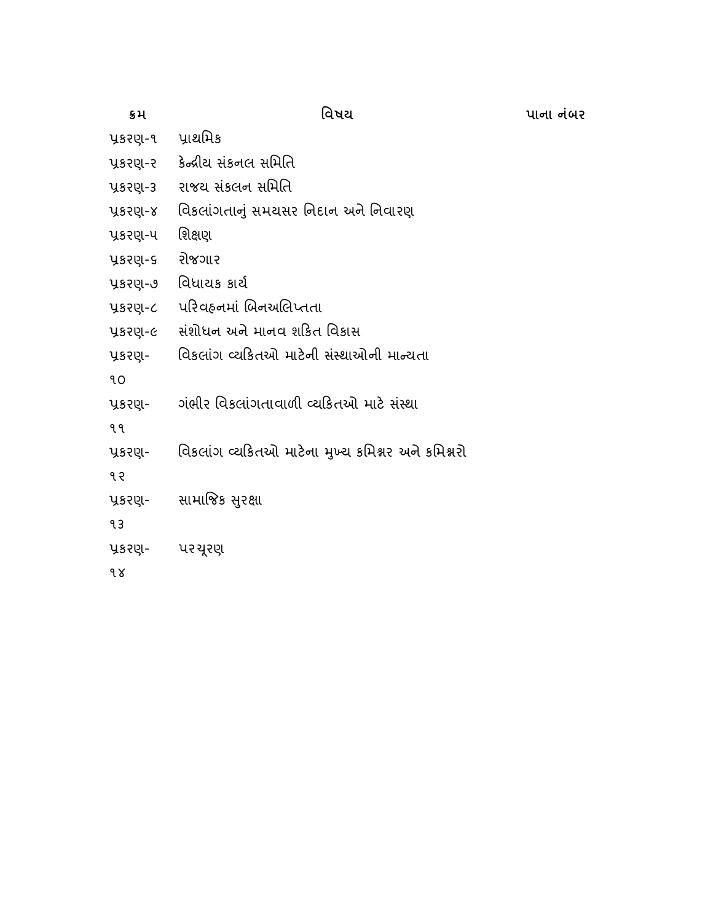| ક્રમ              | વિષય                                              |
|-------------------|---------------------------------------------------|
| પ્રકરણ-૧ પ્રાથમિક |                                                   |
| પ્રકરણ-ર          | કેન્દ્રીય સંકનલ સમિતિ                             |
| પ્રકરણ-૩          | રાજય સંકલન સમિતિ                                  |
| પ્રકરણ-૪          | વિકલાંગતાનું સમયસર નિદાન અને નિવારણ               |
| પ્રકરણ-પ          | શિક્ષણ                                            |
| પ્રકરણ-૬          | રોજગાર                                            |
| પ્રકરણ-૭          | વિધાયક કાર્ય                                      |
| પ્રકરણ-૮          | પરિવહનમાં બિનઅલિપ્તતા                             |
| પ્રકરણ-૯          | સંશોધન અને માનવ શકિત વિકાસ                        |
| પ્રકરણ-           | વિકલાંગ વ્યકિતઓ માટેની સંસ્થાઓની માન્યતા          |
| ٩O                |                                                   |
| પ્રકરણ-           | ગંભીર વિકલાંગતાવાળી વ્યકિતઓ માટે સંસ્થા           |
| १ १               |                                                   |
| પ્રકરણ-           | વિકલાંગ વ્યકિતઓ માટેના મુખ્ય કમિશ્નર અને કમિશ્નરો |
| १२                |                                                   |
| પ્રકરણ-           | સામાજિક સુરક્ષા                                   |
| 93                |                                                   |
| પ્રકરણ- પરચૂરણ    |                                                   |
| १४                |                                                   |

પાના નંબર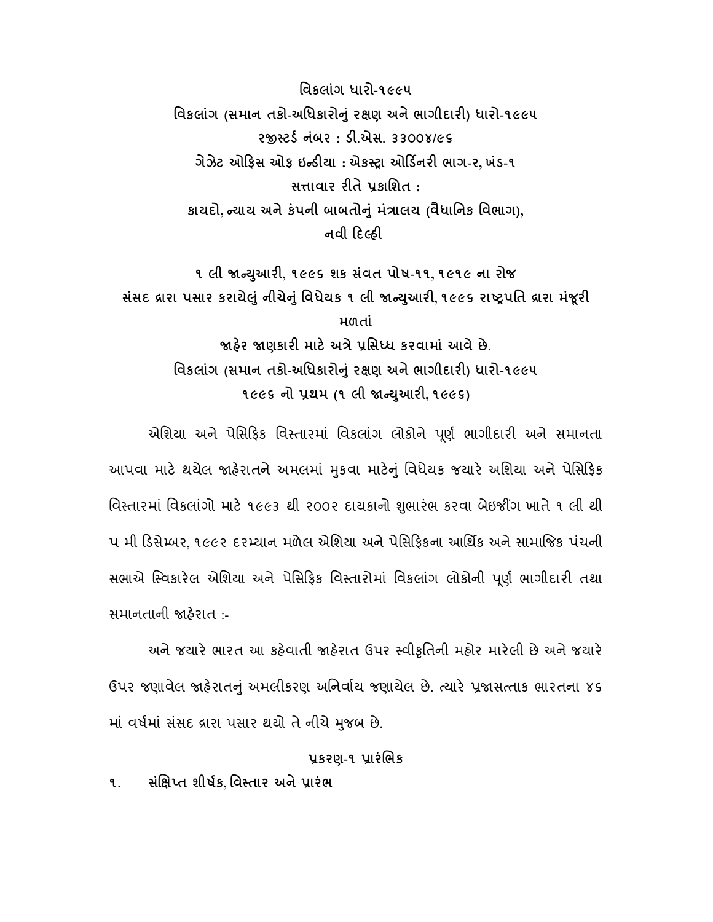િવકલાંગ ધારો-૧૯૯૫ વિકલાંગ (સમાન તકો-અધિકારોનું રક્ષણ અને ભાગીદારી) ધારો-૧૯૯૫ ૨જીસ્ટર્ડ નંબર: ડી.એસ. ૩૩૦૦૪/૯૬ ગેઝેટ ઓફિસ ઓફ ઇન્ડીયા : એકસ્ટ્રા ઓર્ડિનરી ભાગ-ર, ખંડ-૧ સાવાર રતે કાિશત : કાયદો, ન્યાય અને કંપની બાબતોનું મંત્રાલય (વૈધાનિક વિભાગ), નવી દિલ્હી

૧ લી જાન્યુઆરી, ૧૯૯૬ શક સંવત પોષ-૧૧, ૧૯૧૯ ના રોજ સંસદ વ્રારા પસાર કરાયેલું નીચેનું વિધેયક ૧ લી જાન્યુઆરી, ૧૯૯૬ રાષ્ટ્રપતિ વ્રારા મંજૂરી મળતાં જાહેર જાણકારી માટે અત્રે પ્રસિધ્ધ કરવામાં આવે છે. વિકલાંગ (સમાન તકો-અધિકારોનું રક્ષણ અને ભાગીદારી) ધારો-૧૯૯૫ ૧૯૯૬ નો પ્રથમ (૧ લી જાન્યુઆરી, ૧૯૯૬)

એશિયા અને પેસિફિક વિસ્તારમાં વિકલાંગ લોકોને પૂર્ણ ભાગીદારી અને સમાનતા આપવા માટે થયેલ જાહેરાતને અમલમાં મુકવા માટેનું વિધેયક જયારે અશિયા અને પેસિફિક વિસ્તારમાં વિકલાંગો માટે ૧૯૯૩ થી ૨૦૦૨ દાયકાનો શુભારંભ કરવા બેઇજીંગ ખાતે ૧ લી થી પ મી ડસે બર, ૧૯૯૨ દર યાન મળેલ એિશયા અને પેિસફકના આિથક અને સામાજક પ ંચની સભાએ સ્વિકારેલ એશિયા અને પેસિફિક વિસ્તારોમાં વિકલાંગ લોકોની પૂર્ણ ભાગીદારી તથા સમાનતાની હરાત :-

અને જયારે ભારત આ કહેવાતી જાહેરાત ઉપર સ્વીકૃતિની મહોર મારેલી છે અને જયારે ઉપર જણાવેલ જાહેરાતનું અમલીકરણ અનિર્વાય જણાયેલ છે. ત્યારે પ્રજાસત્તાક ભારતના ૪૬ માં વર્ષમાં સંસદ વ્રારા પસાર થયો તે નીચે મુજબ છે.

## પ્રકરણ-૧ પ્રારંભિક

૧. સંક્ષિપ્ત શીર્ષક વિસ્તાર અને પ્રારંભ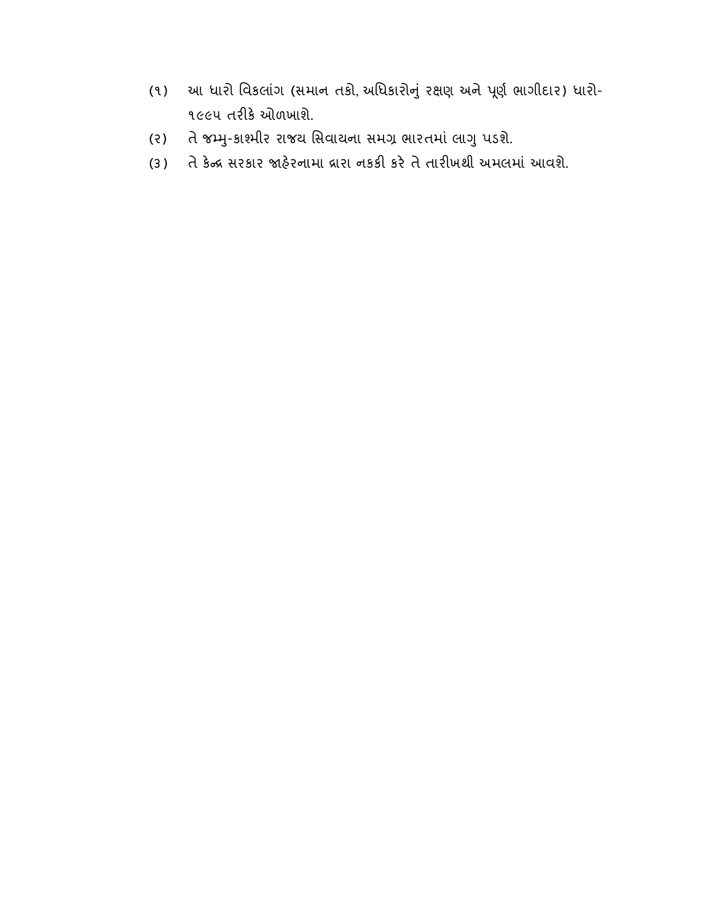- (૧) આ ધારો વિકલાંગ (સમાન તકો, અધિકારોનું રક્ષણ અને પૂર્ણ ભાગીદાર) ધારો-૧૯૯૫ તરીકે ઓળખાશે.
- (૨) તે જમ્મુ-કાશ્મીર રાજય સિવાયના સમગ્ર ભારતમાં લાગુ પડશે.
- (૩) તે કેન્દ્ર સરકાર જાહેરનામા દ્રારા નકકી કરે તે તારીખથી અમલમાં આવશે.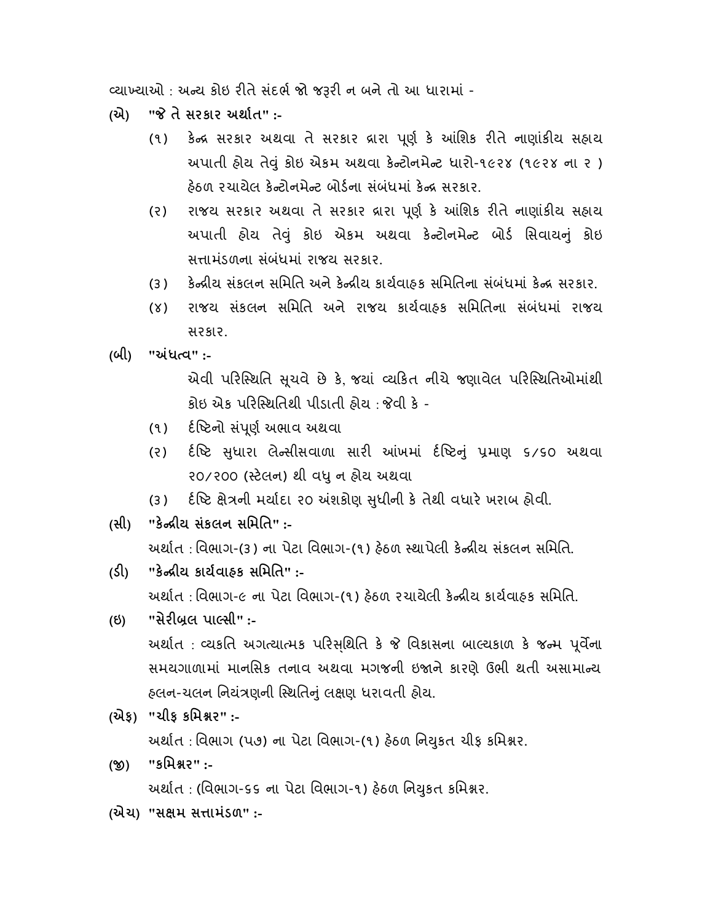વ્યાખ્યાઓ : અન્ય કોઇ રીતે સંદર્ભ જો જરૂરી ન બને તો આ ધારામાં -

(એ) " તે સરકાર અથાત" :-

- (૧) કેન્દ્ર સરકાર અથવા તે સરકાર દ્રારા પૂર્ણ કે આંશિક રીતે નાણાંકીય સહ્યય અપાતી હોય તેવું કોઇ એકમ અથવા કેન્ટોનમેન્ટ ધારો-૧૯૨૪ (૧૯૨૪ ના ૨) હેઠળ રચાયેલ કેન્ટોનમેન્ટ બોર્ડના સંબંધમાં કેન્દ્ર સરકાર.
- (૨) રાજય સરકાર અથવા તે સરકાર દ્રારા પૂર્ણ કે આંશિક રીતે નાણાંકીય સહ્યય અપાતી હોય તેવું કોઇ એકમ અથવા કેન્ટોનમેન્ટ બોર્ડ સિવાયનું કોઇ સત્તામંડળના સંબંધમાં રાજય સરકાર.
- (૩) કેન્દ્રીય સંકલન સમિતિ અને કેન્દ્રીય કાર્યવાહક સમિતિના સંબંધમાં કેન્દ્ર સરકાર.
- (૪) રાજય સંકલન સિમિત અને રાજય કાયવાહક સિમિતના સંબ ંધમાં રાજય સરકાર.
- (બી) "અંધત્વ":-

એવી પરિસ્થિતિ સુચવે છે કે જયાં વ્યકિત નીચે જણાવેલ પરિસ્થિતિઓમાંથી કોઇ એક પરિ થિતથી પીડાતી હોય : વી ક -

- (૧) દંષ્ટિનો સંપૂર્ણ અભાવ અથવા
- (૨) દંષ્ટિ સુધારા લેન્સીસવાળા સારી આંખમાં દંષ્ટિનું પ્રમાણ ૬/૬૦ અથવા ૨૦/૨૦૦ (સ્ટેલન) થી વધુ ન હોય અથવા
- (૩) દંષ્ટિ ક્ષેત્રની મર્યાદા ૨૦ અંશકોણ સુધીની કે તેથી વધારે ખરાબ હોવી.
- (સી) "કેન્દ્રીય સંકલન સમિતિ" :-

```
અર્થાત : વિભાગ-(૩) ના પેટા વિભાગ-(૧) હેઠળ  સ્થાપેલી કેન્દ્રીય સંકલન સમિતિ.
```
- (ડી) "કેન્દ્રીય કાર્યવાહક સમિતિ" :-અર્થાત : વિભાગ-૯ ના પેટા વિભાગ-(૧) હેઠળ રચાયેલી કેન્દ્રીય કાર્યવાહક સમિતિ.
- (ઇ) "સેરીબ્રલ પાર્લ્સી" :-અર્થાત : વ્યકતિ અગત્યાત્મક પરિસૃથિતિ કે જે વિકાસના બાલ્યકાળ કે જન્મ પૂર્વેના સમયગાળામાં માનસિક તનાવ અથવા મગજની ઇજાને કારણે ઉભી થતી અસામાન્ય હલન-ચલન નિયંત્રણની સ્થિતિનું લક્ષણ ધરાવતી હોય.
- (એફ) "ચીફ કિમર" :-

અર્થાત: વિભાગ (પ૭) ના પેટા વિભાગ-(૧) હેઠળ નિયુકત ચીફ કમિશ્નર.

- (જી) "કમિશ્નર":-અર્થાત : (વિભાગ-૬૬ ના પેટા વિભાગ-૧) હેઠળ નિયુકત કમિશ્નર.
- (એચ) "સક્ષમ સત્તામંડળ" :-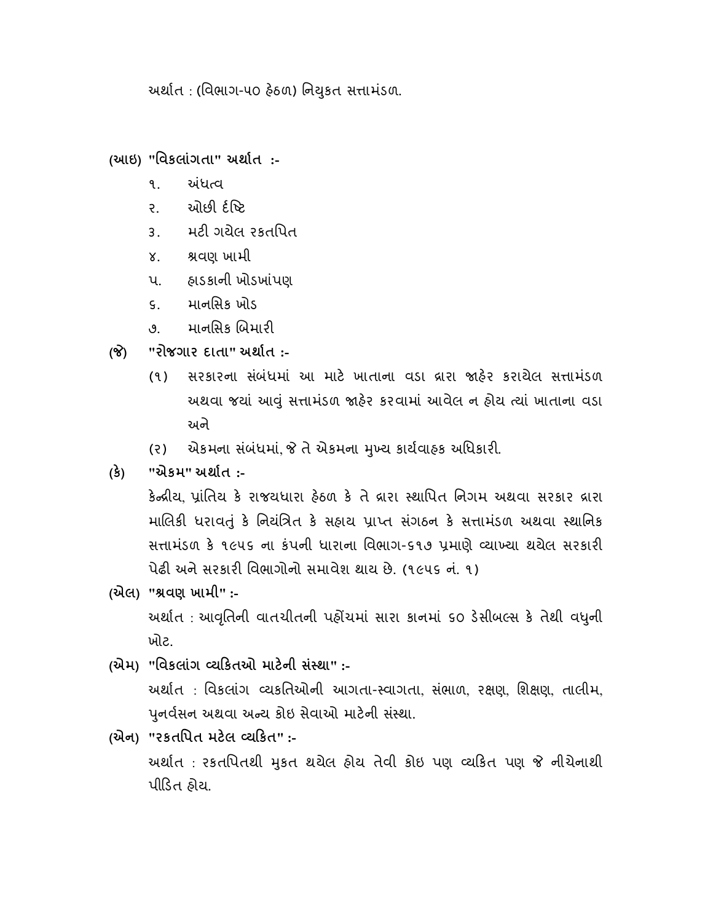અર્થાત : (વિભાગ-૫૦ હેઠળ) નિયુકત સત્તામંડળ.

(આઇ) "િવકલાંગતા" અથાત :-

- ૧. અંધત્વ
- ર. ઓછી ર્દષ્ટિ
- ૩. મટી ગયેલ રકતપિત
- ૪. શ્રવણ ખામી
- પ. હાડકાની ખોડખાંપણ
- ૬. માનિસક ખોડ
- ૭. માનસિક બિમારી
- (જે) "રોજગાર દાતા" અર્થાત :-
	- (૧) સરકારના સંબંધમાં આ માટે ખાતાના વડા દ્રારા જાહેર કરાયેલ સત્તામંડળ અથવા જયાં આવું સત્તામંડળ જાહેર કરવામાં આવેલ ન હોય ત્યાં ખાતાના વડા અને
	- (૨) એકમના સંબંધમાં, જે તે એકમના મુખ્ય કાર્યવાહક અધિકારી.
- (ક) "એકમ" અથાત :-

કેન્દ્રીય, પાંતિય કે રાજયધારા ઠેઠળ કે તે દ્રારા સ્થાપિત નિગમ અથવા સરકાર દ્રારા માલિકી ધરાવતું કે નિયંત્રિત કે સહાય પ્રાપ્ત સંગઠન કે સત્તામંડળ અથવા સ્થાનિક સત્તામંડળ કે ૧૯૫૬ ના કંપની ધારાના વિભાગ-૬૧૭ પ્રમાણે વ્યાખ્યા થયેલ સરકારી પેઢી અને સરકારી વિભાગોનો સમાવેશ થાય છે. (૧૯૫૬ નં. ૧)

- (એલ) "વણ ખામી" :- અર્થાત : આવૃતિની વાતચીતની પહોંચમાં સારા કાનમાં ૬૦ ડેસીબલ્સ કે તેથી વધુની ખોટ.
- (એમ) "વિકલાંગ વ્યકિતઓ માટેની સંસ્થા" :-અથાત : િવકલાંગ યકિતઓની આગતા- વાગતા, સ ંભાળ, રણ, િશણ, તાલીમ, પુનર્વસન અથવા અન્ય કોઇ સેવાઓ માટેની સંસ્થા.
- (એન) "રકતિપત મટલ યકત" :- અર્થાત : રકતપિતથી મુકત થયેલ હોય તેવી કોઇ પણ વ્યકિત પણ જે નીચેનાથી પીડત હોય.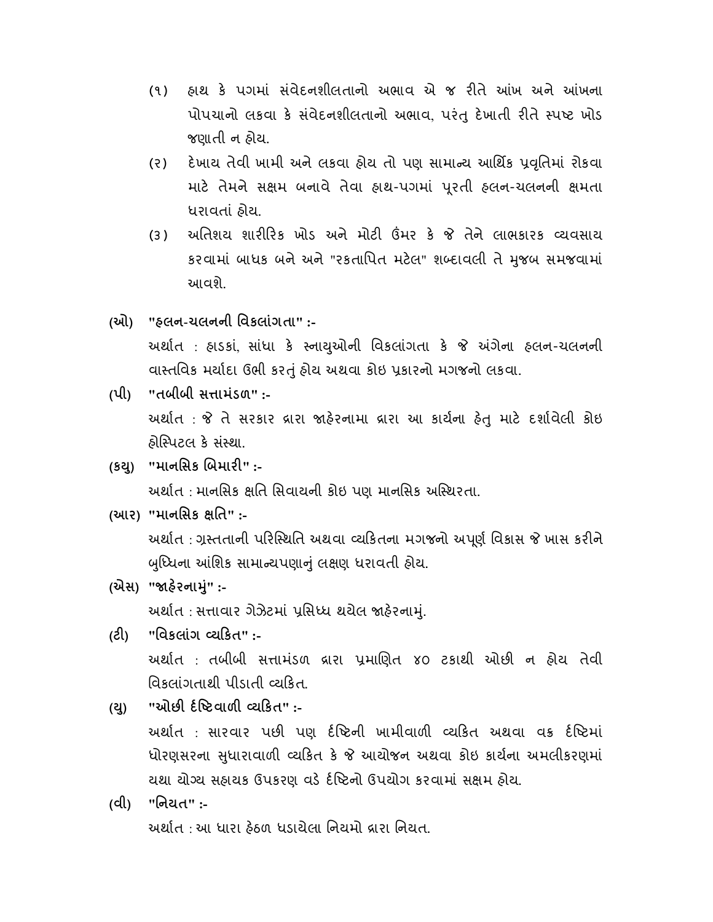- (૧) હાથ કે પગમાં સંવેદનશીલતાનો અભાવ એ જ રીતે આંખ અને આંખના પોપચાનો લકવા કે સંવેદનશીલતાનો અભાવ, પરંતુ દેખાતી રીતે સ્પષ્ટ ખોડ જણાતી ન હોય.
- (૨) દેખાય તેવી ખામી અને લકવા હોય તો પણ સામાન્ય આર્થિક પ્રવૃતિમાં રોકવા માટે તેમને સક્ષમ બનાવે તેવા હાથ-પગમાં પુરતી હલન-ચલનની ક્ષમતા ધરાવતાં હોય.
- (૩) અતિશય શારીરિક ખોડ અને મોટી ઉંમર કે જે તેને લાભકારક વ્યવસાય કરવામાં બાધક બને અને "રકતાિપત મટલ" શ દાવલી તે જબ સમજવામાં ુ આવશે.
- (ઓ) "હલન-ચલનની િવકલાંગતા" :- અર્થાત : હ્રાડકાં, સાંધા કે સ્નાયુઓની વિકલાંગતા કે જે અંગેના હલન-ચલનની વા તિવક મયાદા ઉભી કરું હોય અથવા કોઇ કારનો મગજનો લકવા.
- $(4)$  "તબીબી સત્તામંડળ" :-અર્થાત: જે તે સરકાર વ્રારા જાહેરનામા વ્રારા આ કાર્યના હેતુ માટે દર્શાવેલી કોઇ હોસ્પિટલ કે સંસ્થા.
- (કથ) "માનસિક બિમારી" :-અર્થાત : માનસિક ક્ષતિ સિવાયની કોઇ પણ માનસિક અસ્થિરતા.
- (આર) "માનસિક ક્ષતિ" :-અર્થાત : ગ્રસ્તતાની પરિસ્થિતિ અથવા વ્યકિતના મગજનો અપૂર્ણ વિકાસ જે ખાસ કરીને બુધ્ધિના આંશિક સામાન્યપણાનું લક્ષણ ધરાવતી હોય.
- (એસ) "જાહેરનામું" :-અર્થાત: સત્તાવાર ગેઝેટમાં પ્રસિધ્ધ થયેલ જાહેરનામું.
- (ટ) "િવકલાંગ યકત" :- અર્થાત : તબીબી સત્તામંડળ દ્રારા પ્રમાણિત ૪૦ ટકાથી ઓછી ન હોય તેવી વિકલાંગતાથી પીડાતી વ્યકિત.
- $(2)$  "ઓછી ર્દષ્ટિવાળી વ્યકિત" :-અર્થાત : સારવાર પછી પણ ર્દષ્ટિની ખામીવાળી વ્યકિત અથવા વક્ર ર્દષ્ટિમાં ધોરણસરના સુધારાવાળી વ્યકિત કે જે આયોજન અથવા કોઇ કાર્યના અમલીકરણમાં યથા યોગ્ય સહાયક ઉપકરણ વડે ર્દષ્ટિનો ઉપયોગ કરવામાં સક્ષમ હોય.
- (વી) "િનયત" :- અર્થાત : આ ધારા ઠેઠળ ધડાયેલા નિયમો દ્રારા નિયત.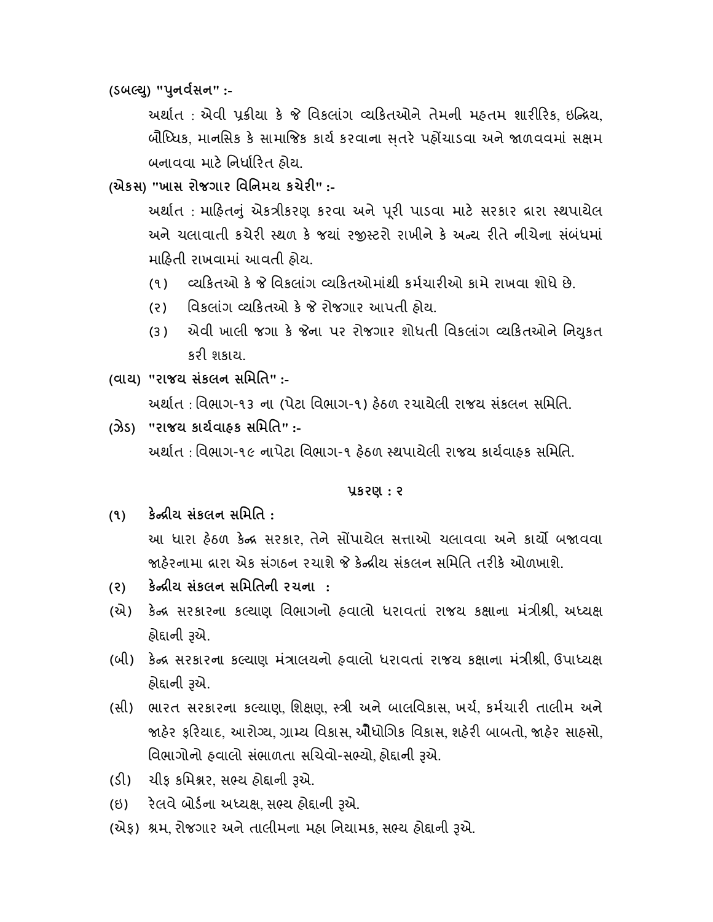(ડબલ્યુ) "પુનર્વસન" :-

અર્થાત : એવી પ્રક્રીયા કે જે વિકલાંગ વ્યકિતઓને તેમની મહતમ શારીરિક, ઇન્નિય, બૌધ્ધિક, માનસિક કે સામાજિક કાર્ય કરવાના સતરે પહોંચાડવા અને જાળવવમાં સક્ષમ બનાવવા માટે નિર્ધારિત હોય.

(એકસ) "ખાસ રોજગાર િવિનમય કચેર" :-

અર્થાત: માહિતનું એકત્રીકરણ કરવા અને પૂરી પાડવા માટે સરકાર દ્રારા સ્થપાયેલ અને ચલાવાતી કચેરી સ્થળ કે જયાં રજીસ્ટરો રાખીને કે અન્ય રીતે નીચેના સંબંધમાં માહતી રાખવામાં આવતી હોય.

- (૧) યકતઓ ક િવકલા ંગ યકતઓમાંથી કમચારઓ કામે રાખવા શોધે છે.
- (૨) િવિકલાંગ વ્યકિતઓ કે જે રોજગાર આપતી હોય.
- (૩) એવી ખાલી જગા કે જેના પર રોજગાર શોધતી વિકલાંગ વ્યકિતઓને નિયુકત કરી શકાય.
- (વાય) "રાજય સંકલન સિમિત" :- અથાત : િવભાગ-૧૩ ના (પેટા િવભાગ-૧) હઠળ રચાયેલી રાજય સંકલન સિમિત.
- (ઝેડ) "રાજય કાયવાહક સિમિત" :- અથાત : િવભાગ-૧૯ નાપેટા િવભાગ-૧ હઠળ થપાયેલી રાજય કાયવાહક સિમિત.

કરણ : ૨

- $(9)$  કેન્દ્રીય સંકલન સમિતિ : આ ધારા હેઠળ કેન્દ્ર સરકાર તેને સોંપાયેલ સત્તાઓ ચલાવવા અને કાર્યો બજાવવા જાહેરનામા દ્રારા એક સંગઠન રચાશે જે કેન્દ્રીય સંકલન સમિતિ તરીકે ઓળખાશે.
- (૨) કેન્દ્રીય સંકલન સમિતિની રચના :
- (એ) કેન્દ્ર સરકારના કલ્યાણ વિભાગનો હવાલો ધરાવતાં રાજય કક્ષાના મંત્રીશ્રી અધ્યક્ષ હોદ્દાની રૂએ.
- (બી) કેન્દ્ર સરકારના કલ્યાણ મંત્રાલયનો હવાલો ધરાવતાં રાજય કક્ષાના મંત્રીશ્રી ઉપાધ્યક્ષ હોદ્દાની રૂએ.
- (સી) ભારત સરકારના કલ્યાણ શિક્ષણ સ્ત્રી અને બાલવિકાસ, ખર્ચ, કર્મચારી તાલીમ અને જાહેર ફરિયાદ, આરોગ્ય, ગ્રામ્ય વિકાસ, ઔૈધોગિક વિકાસ, શહેરી બાબતો, જાહેર સાહસો, વિભાગોનો હવાલો સંભાળતા સચિવો-સભ્યો, હોદ્દાની રૂએ.
- (ડી) ચીફ કમિશ્નર, સભ્ય હોદ્દાની રૂએ.
- (ઇ) રેલવે બોર્ડના અધ્યક્ષ, સભ્ય હોદ્દાની રૂએ.
- (એક) શ્રમ, રોજગાર અને તાલીમના મહા નિયામક, સભ્ય હોદ્દાની રૂએ.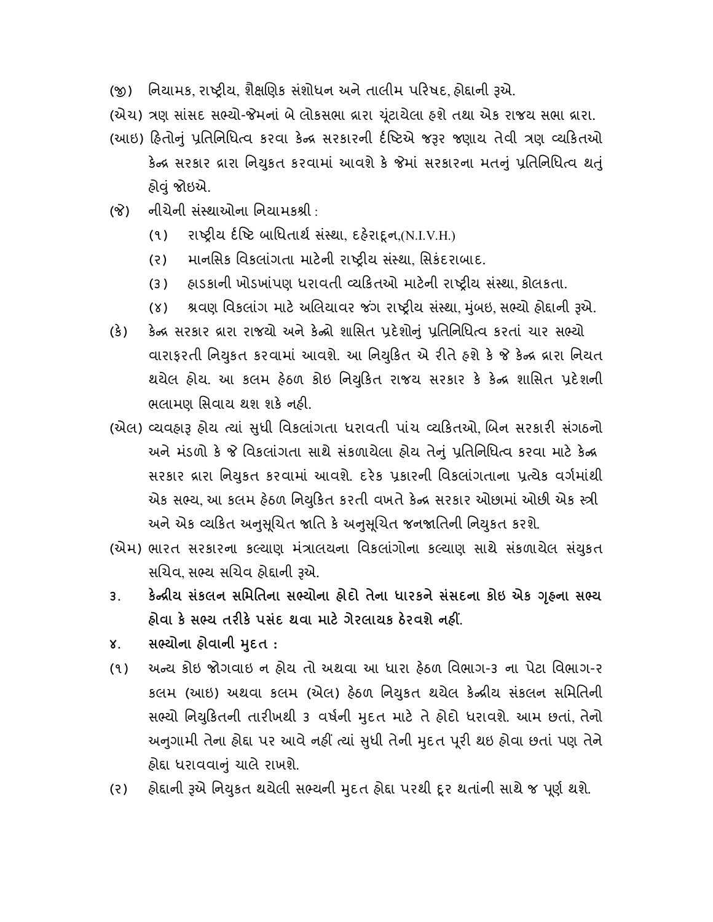- (જી) નિયામક, રાષ્ટ્રીય, શૈક્ષણિક સંશોધન અને તાલીમ પરિષદ, હોદ્દાની રૂએ.
- (એચ) ત્રણ સાંસદ સભ્યો-જેમનાં બે લોકસભા દ્રારા યુંટાયેલા હશે તથા એક રાજય સભા દ્રારા.
- (આઇ) હિતોનું પ્રતિનિધિત્વ કરવા કેન્દ્ર સરકારની ર્દષ્ટિએ જરૂર જણાય તેવી ત્રણ વ્યકિતઓ કેન્દ્ર સરકાર દ્રારા નિયુકત કરવામાં આવશે કે જેમાં સરકારના મતનું પ્રતિનિધિત્વ થતું હોું જોઇએ.
- (જે) નીચેની સંસ્થાઓના નિયામકશ્રી :
	- (૧) રા ય દિ ટ બાિધતાથ સ ં થા, દહરાૂન,(N.I.V.H.)
	- (૨) માનસિક વિકલાંગતા માટેની રાષ્ટ્રીય સંસ્થા, સિકંદરાબાદ.
	- (૩) હાડકાની ખોડખાંપણ ધરાવતી વ્યકિતઓ માટેની રાષ્ટીય સંસ્થા કોલકતા.
	- (૪) શ્રવણ વિકલાંગ માટે અલિયાવર જંગ રાષ્ટ્રીય સંસ્થા, મુંબઇ, સભ્યો હોદ્દાની રૂએ.
- (કે) કેન્દ્ર સરકાર દ્રારા રાજયો અને કેન્દ્રો શાસિત પ્રદેશોનું પ્રતિનિધિત્વ કરતાં ચાર સભ્યો વારાફરતી નિયુકત કરવામાં આવશે. આ નિયુકિત એ રીતે હશે કે જે કેન્દ્ર દ્રારા નિયત થયેલ હોય. આ કલમ હેઠળ કોઇ નિયુકિત રાજય સરકાર કે કેન્દ્ર શાસિત પ્રદેશની ભલામણ સિવાય થશ શકે નહી.
- (એલ) વ્યવહારૂ હોય ત્યાં સુધી વિકલાંગતા ધરાવતી પાંચ વ્યકિતઓ, બિન સરકારી સંગઠનો અને મંડળો કે જે વિકલાંગતા સાથે સંકળાયેલા હોય તેનું પ્રતિનિધિત્વ કરવા માટે કેન્દ્ર સરકાર દ્રારા નિયુકત કરવામાં આવશે. દરેક પ્રકારની વિકલાંગતાના પ્રત્યેક વર્ગમાંથી એક સભ્ય, આ કલમ હેઠળ નિયુકિત કરતી વખતે કેન્દ્ર સરકાર ઓછામાં ઓછી એક સ્ત્રી અને એક વ્યકિત અનુસૂચિત જાતિ કે અનુસૂચિત જનજાતિની નિયુકત કરશે.
- (એમ) ભારત સરકારના કલ્યાણ મંત્રાલયના વિકલાંગોના કલ્યાણ સાથે સંકળાયેલ સંયુકત સચિવ, સભ્ય સચિવ હોદ્દાની રૂએ.
- ૩. કેન્દ્રીય સંકલન સમિતિના સભ્યોના હોદો તેના ધારકને સંસદના કોઇ એક ગૃહના સભ્ય હોવા કે સભ્ય તરીકે પસંદ થવા માટે ગેરલાયક ઠેરવશે નહીં.
- ૪. સભ્યોના હોવાની મુદત :
- (૧) અ ય કોઇ જોગવાઇ ન હોય તો અથવા આ ધારા હઠળ િવભાગ-૩ ના પેટા િવભાગ-ર કલમ (આઇ) અથવા કલમ (એલ) હેઠળ નિયુકત થયેલ કેન્ન્રીય સંકલન સમિતિની સભ્યો નિયુકિતની તારીખથી ૩ વર્ષની મદત માટે તે હોદો ધરાવશે. આમ છતાં, તેનો અનુગામી તેના હોદ્દા પર આવે નહીં ત્યાં સુધી તેની મુદત પૂરી થઇ હોવા છતાં પણ તેને હોદ્દા ધરાવવાનું ચાલે રાખશે.
- (૨) હોદાની રૂએ નિયુકત થયેલી સભ્યની મુદત હોદ્દા પરથી દૂર થતાંની સાથે જ પૂર્ણ થશે.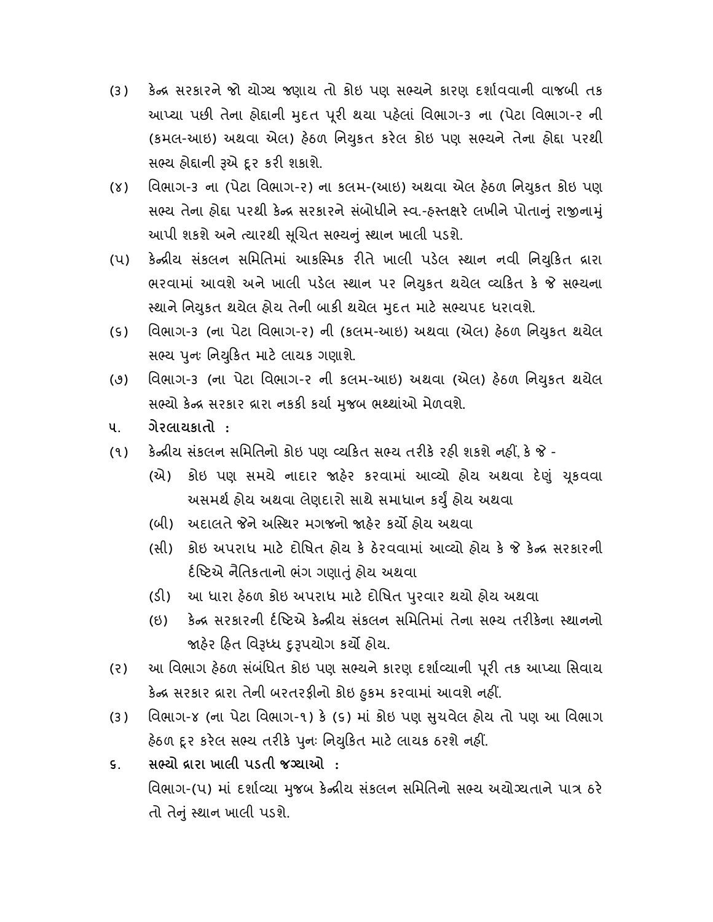- (૩) કેન્દ્ર સરકારને જો યોગ્ય જણાય તો કોઇ પણ સભ્યને કારણ દર્શાવવાની વાજબી તક આપ્યા પછી તેના હોદ્દાની મુદત પૂરી થયા પહેલાં વિભાગ-૩ ના (પેટા વિભાગ-૨ ની (કમલ-આઇ) અથવા એલ) હેઠળ નિયુકત કરેલ કોઇ પણ સભ્યને તેના હોદ્દા પરથી સભ્ય હોદ્દાની રૂએ દૂર કરી શકાશે.
- (૪) વિભાગ-૩ ના (પેટા વિભાગ-૨) ના કલમ-(આઇ) અથવા એલ હેઠળ નિયુકત કોઇ પણ સભ્ય તેના હોદ્દા પરથી કેન્દ્ર સરકારને સંબોધીને સ્વ.-હસ્તક્ષરે લખીને પોતાનું રાજીનામું આપી શકશે અને ત્યારથી સૂચિત સભ્યનું સ્થાન ખાલી પડશે.
- (૫) કેન્દ્રીય સંકલન સમિતિમાં આકસ્મિક રીતે ખાલી પડેલ સ્થાન નવી નિયુકિત દ્રારા ભરવામાં આવશે અને ખાલી પડેલ સ્થાન પર નિયુકત થયેલ વ્યકિત કે જે સભ્યના સ્થાને નિયુકત થયેલ હોય તેની બાકી થયેલ મુદત માટે સભ્યપદ ધરાવશે.
- (૬) વિભાગ-૩ (ના પેટા વિભાગ-૨) ની (કલમ-આઇ) અથવા (એલ) હેઠળ નિયુકત થયેલ સભ્ય પૂનઃ નિયુકિત માટે લાયક ગણાશે.
- (૭) િવભાગ-૩ (ના પેટા િવભાગ-ર ની કલમ-આઇ) અથવા (એલ) હઠળ િનકત થયેલ ુ સભ્યો કેન્દ્ર સરકાર દ્રારા નકકી કર્યા મુજબ ભશ્થાંઓ મેળવશે.
- ૫. ગેરલાયકાતો :
- (૧) કેન્દ્રીય સંકલન સમિતિનો કોઇ પણ વ્યકિત સભ્ય તરીકે રહી શકશે નહીં, કે જે -
	- (એ) કોઇ પણ સમયે નાદાર જાહેર કરવામાં આવ્યો હોય અથવા દેણું ચૂકવવા અસમર્થ હોય અથવા લેણદારો સાથે સમાધાન કર્યું હોય અથવા
	- (બી) અદાલતે જેને અસ્થિર મગજનો જાહેર કર્યો હોય અથવા
	- (સી) કોઇ અપરાધ માટ દોિષત હોય ક ઠરવવામાં આ યો હોય ક ક સરકારની ર્દષ્ટિએ નૈતિકતાનો ભંગ ગણાતું હોય અથવા
	- (ડી) આ ધારા હેઠળ કોઇ અપરાધ માટે દોષિત પુરવાર થયો હોય અથવા
	- (ઇ) કેન્દ્ર સરકારની ર્દષ્ટિએ કેન્દ્રીય સંકલન સમિતિમાં તેના સભ્ય તરીકેના સ્થાનનો જાહેર હિત વિરૂધ્ધ દુરૂપયોગ કર્યો હોય.
- (૨) આ વિભાગ હેઠળ સંબંધિત કોઇ પણ સભ્યને કારણ દર્શાવ્યાની પૂરી તક આપ્યા સિવાય કન્દ્ર સરકાર દ્રારા તેના બરતરફાના કાઇ ફુકમ કરવામાં આવશે નહા.
- (૩) િવભાગ-૪ (ના પેટા િવભાગ-૧) ક (૬) માં કોઇ પણ ચવેલ હોય તો પણ આ િવભાગ ુ હેઠળ દૂર કરેલ સભ્ય તરીકે પુનઃ નિયુકિત માટે લાયક ઠરશે નહીં.
- ૬. સ યો ારા ખાલી પડતી જ યાઓ : વિભાગ-(૫) માં દર્શાવ્યા મુજબ કેન્દ્રીય સંકલન સમિતિનો સભ્ય અયોગ્યતાને પાત્ર ઠરે તો તેનું સ્થાન ખાલી પડશે.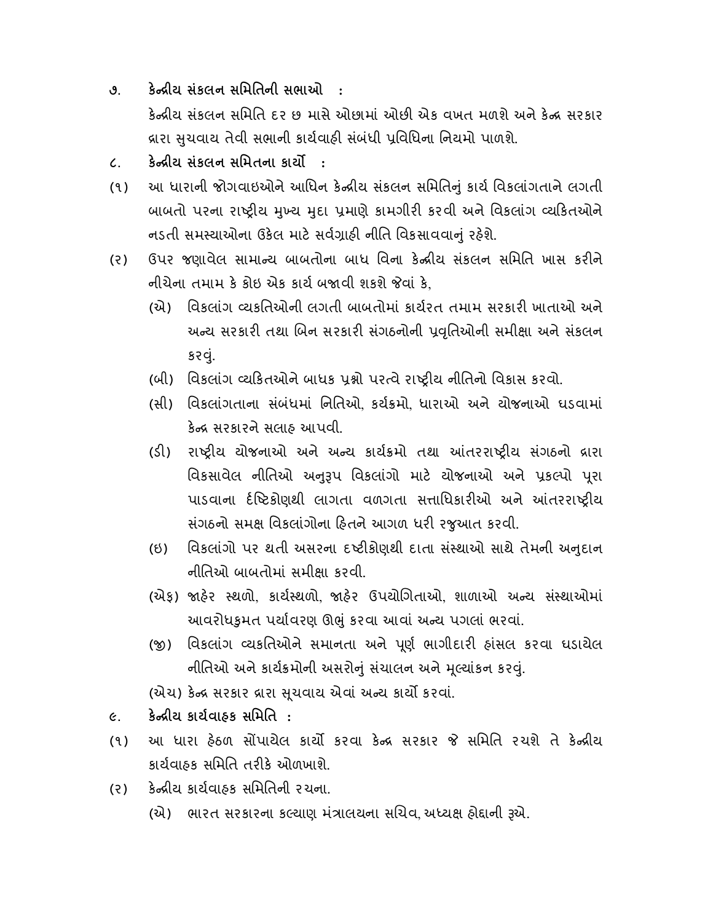- ૭. કેન્દ્રીય સંકલન સમિતિની સભાઓ : કેન્દ્રીય સંકલન સમિતિ દર છ માસે ઓછામાં ઓછી એક વખત મળશે અને કેન્દ્ર સરકાર વ્રારા સચવાય તેવી સભાની કાર્યવાઠી સંબંધી પવિધિના નિયમો પાળશે.
- ૮. કેન્દ્રીય સંકલન સમિતના કાર્યો :
- (૧) આ ધારાની જોગવાઇઓને આધિન કેન્દ્રીય સંકલન સમિતિનું કાર્ય વિકલાંગતાને લગતી બાબતો પરના રાષ્ટ્રીય મુખ્ય મુદા પ્રમાણે કામગીરી કરવી અને વિકલાંગ વ્યકિતઓને નડતી સમસ્યાઓના ઉકેલ માટે સર્વગ્રાફી નીતિ વિકસાવવાનું રહેશે.
- (૨) ઉપર જણાવેલ સામાન્ય બાબતોના બાધ વિના કેન્દ્રીય સંકલન સમિતિ ખાસ કરીને નીચેના તમામ કે કોઇ એક કાર્ય બજાવી શકશે જેવાં કે.
	- (એ) વિકલાંગ વ્યકતિઓની લગતી બાબતોમાં કાર્યરત તમામ સરકારી ખાતાઓ અને અન્ય સરકારી તથા બિન સરકારી સંગઠનોની પ્રવૃતિઓની સમીક્ષા અને સંકલન કરું.
	- (બી) વિકલાંગ વ્યકિતઓને બાધક પ્રશ્નો પરત્વે રાષ્ટ્રીય નીતિનો વિકાસ કરવો.
	- (સી) વિકલાંગતાના સંબંધમાં નિતિઓ, કર્યક્રમો, ધારાઓ અને યોજનાઓ ઘડવામાં કેન્દ્ર સરકારને સલાહ આપવી.
	- (ડી) રાષ્ટ્રીય યોજનાઓ અને અન્ય કાર્યક્રમો તથા આંતરરાષ્ટ્રીય સંગઠનો દ્રારા વિકસાવેલ નીતિઓ અનુરૂપ વિકલાંગો માટે યોજનાઓ અને પ્રકલ્પો પૂરા પાડવાના ર્દષ્ટિકોણથી લાગતા વળગતા સત્તાધિકારીઓ અને આંતરરાષ્ટ્રીય સંગઠનો સમક્ષ વિકલાંગોના હિતને આગળ ધરી રજ઼આત કરવી.
	- (ઇ) વિકલાંગો પર થતી અસરના દષ્ટીકોણથી દાતા સંસ્થાઓ સાથે તેમની અનુદાન નીતિઓ બાબતોમાં સમીક્ષા કરવી.
	- (એક) જાહેર સ્થળો, કાર્યસ્થળો, જાહેર ઉપયોગિતાઓ, શાળાઓ અન્ય સંસ્થાઓમાં આવરોધકુમત પર્યાવરણ ઊભું કરવા આવાં અન્ય પગલાં ભરવાં.
	- (જી) વિકલાંગ વ્યકતિઓને સમાનતા અને પૂર્ણ ભાગીદારી હાંસલ કરવા ઘડાયેલ નીતિઓ અને કાર્યક્રમોની અસરોનું સંચાલન અને મૃલ્યાંકન કરવું.

(એચ) કેન્દ્ર સરકાર દ્રારા સૂચવાય એવાં અન્ય કાર્યો કરવાં.

- ૯. કેન્દ્રીય કાર્યવાઠક સમિતિ :
- (૧) આ ધારા હેઠળ સોંપાયેલ કાર્યો કરવા કેન્દ્ર સરકાર જે સમિતિ રચશે તે કેન્દ્રીય કાર્યવાહક સમિતિ તરીકે ઓળખાશે.
- (૨) કેન્દ્રીય કાર્યવાહક સમિતિની રચના.
	- (એ) ભારત સરકારના કલ્યાણ મંત્રાલયના સચિવ, અધ્યક્ષ હોદ્દાની રૂએ.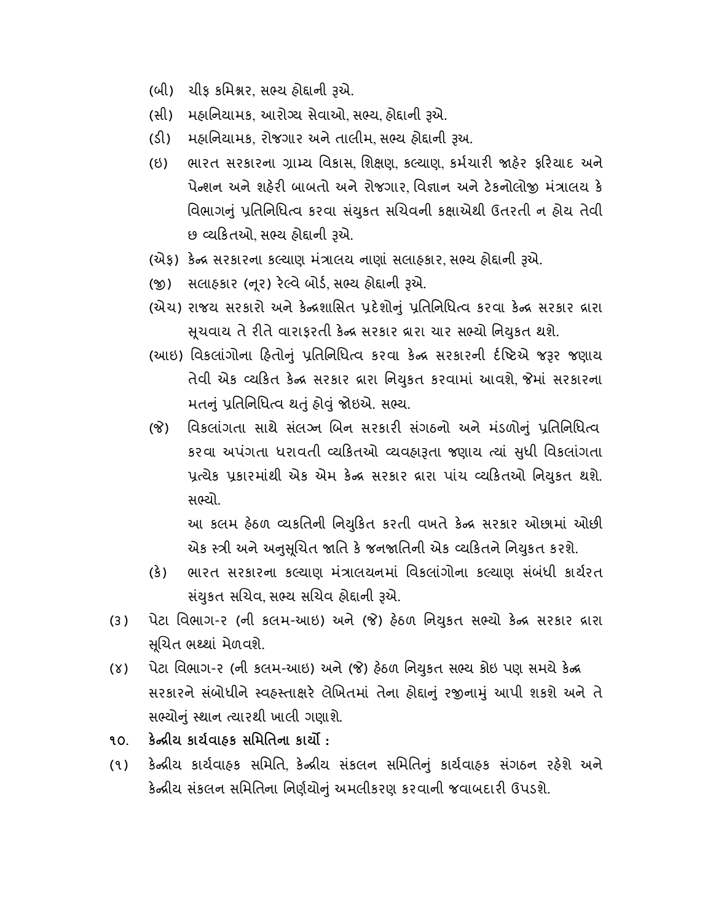- (બી) ચીફ કિમર, સ ય હોાની એ.
- (સી) મહાનિયામક, આરોગ્ય સેવાઓ, સભ્ય, હોદ્દાની રૂએ.
- (ડી) મહાનિયામક, રોજગાર અને તાલીમ, સભ્ય હોદ્દાની રૂઅ.
- (ઇ) ભારત સરકારના ગ્રામ્ય વિકાસ, શિક્ષણ, કલ્યાણ, કર્મચારી જાહેર કરિયાદ અને પેન્શન અને શહેરી બાબતો અને રોજગાર વિજ્ઞાન અને ટેકનોલોજી મંત્રાલય કે વિભાગનું પ્રતિનિધિત્વ કરવા સંયુકત સચિવની કક્ષાએથી ઉતરતી ન હોય તેવી છ વ્યકિતઓ, સભ્ય હોદ્દાની રૂએ.
- (એફ) કેન્દ્ર સરકારના કલ્યાણ મંત્રાલય નાણાં સલાહકાર, સભ્ય હોદ્દાની રૂએ.
- (જી) સલાહકાર (નૂર) રેલ્વે બોર્ડ, સભ્ય હોદ્દાની રૂએ.
- (એચ) રાજય સરકારો અને કેન્દ્રશાસિત પ્રદેશોનું પ્રતિનિધિત્વ કરવા કેન્દ્ર સરકાર દ્રારા સુચવાય તે રીતે વારાફરતી કેન્દ્ર સરકાર દ્રારા ચાર સભ્યો નિયુકત થશે.
- (આઇ) વિકલાંગોના હિતોનું પ્રતિનિધિત્વ કરવા કેન્દ્ર સરકારની ર્દષ્ટિએ જરૂર જણાય તેવી એક વ્યકિત કેન્દ્ર સરકાર દ્રારા નિયુકત કરવામાં આવશે જેમાં સરકારના મતનું પ્રતિનિધિત્વ થતું હોવું જોઇએ. સભ્ય.
- (જે) વિકલાંગતા સાથે સંલગ્ન બિન સરકારી સંગઠનો અને મંડળોનું પ્રતિનિધિત્વ કરવા અપંગતા ધરાવતી વ્યકિતઓ વ્યવહારૂતા જણાય ત્યાં સુધી વિકલાંગતા પ્રત્યેક પ્રકારમાંથી એક એમ કેન્દ્ર સરકાર દ્રારા પાંચ વ્યકિતઓ નિયુકત થશે. સભ્યો.

આ કલમ હેઠળ વ્યકતિની નિયુકિત કરતી વખતે કેન્દ્ર સરકાર ઓછામાં ઓછી એક સ્ત્રી અને અનુસુચિત જાતિ કે જનજાતિની એક વ્યકિતને નિયુકત કરશે.

- (કે) ભારત સરકારના કલ્યાણ મંત્રાલયનમાં વિકલાંગોના કલ્યાણ સંબંધી કાર્યરત સંયુકત સચિવ સભ્ય સચિવ હોદ્દાની રૂએ.
- (૩) પેટા વિભાગ-૨ (ની કલમ-આઇ) અને (જે) હેઠળ નિયુકત સભ્યો કેન્દ્ર સરકાર દ્રારા સુચિત ભથ્થાં મેળવશે.
- (૪) પેટા વિભાગ-૨ (ની કલમ-આઇ) અને (જે) હેઠળ નિયુકત સભ્ય કોઇ પણ સમયે કેન્દ્ર સરકારને સંબોધીને સ્વહસ્તાક્ષરે લેખિતમાં તેના હોદ્દાનું રજીનામું આપી શકશે અને તે સભ્યોનું સ્થાન ત્યારથી ખાલી ગણાશે.
- ૧૦. કેન્દ્રીય કાર્યવાહક સમિતિના કાર્યો :
- (૧) કેન્દ્રીય કાર્યવાહક સમિતિ, કેન્દ્રીય સંકલન સમિતિનું કાર્યવાહક સંગઠન રહેશે અને કેન્દ્રીય સંકલન સમિતિના નિર્ણયોનું અમલીકરણ કરવાની જવાબદારી ઉપડશે.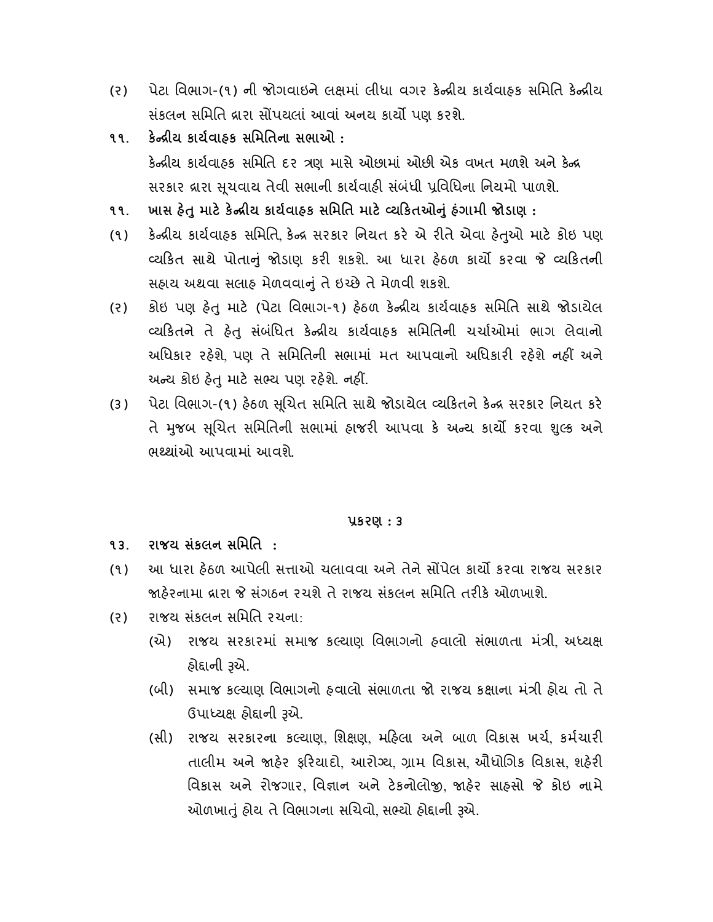- (૨) પેટા વિભાગ-(૧) ની જોગવાઇને લક્ષમાં લીધા વગર કેન્દ્રીય કાર્યવાહક સમિતિ કેન્દ્રીય સંકલન સમિતિ દ્રારા સોંપયલાં આવાં અનય કાર્યો પણ કરશે.
- ૧૧. કેન્દ્રીય કાર્યવાઠક સમિતિના સભાઓ : કેન્દ્રીય કાર્યવાહક સમિતિ દર ત્રણ માસે ઓછામાં ઓછી એક વખત મળશે અને કેન્દ્ર સરકાર વ્રારા સુચવાય તેવી સભાની કાર્યવાહી સંબંધી પ્રવિધિના નિયમો પાળશે.
- ૧૧. ખાસ હેતુ માટે કેન્દ્રીય કાર્યવાહક સમિતિ માટે વ્યકિતઓનું હંગામી જોડાણ :
- (૧) કેન્દ્રીય કાર્યવાહક સમિતિ, કેન્દ્ર સરકાર નિયત કરે એ રીતે એવા હેતુઓ માટે કોઇ પણ વ્યકિત સાથે પોતાનું જોડાણ કરી શકશે. આ ધારા હેઠળ કાર્યો કરવા જે વ્યકિતની સહાય અથવા સલાહ મેળવવાું તે ઇ છે તે મેળવી શકશે.
- (૨) કોઇ પણ હેતુ માટે (પેટા વિભાગ-૧) હેઠળ કેન્દ્રીય કાર્યવાહક સમિતિ સાથે જોડાયેલ વ્યકિતને તે હેતુ સંબંધિત કેન્દ્રીય કાર્યવાહક સમિતિની ચર્ચાઓમાં ભાગ લેવાનો અધિકાર રહેશે. પણ તે સમિતિની સભામાં મત આપવાનો અધિકારી રહેશે નહીં અને અન્ય કોઇ હેત માટે સભ્ય પણ રહેશે. નહીં.
- (૩) પેટા વિભાગ-(૧) હેઠળ સુચિત સમિતિ સાથે જોડાયેલ વ્યકિતને કેન્દ્ર સરકાર નિયત કરે તે મુજબ સૂચિત સમિતિની સભામાં હાજરી આપવા કે અન્ય કાર્યો કરવા શુલ્ક અને ભ થાંઓ આપવામાં આવશે.

## કરણ : ૩

- ૧૩. રાજય સંકલન સિમિત :
- (૧) આ ધારા હેઠળ આપેલી સત્તાઓ ચલાવવા અને તેને સોંપેલ કાર્યો કરવા રાજય સરકાર જાઠેરનામા દ્રારા જે સંગઠન રચશે તે રાજય સંકલન સમિતિ તરીકે ઓળખાશે.
- (ર) રાજય સંકલન સિમિત રચના:
	- (એ) રાજય સરકારમાં સમાજ કલ્યાણ વિભાગનો હવાલો સંભાળતા મંત્રી, અધ્યક્ષ હોદાની રૂએ.
	- (બી) સમાજ કલ્યાણ વિભાગનો હવાલો સંભાળતા જો રાજય કક્ષાના મંત્રી હોય તો તે ઉપાધ્યક્ષ હોદ્દાની રૂએ.
	- (સી) રાજય સરકારના કલ્યાણ, શિક્ષણ, મહિલા અને બાળ વિકાસ ખર્ચ, કર્મચારી તાલીમ અને જાહેર ફરિયાદો, આરોગ્ય, ગ્રામ વિકાસ, ઔધોગિક વિકાસ, શહેરી વિકાસ અને રોજગાર, વિજ્ઞાન અને ટેકનોલોજી, જાહેર સાહસો જે કોઇ નામે ઓળખાતું હોય તે વિભાગના સચિવો, સભ્યો હોદાની રૂએ.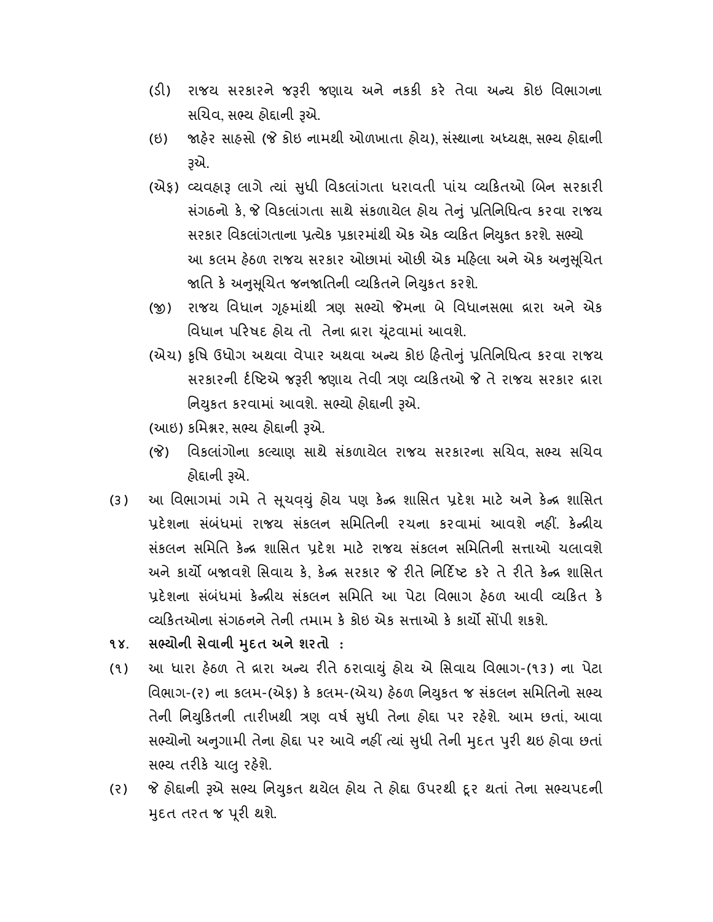- (ડી) રાજય સરકારને જરૂરી જણાય અને નકકી કરે તેવા અન્ય કોઇ વિભાગના સચિવ, સભ્ય હોદ્દાની રૂએ.
- (ઇ) જાહેર સાહસો (જે કોઇ નામથી ઓળખાતા હોય) સંસ્થાના અધ્યક્ષ સભ્ય હોદ્દાની એ.
- (એફ) વ્યવહારૂ લાગે ત્યાં સુધી વિકલાંગતા ધરાવતી પાંચ વ્યકિતઓ બિન સરકારી સંગઠનો કે, જે વિકલાંગતા સાથે સંકળાયેલ હોય તેનું પ્રતિનિધિત્વ કરવા રાજય સરકાર વિકલાંગતાના પ્રત્યેક પ્રકારમાંથી એક એક વ્યકિત નિયુકત કરશે. સભ્યો આ કલમ હેઠળ રાજય સરકાર ઓછામાં ઓછી એક મહિલા અને એક અનુસૂચિત જાતિ કે અનુસુચિત જનજાતિની વ્યકિતને નિયુકત કરશે.
- (જી) રાજય વિધાન ગૃહમાંથી ત્રણ સભ્યો જેમના બે વિધાનસભા વ્રારા અને એક િવધાન પરષદ હોય તો તેના ારા ૂંટવામાં આવશે.
- (એચ) કૃષિ ઉધોગ અથવા વેપાર અથવા અન્ય કોઇ હિતોનું પ્રતિનિધિત્વ કરવા રાજય સરકારની ર્દષ્ટિએ જરૂરી જણાય તેવી ત્રણ વ્યકિતઓ જે તે રાજય સરકાર દ્રારા નિયુકત કરવામાં આવશે. સભ્યો હોદ્દાની રૂએ.
- (આઇ) કમિશ્નર, સભ્ય હોદ્દાની રૂએ.
- (જે) વિકલાંગોના કલ્યાણ સાથે સંકળાયેલ રાજય સરકારના સચિવ, સભ્ય સચિવ હોદ્દાની રૂએ.
- (૩) આ વિભાગમાં ગમે તે સુચવયું હોય પણ કેન્દ્ર શાસિત પ્રદેશ માટે અને કેન્દ્ર શાસિત પ્રદેશના સંબંધમાં રાજય સંકલન સમિતિની રચના કરવામાં આવશે નહીં. કેન્દ્રીય સંકલન સમિતિ કેન્દ્ર શાસિત પ્રદેશ માટે રાજય સંકલન સમિતિની સત્તાઓ ચલાવશે અને કાર્યો બજાવશે સિવાય કે, કેન્દ્ર સરકાર જે રીતે નિર્દિષ્ટ કરે તે રીતે કેન્દ્ર શાસિત પ્રદેશના સંબંધમાં કેન્દ્રીય સંકલન સમિતિ આ પેટા વિભાગ હેઠળ આવી વ્યકિત કે વ્યકિતઓના સંગઠનને તેની તમામ કે કોઇ એક સત્તાઓ કે કાર્યો સોંપી શકશે.
- ૧૪. સભ્યોની સેવાની મુદત અને શરતો :
- (૧) આ ધારા હેઠળ તે વ્રારા અન્ય રીતે ઠરાવાયું હોય એ સિવાય વિભાગ-(૧૩) ના પેટા વિભાગ-(૨) ના કલમ-(એફ) કે કલમ-(એચ) હેઠળ નિયુકત જ સંકલન સમિતિનો સભ્ય તેની નિયુકિતની તારીખથી ત્રણ વર્ષ સુધી તેના હોદ્દા પર રહેશે. આમ છતાં, આવા સભ્યોનો અનુગામી તેના હોદ્દા પર આવે નહીં ત્યાં સુધી તેની મુદત પુરી થઇ હોવા છતાં સભ્ય તરીકે ચાલુ રહેશે.
- (૨) જે હોદ્દાની રૂએ સભ્ય નિયુકત થયેલ હોય તે હોદ્દા ઉપરથી દૂર થતાં તેના સભ્યપદની મુદત તરત જ પૂરી થશે.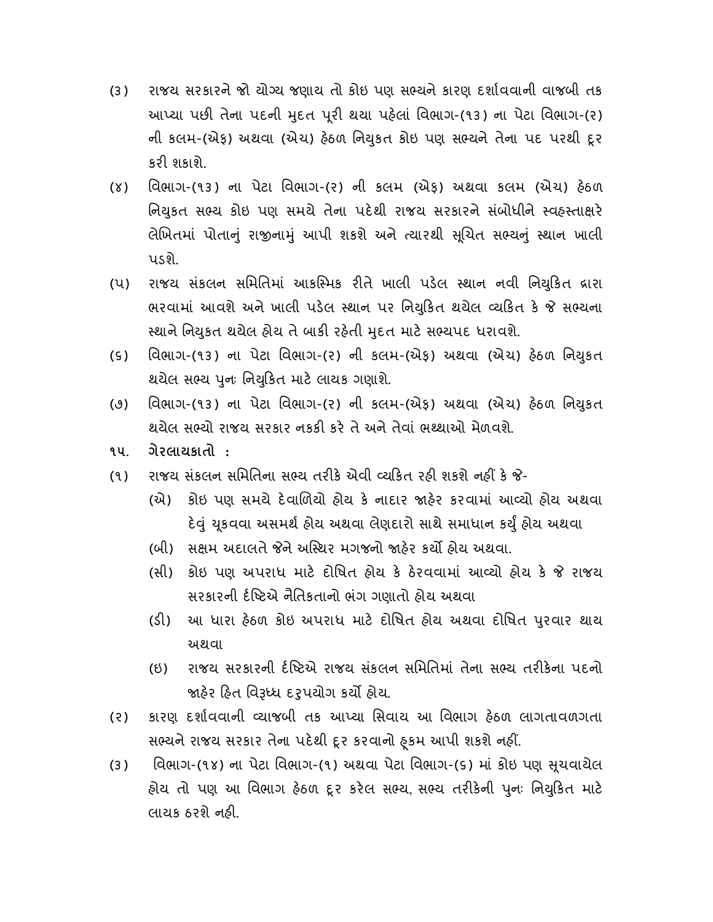- (૩) રાજય સરકારને જો યોગ્ય જણાય તો કોઇ પણ સભ્યને કારણ દર્શાવવાની વાજબી તક આપ્યા પછી તેના પદની મુદત પૂરી થયા પહેલાં વિભાગ-(૧૩) ના પેટા વિભાગ-(૨) ની કલમ-(એફ) અથવા (એચ) હેઠળ નિયુકત કોઇ પણ સભ્યને તેના પદ પરથી દૂર કરી શકાશે.
- (૪) િવભાગ-(૧૩) ના પેટા િવભાગ-(ર) ની કલમ (એફ) અથવા કલમ (એચ) હઠળ નિયુકત સભ્ય કોઇ પણ સમયે તેના પદેથી રાજય સરકારને સંબોધીને સ્વહસ્તાક્ષરે લેખિતમાં પોતાનું રાજીનામું આપી શકશે અને ત્યારથી સૂચિત સભ્યનું સ્થાન ખાલી પડશે.
- (પ) રાજય સંકલન સમિતિમાં આકસ્મિક રીતે ખાલી પડેલ સ્થાન નવી નિયુકિત દ્રારા ભરવામાં આવશે અને ખાલી પડેલ સ્થાન પર નિયુકિત થયેલ વ્યકિત કે જે સભ્યના સ્થાને નિયુકત થયેલ હોય તે બાકી રહેતી મુદત માટે સભ્યપદ ધરાવશે.
- (૬) વિભાગ-(૧૩) ના પેટા વિભાગ-(૨) ની કલમ-(એફ) અથવા (એચ) હેઠળ નિયુકત થયેલ સભ્ય પુનઃ નિયુકિત માટે લાયક ગણાશે.
- (૭) વિભાગ-(૧૩) ના પેટા વિભાગ-(૨) ની કલમ-(એફ) અથવા (એચ) હેઠળ નિયુકત થયેલ સભ્યો રાજય સરકાર નકકી કરે તે અને તેવાં ભથ્થાઓ મેળવશે.
- ૧૫. ગેરલાયકાતો :
- (૧) રાજય સંકલન સમિતિના સભ્ય તરીકે એવી વ્યકિત રહી શકશે નહીં કે જે-
	- (એ) કોઇ પણ સમયે દવાળયો હોય ક નાદાર હર કરવામાં આ યો હોય અથવા દેવું યૂકવવા અસમર્થ હોય અથવા લેણદારો સાથે સમાધાન કર્યું હોય અથવા
	- (બી) સક્ષમ અદાલતે જેને અસ્થિર મગજનો જાહેર કર્યો હોય અથવા.
	- (સી) કોઇ પણ અપરાધ માટે દોષિત હોય કે ઠેરવવામાં આવ્યો હોય કે જે રાજય સરકારની ર્દષ્ટિએ નૈતિકતાનો ભંગ ગણાતો હોય અથવા
	- (ડી) આ ધારા હેઠળ કોઇ અપરાધ માટે દોષિત હોય અથવા દોષિત પુરવાર થાય અથવા
	- (ઇ) રાજય સરકારની ર્દષ્ટિએ રાજય સંકલન સમિતિમાં તેના સભ્ય તરીકેના પદનો જાહેર હિત વિરૂધ્ધ દરૂપયોગ કર્યા હોય.
- (૨) કારણ દશાવવાની યાજબી તક આ યા િસવાય આ િવભાગ હઠળ લાગતાવળગતા સભ્યને રાજય સરકાર તેના પદેથી દૂર કરવાનો ફૂકમ આપી શકશે નહીં.
- (૩) વિભાગ-(૧૪) ના પેટા વિભાગ-(૧) અથવા પેટા વિભાગ-(૬) માં કોઇ પણ સૂચવાચેલ હોય તો પણ આ વિભાગ હેઠળ દૂર કરેલ સભ્ય, સભ્ય તરીકેની પુનઃ નિયુકિત માટે લાયક ઠરશે નહી.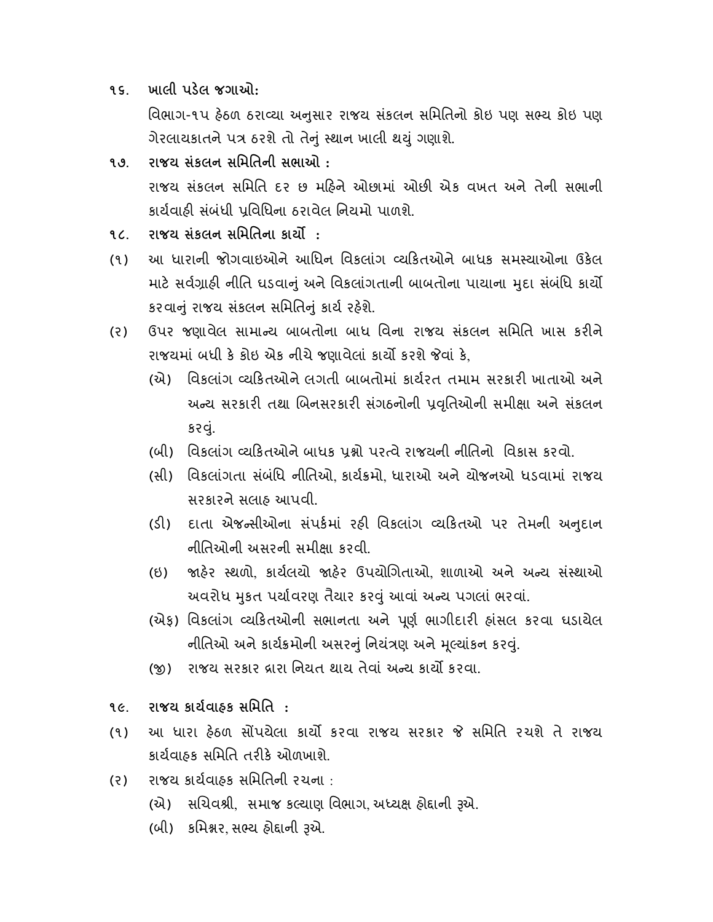૧૬. ખાલી પડલ જગાઓ:

વિભાગ-૧૫ હેઠળ ઠરાવ્યા અનુસાર રાજય સંકલન સમિતિનો કોઇ પણ સભ્ય કોઇ પણ ગેરલાયકાતને પ ઠરશે તો તેું થાન ખાલી થું ગણાશે.

- ૧૭. રાજય સંકલન સિમિતની સભાઓ : રાજય સંકલન સમિતિ દર છ મહિને ઓછામાં ઓછી એક વખત અને તેની સભાની કાર્યવાઠી સંબંધી પુવિધિના ઠરાવેલ નિયમો પાળશે.
- ૧૮. રાજય સંકલન સમિતિના કાર્યો:
- (૧) આ ધારાની જોગવાઇઓને આિધન િવકલાંગ યકતઓને બાધક સમ યાઓના ઉકલ માટે સર્વગ્રાહી નીતિ ધડવાનું અને વિકલાંગતાની બાબતોના પાયાના મુદા સંબંધિ કાર્યો કરવાું રાજય સંકલન સિમિતું કાય રહશે.
- (૨) ઉપર જણાવેલ સામાન્ચ બાબતોના બાધ વિના રાજય સંકલન સમિતિ ખાસ કરીને રાજયમાં બધી કે કોઇ એક નીચે જણાવેલાં કાર્યો કરશે જેવાં કે.
	- (એ) વિકલાંગ વ્યકિતઓને લગતી બાબતોમાં કાર્યરત તમામ સરકારી ખાતાઓ અને અન્ય સરકારી તથા બિનસરકારી સંગઠનોની પ્રવૃતિઓની સમીક્ષા અને સંકલન કરવું.
	- (બી) વિકલાંગ વ્યકિતઓને બાધક પુશ્નો પરત્વે રાજયની નીતિનો વિકાસ કરવો.
	- (સી) વિકલાંગતા સંબંધિ નીતિઓ, કાર્યક્રમો, ધારાઓ અને ચોજનઓ ધડવામાં રાજય સરકારને સલાહ આપવી.
	- (ડી) દાતા એજન્સીઓના સંપર્કમાં રહી વિકલાંગ વ્યકિતઓ પર તેમની અનુદાન નીિતઓની અસરની સમીા કરવી.
	- (ઇ) જાહેર સ્થળો, કાર્યલયો જાહેર ઉપયોગિતાઓ, શાળાઓ અને અન્ય સંસ્થાઓ અવરોધ મુકત પર્યાવરણ તૈયાર કરવું આવાં અન્ય પગલાં ભરવાં.
	- (એફ) વિકલાંગ વ્યકિતઓની સભાનતા અને પૂર્ણ ભાગીદારી હાંસલ કરવા ઘડાયેલ નીતિઓ અને કાર્યક્રમોની અસરનું નિયંત્રણ અને મૂલ્યાંકન કરવું.
	- (જી) રાજય સરકાર દ્રારા નિયત થાય તેવાં અન્ય કાર્યો કરવા.
- ૧૯. રાજય કાયવાહક સિમિત :
- (૧) આ ધારા હેઠળ સોંપયેલા કાર્યો કરવા રાજય સરકાર જે સમિતિ રચશે તે રાજય કાર્યવાહક સમિતિ તરીકે ઓળખાશે.
- (ર) રાજય કાયવાહક સિમિતની રચના :
	- (એ) સચિવશ્રી, સમાજ કલ્યાણ વિભાગ, અધ્યક્ષ હોદ્દાની રૂએ.
	- (બી) કમિશ્નર, સભ્ય હોદ્દાની રૂએ.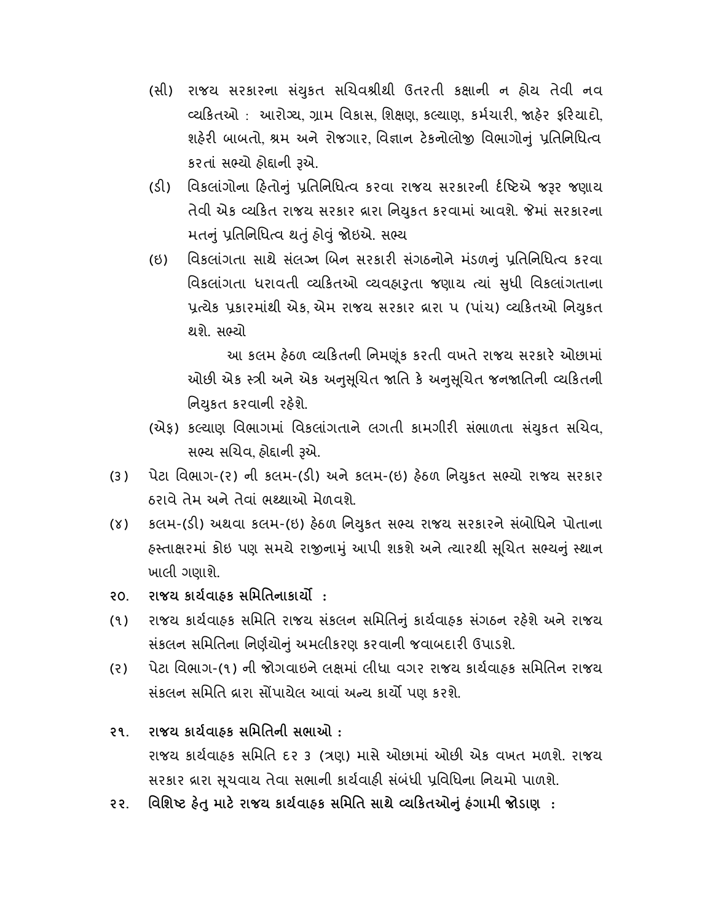- (સી) રાજય સરકારના સંયુકત સચિવશ્રીથી ઉતરતી કક્ષાની ન હોય તેવી નવ વ્યકિતઓ : આરોગ્ય, ગ્રામ વિકાસ, શિક્ષણ, કલ્યાણ, કર્મચારી, જાહેર ફરિયાદો, શહેરી બાબતો, શ્રમ અને રોજગાર, વિજ્ઞાન ટેકનોલોજી વિભાગોનું પ્રતિનિધિત્વ કરતાં સભ્યો હોદ્દાની રૂએ.
- (ડી) વિકલાંગોના હિતોનું પ્રતિનિધિત્વ કરવા રાજય સરકારની ર્દષ્ટિએ જરૂર જણાય તેવી એક વ્યકિત રાજય સરકાર વ્રારા નિયુકત કરવામાં આવશે. જેમાં સરકારના મતનું પ્રતિનિધિત્વ થતું હોવું જોઇએ. સભ્ય
- (ઇ) વિકલાંગતા સાથે સંલગ્ન બિન સરકારી સંગઠનોને મંડળનું પ્રતિનિધિત્વ કરવા વિકલાગતા ધરાવતી વ્યાકતઓ વ્યવહારુતા જણાય ત્યાં સુધી વિકલાગતાના પ્રત્યેક પ્રકારમાંથી એક એમ રાજય સરકાર વ્રારા ૫ (પાંચ) વ્યકિતઓ નિયુકત થશે. સ યો

 આ કલમ હઠળ યકતની િનમૂંક કરતી વખતે રાજય સરકાર ઓછામાં ઓછી એક સ્ત્રી અને એક અનુસુચિત જાતિ કે અનુસુચિત જનજાતિની વ્યકિતની નિયકત કરવાની રહેશે.

- (એફ) કલ્યાણ વિભાગમાં વિકલાંગતાને લગતી કામગીરી સંભાળતા સંયુકત સચિવ, સભ્ય સચિવ, હોદ્દાની રૂએ.
- (૩) પેટા વિભાગ-(૨) ની કલમ-(ડી) અને કલમ-(ઇ) હેઠળ નિયુકત સભ્યો રાજય સરકાર ઠરાવે તેમ અને તેવાં ભ થાઓ મેળવશે.
- (૪) કલમ-(ડી) અથવા કલમ-(ઇ) હેઠળ નિયુકત સભ્ય રાજય સરકારને સંબોધિને પોતાના હસ્તાક્ષરમાં કોઇ પણ સમયે રાજીનામું આપી શકશે અને ત્યારથી સૂચિત સભ્યનું સ્થાન ખાલી ગણાશે.
- ૨૦. રાજય કાર્યવાઠક સમિતિનાકાર્યો :
- (૧) રાજય કાયવાહક સિમિત રાજય સ ંકલન સિમિતું કાયવાહક સ ંગઠન રહશે અને રાજય સંકલન સમિતિના નિર્ણયોનું અમલીકરણ કરવાની જવાબદારી ઉપાડશે.
- (ર) પેટા િવભાગ-(૧) ની જોગવાઇને લમાં લીધા વગર રાજય કાયવાહક સિમિતન રાજય સંકલન સમિતિ વ્રારા સોંપાયેલ આવાં અન્ય કાર્યો પણ કરશે.
- ૨૧. રાજય કાયવાહક સિમિતની સભાઓ : રાજય કાર્યવાહક સમિતિ દ૨ ૩ (ત્રણ) માસે ઓછામાં ઓછી એક વખત મળશે. રાજય સરકાર વ્રારા સુચવાય તેવા સભાની કાર્યવાહી સંબંધી પ્રવિધિના નિયમો પાળશે.
- ૨૨. વિશિષ્ટ હેતુ માટે રાજય કાર્યવાહક સમિતિ સાથે વ્યકિતઓનું હંગામી જોડાણ :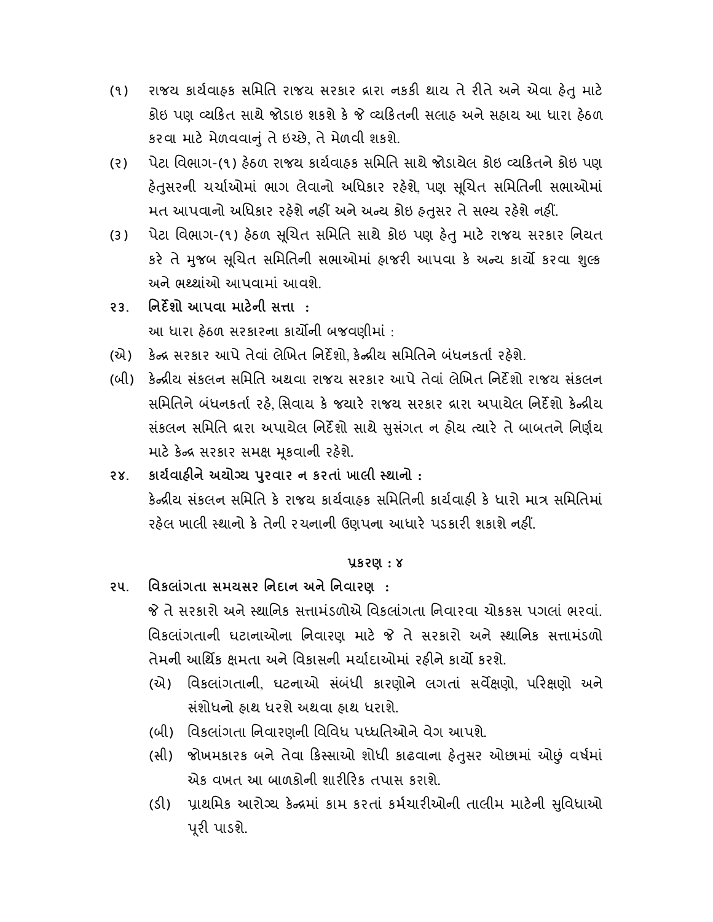- (૧) રાજય કાર્યવાહક સમિતિ રાજય સરકાર દ્રારા નકકી થાય તે રીતે અને એવા હેતુ માટે કોઇ પણ યકત સાથે જોડાઇ શકશે ક યકતની સલાહ અને સહાય આ ધારા હઠળ કરવા માટ મેળવવાું તે ઇ છે, તે મેળવી શકશે.
- (ર) પેટા િવભાગ-(૧) હઠળ રાજય કાયવાહક સિમિત સાથે જોડાયેલ કોઇ યકતને કોઇ પણ હેતસરની ચર્ચાઓમાં ભાગ લેવાનો અધિકાર રહેશે. પણ સચિત સમિતિની સભાઓમાં મત આપવાનો અધિકાર રહેશે નહીં અને અન્ય કોઇ હતુસર તે સભ્ય રહેશે નહીં.
- (3) પેટા વિભાગ-(૧) હેઠળ સૂચિત સમિતિ સાથે કોઇ પણ હેતુ માટે રાજય સરકાર નિયત કરે તે મુજબ સૂચિત સમિતિની સભાઓમાં હાજરી આપવા કે અન્ય કાર્યો કરવા શુલ્ક અને ભથ્થાંઓ આપવામાં આવશે.
- ૨૩. િનદશો આપવા માટની સા : આ ધારા હઠળ સરકારના કાયની બજવણીમા ં :
- (એ) કેન્દ્ર સરકાર આપે તેવાં લેખિત નિર્દેશો. કેન્દ્રીય સમિતિને બંધનકર્તા રહેશે.
- (બી) કેન્દ્રીય સંકલન સમિતિ અથવા રાજય સરકાર આપે તેવાં લેખિત નિર્દેશો રાજય સંકલન સમિતિને બંધનકર્તા રહે, સિવાય કે જયારે રાજય સરકાર દ્રારા અપાયેલ નિર્દેશો કેન્દ્રીય સંકલન સમિતિ વ્રારા અપાયેલ નિર્દેશો સાથે સુસંગત ન હોય ત્યારે તે બાબતને નિર્ણય માટે કેન્દ્ર સરકાર સમક્ષ મૂકવાની રહેશે.
- ૨૪. કાર્યવાહીને અયોગ્ય પુરવાર ન કરતાં ખાલી સ્થાનો : કેન્દ્રીય સંકલન સમિતિ કે રાજય કાર્યવાહક સમિતિની કાર્યવાહી કે ધારો માત્ર સમિતિમાં રહેલ ખાલી સ્થાનો કે તેની રચનાની ઉણપના આધારે પડકારી શકાશે નહીં.

## કરણ : ૪

૨૫. િવકલાંગતા સમયસર િનદાન અને િનવારણ : જે તે સરકારો અને સ્થાનિક સત્તામંડળોએ વિકલાંગતા નિવારવા ચોકકસ પગલાં ભરવાં. વિકલાંગતાની ઘટાનાઓના નિવારણ માટે જે તે સરકારો અને સ્થાનિક સત્તામંડળો

તેમની આર્થિક ક્ષમતા અને વિકાસની મર્યાદાઓમાં રહીને કાર્યો કરશે.

- (એ) િવકલા ંગતાની, ઘટનાઓ સંબ ંધી કારણોને લગતાં સવણો, પરણો અને સ ંશોધનો હાથ ધરશે અથવા હાથ ધરાશે.
- (બી) િવકલા ંગતા િનવારણની િવિવધ પ ધિતઓને વેગ આપશે.
- (સી) જોખમકારક બને તેવા કિસ્સાઓ શોધી કાઢવાના હેતુસર ઓછામાં ઓછું વર્ષમાં એક વખત આ બાળકોની શારીરિક તપાસ કરાશે.
- (ડી) પ્રાથમિક આરોગ્ય કેન્દ્રમાં કામ કરતાં કર્મચારીઓની તાલીમ માટેની સુવિધાઓ પૂરી પાડશે.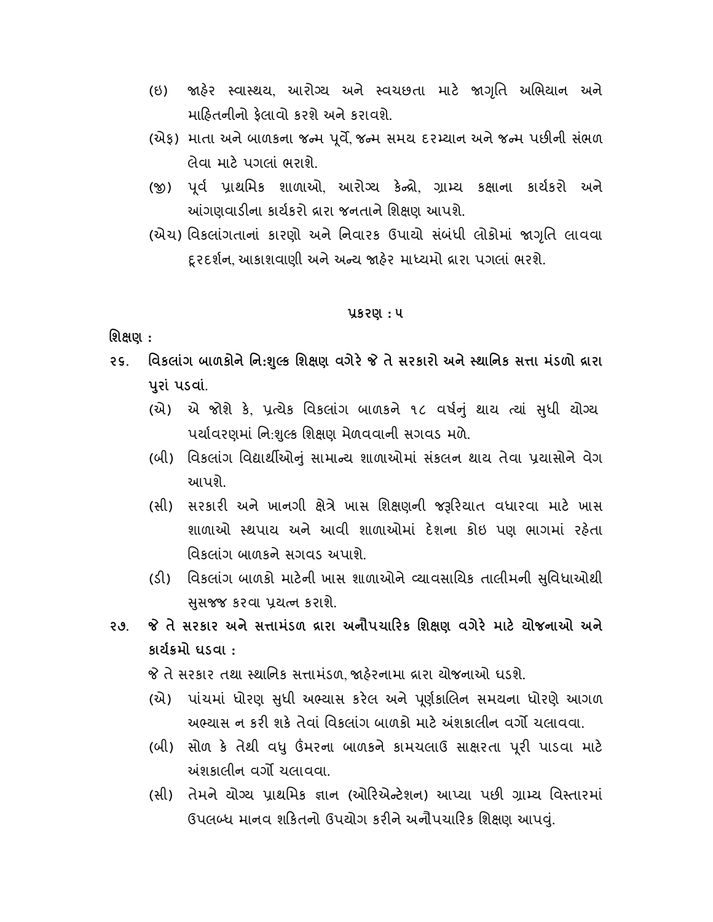- (ઇ) જાહેર સ્વાસ્થય, આરોગ્ય અને સ્વચછતા માટે જાગૃતિ અભિયાન અને માહતનીનો ફલાવો કરશે અને કરાવશે.
- (એફ) માતા અને બાળકના જન્મ પૂર્વે જન્મ સમય દરમ્યાન અને જન્મ પછીની સંભળ લેવા માટ પગલાં ભરાશે.
- (જી) પૂર્વ પ્રાથમિક શાળાઓ, આરોગ્ય કેન્દ્રો, ગ્રામ્ય કક્ષાના કાર્યકરો અને આંગણવાડીના કાર્યકરો વ્રારા જનતાને શિક્ષણ આપશે.
- (એચ) વિકલાંગતાનાં કારણો અને નિવારક ઉપાયો સંબંધી લોકોમાં જાગૃતિ લાવવા દૃરદર્શન, આકાશવાણી અને અન્ય જાહેર માધ્યમો વ્રારા પગલાં ભરશે.

#### કરણ : ૫

## િશણ :

- ૨૬. વિકલાંગ બાળકોને નિ:શુલ્ક શિક્ષણ વગેરે જે તે સરકારો અને સ્થાનિક સત્તા મંડળો દ્રારા પુરાં પડવાં.
	- (એ) એ જોશે કે, પ્રત્યેક વિકલાંગ બાળકને ૧૮ વર્ષનું થાય ત્યાં સુધી યોગ્ય પર્યાવરણમાં નિ:શુલ્ક શિક્ષણ મેળવવાની સગવડ મળે.
	- (બી) વિકલાંગ વિદ્યાર્થીઓનું સામાન્ય શાળાઓમાં સંકલન થાય તેવા પ્રયાસોને વેગ આપશે.
	- (સી) સરકારી અને ખાનગી ક્ષેત્રે ખાસ શિક્ષણની જરૂરિયાત વધારવા માટે ખાસ શાળાઓ થપાય અને આવી શાળાઓમાં દશના કોઇ પણ ભાગમાં રહતા વિકલાંગ બાળકને સગવડ અપાશે.
	- (ડી) વિકલાંગ બાળકો માટેની ખાસ શાળાઓને વ્યાવસાયિક તાલીમની સુવિધાઓથી સસજ્જ કરવા પ્રચત્ન કરાશે.
- ૨૭. જે તે સરકાર અને સત્તામંડળ દ્રારા અનૌપચારિક શિક્ષણ વગેરે માટે યોજનાઓ અને કાયમો ઘડવા :
	- જે તે સરકાર તથા સ્થાનિક સત્તામંડળ, જાહેરનામા દ્રારા યોજનાઓ ઘડશે.
	- (એ) પાંચમાં ધોરણ સુધી અભ્યાસ કરેલ અને પૂર્ણકાલિન સમયના ધોરણે આગળ અભ્યાસ ન કરી શકે તેવાં વિકલાંગ બાળકો માટે અંશકાલીન વર્ગો ચલાવવા.
	- (બી) સોળ કે તેથી વધુ ઉંમરના બાળકને કામચલાઉ સાક્ષરતા પૂરી પાડવા માટે અંશકાલીન વર્ગો ચલાવવા.
	- (સી) તેમને યોગ્ય પ્રાથમિક જ્ઞાન (ઓરિએન્ટેશન) આપ્યા પછી ગ્રામ્ય વિસ્તારમાં ઉપલ ધ માનવ શકતનો ઉપયોગ કરને અનૌપચારક િશણ આપું.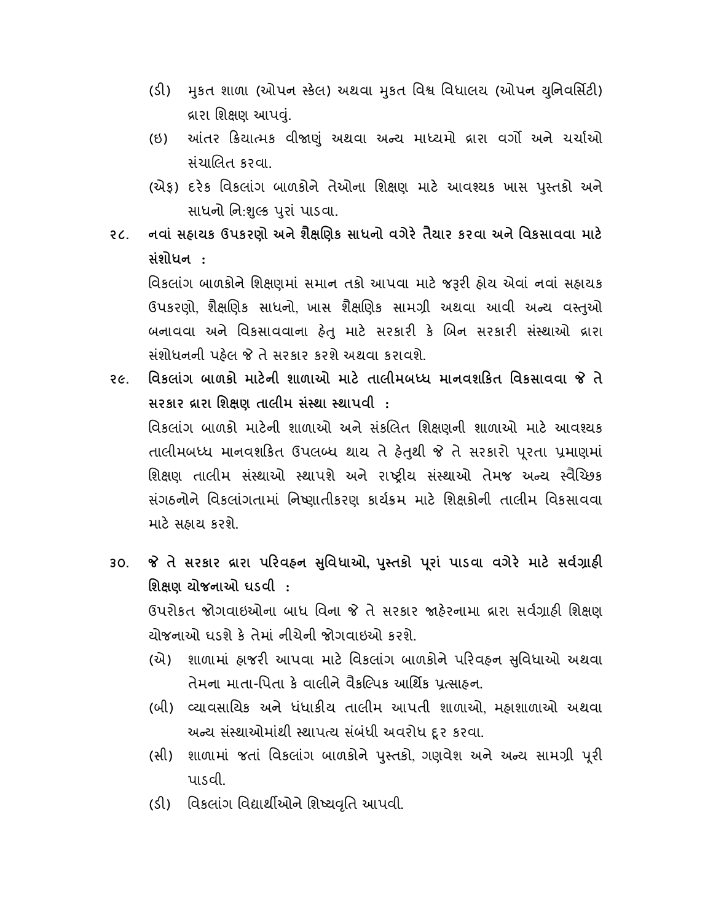- (ડી) મુકત શાળા (ઓપન સ્કેલ) અથવા મુકત વિશ્વ વિધાલય (ઓપન યુનિવર્સિટી) વ્રારા શિક્ષણ આપવં.
- (ઇ) આંતર ક્રિયાત્મક વીજાણું અથવા અન્ય માધ્યમો વ્રારા વર્ગો અને ચર્ચાઓ સ ંચાલત કરવા.
- (એફ) દરેક વિકલાંગ બાળકોને તેઓના શિક્ષણ માટે આવશ્યક ખાસ પસ્તકો અને સાધનો નિ:શુલ્ક પુરાં પાડવા.
- ૨૮. નવાં સહ્રાયક ઉપકરણો અને શૈક્ષણિક સાધનો વગેરે તૈયાર કરવા અને વિકસાવવા માટે સંશોધન :

વિકલાંગ બાળકોને શિક્ષણમાં સમાન તકો આપવા માટે જરૂરી હોય એવાં નવાં સહાયક ઉપકરણો, શૈક્ષણિક સાધનો, ખાસ શૈક્ષણિક સામગ્રી અથવા આવી અન્ય વસ્તૃઓ બનાવવા અને વિકસાવવાના હેતુ માટે સરકારી કે બિન સરકારી સંસ્થાઓ દ્રારા સ ંશોધનની પહલ તે સરકાર કરશે અથવા કરાવશે.

- ૨૯. વિકલાંગ બાળકો માટેની શાળાઓ માટે તાલીમબધ્ધ માનવશકિત વિકસાવવા જે તે સરકાર વ્રારા શિક્ષણ તાલીમ સંસ્થા સ્થાપવી : વિકલાંગ બાળકો માટેની શાળાઓ અને સંકલિત શિક્ષણની શાળાઓ માટે આવશ્યક તાલીમબધ્ધ માનવશકિત ઉપલબ્ધ થાય તે હેતુથી જે તે સરકારો પૂરતા પ્રમાણમાં શિક્ષણ તાલીમ સંસ્થાઓ સ્થાપશે અને રાષ્ટ્રીય સંસ્થાઓ તેમજ અન્ય સ્વૈચ્છિક સંગઠનોને વિકલાંગતામાં નિષ્ણાતીકરણ કાર્યક્રમ માટે શિક્ષકોની તાલીમ વિકસાવવા માટ સહાય કરશે.
- ૩૦. જે તે સરકાર વ્રારા પરિવહન સુવિધાઓ, પુસ્તકો પૂરાં પાડવા વગેરે માટે સર્વગ્રાહી િશણ યોજનાઓ ઘડવી :

ઉપરોકત જોગવાઇઓના બાધ વિના જે તે સરકાર જાહેરનામા વ્રારા સર્વગ્રાહી શિક્ષણ યોજનાઓ ઘડશે ક તેમાં નીચેની જોગવાઇઓ કરશે.

- (એ) શાળામાં હાજરી આપવા માટે વિકલાંગ બાળકોને પરિવહન સુવિધાઓ અથવા તેમના માતા-પિતા કે વાલીને વૈકલ્પિક આર્થિક પ્રત્સાહન.
- (બી) યાવસાિયક અને ધ ંધાકય તાલીમ આપતી શાળાઓ, મહાશાળાઓ અથવા અન્ય સંસ્થાઓમાંથી સ્થાપત્ય સંબંધી અવરોધ દૃર કરવા.
- (સી) શાળામાં જતાં વિકલાંગ બાળકોને પુસ્તકો ગણવેશ અને અન્ય સામગ્રી પૂરી પાડવી.
- (ડી) વિકલાંગ વિદ્યાર્થીઓને શિષ્યવૃતિ આપવી.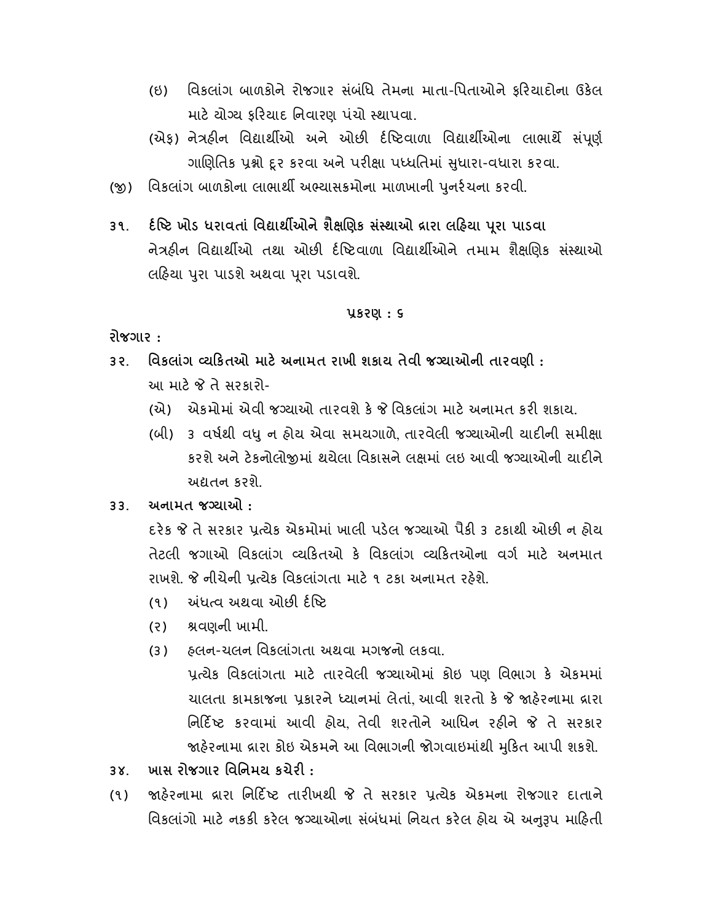- (ઇ) િવિકલાંગ બાળકોને રોજગાર સંબંધિ તેમના માતા-પિતાઓને કરિયાદોના ઉકેલ માટે યોગ્ય કરિયાદ નિવારણ પંચો સ્થાપવા.
- (એફ) નેત્રહીન વિદ્યાર્થીઓ અને ઓછી ર્દષ્ટિવાળા વિદ્યાર્થીઓના લાભાર્થે સંપૂર્ણ ગાણિતિક પ્રશ્નો દૃર કરવા અને પરીક્ષા પધ્ધતિમાં સુધારા-વધારા કરવા.
- (જી) વિકલાંગ બાળકોના લાભાર્થી અભ્યાસક્રમોના માળખાની પુનર્રચના કરવી.
- ૩૧. દીષ્ટિ ખોડ ધરાવતાં વિદ્યાર્થીઓને શૈક્ષણિક સંસ્થાઓ દ્રારા લહિયા પૂરા પાડવા નેત્રહીન વિદ્યાર્થીઓ તથા ઓછી દંષ્ટિવાળા વિદ્યાર્થીઓને તમામ શૈક્ષણિક સંસ્થાઓ લહિયા પુરા પાડશે અથવા પૂરા પડાવશે.

## કરણ : ૬

રોજગાર :

- ૩૨. િવકલાંગ યકતઓ માટ અનામત રાખી શકાય તેવી જ યાઓની તારવણી : આ માટ તે સરકારો-
	- (એ) એકમોમાં એવી જગ્યાઓ તારવશે કે જે વિકલાંગ માટે અનામત કરી શકાય.
	- (બી) ૩ વર્ષથી વધુ ન હોય એવા સમયગાળે તારવેલી જગ્યાઓની યાદીની સમીક્ષા કરશે અને ટેકનોલોજીમાં થયેલા વિકાસને લક્ષમાં લઇ આવી જગ્યાઓની યાદીને અતન કરશે.
- ૩૩. અનામત જ યાઓ :

દરેક જે તે સરકાર પ્રત્યેક એકમોમાં ખાલી પડેલ જગ્યાઓ પૈકી ૩ ટકાથી ઓછી ન હોય તેટલી જગાઓ વિકલાંગ વ્યકિતઓ કે વિકલાંગ વ્યકિતઓના વર્ગ માટે અનમાત રાખશે. જે નીચેની પત્ચેક વિકલાંગતા માટે ૧ ટકા અનામત રહેશે.

- (૧) અંધત્વ અથવા ઓછી ર્દષ્ટિ
- (ર) વણની ખામી.
- (૩) હલન-ચલન િવકલાંગતા અથવા મગજનો લકવા. યેક િવકલા ંગતા માટ તારવેલી જ યાઓમાં કોઇ પણ િવભાગ ક એકમમાં ચાલતા કામકાજના પ્રકારને ધ્યાનમાં લેતાં. આવી શરતો કે જે જાહેરનામા દ્રારા િનદ ટ કરવામાં આવી હોય, તેવી શરતોને આિધન રહને તે સરકાર જાહેરનામા વ્રારા કોઇ એકમને આ વિભાગની જોગવાઇમાંથી મુકિત આપી શકશે.
- ૩૪. ખાસ રોજગાર વિનિમય કચેરી :
- (૧) જાહેરનામા વ્રારા નિર્દિષ્ટ તારીખથી જે તે સરકાર પ્રત્યેક એકમના રોજગાર દાતાને વિકલાંગો માટે નકકી કરેલ જગ્યાઓના સંબંધમાં નિયત કરેલ હોય એ અનુરૂપ માહિતી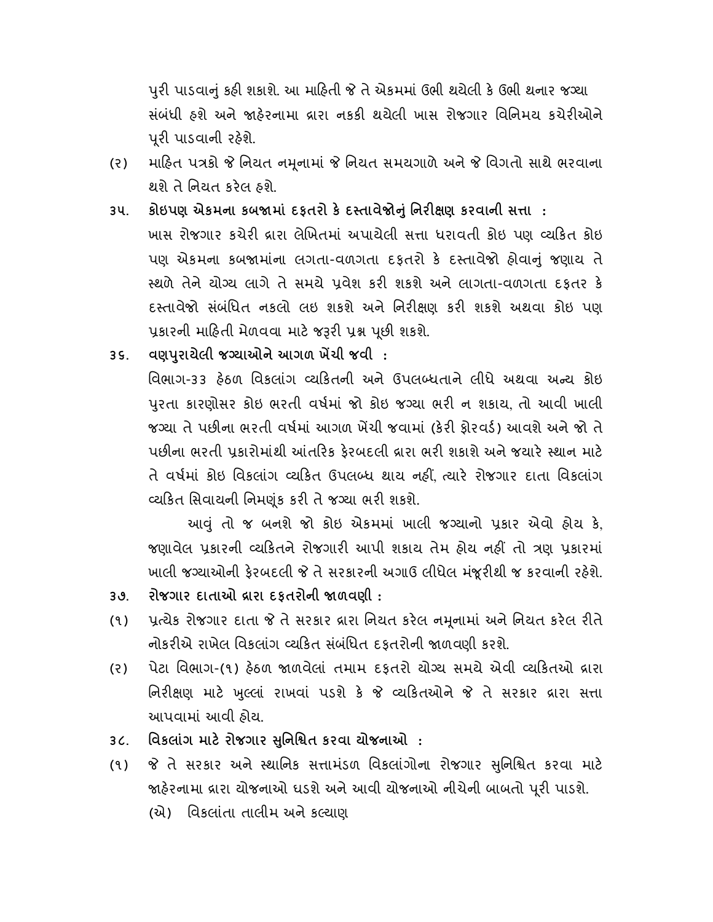પુરી પાડવાનું કહી શકાશે. આ માહિતી જે તે એકમમાં ઉભી થયેલી કે ઉભી થનાર જગ્યા સંબંધી હશે અને જાહેરનામા દ્રારા નકકી થયેલી ખાસ રોજગાર વિનિમય કચેરીઓને પૂરી પાડવાની રહેશે.

- (૨) માહિત પત્રકો જે નિયત નમુનામાં જે નિયત સમયગાળે અને જે વિગતો સાથે ભરવાના થશે તે િનયત કરલ હશે.
- ૩૫. કોઇપણ એકમના કબજામાં દફતરો કે દસ્તાવેજોનું નિરીક્ષણ કરવાની સત્તા : ખાસ રોજગાર કચેરી વ્રારા લેખિતમાં અપાયેલી સત્તા ધરાવતી કોઇ પણ વ્યકિત કોઇ પણ એકમના કબજામાંના લગતા-વળગતા દફતરો કે દસ્તાવેજો હોવાનું જણાય તે સ્થળે તેને યોગ્ય લાગે તે સમયે પ્રવેશ કરી શકશે અને લાગતા-વળગતા દફતર કે દસ્તાવેજો સંબંધિત નકલો લઇ શકશે અને નિરીક્ષણ કરી શકશે અથવા કોઇ પણ પ્રકારની માહિતી મેળવવા માટે જરૂરી પ્રશ્ન પછી શકશે.
- ૩૬. વણપુરાયેલી જગ્યાઓને આગળ ખેંચી જવી: વિભાગ-૩૩ હેઠળ વિકલાંગ વ્યકિતની અને ઉપલબ્ધતાને લીધે અથવા અન્ય કોઇ

પરતા કારણોસર કોઇ ભરતી વર્ષમાં જો કોઇ જગ્યા ભરી ન શકાય, તો આવી ખાલી જગ્યા તે પછીના ભરતી વર્ષમાં આગળ ખેંચી જવામાં (કેરી કોરવર્ડ) આવશે અને જો તે પછીના ભરતી પ્રકારોમાંથી આંતરિક કેરબદલી વ્રારા ભરી શકાશે અને જયારે સ્થાન માટે તે વર્ષમાં કોઇ વિકલાંગ વ્યકિત ઉપલબ્ધ થાય નહીં. ત્યારે રોજગાર દાતા વિકલાંગ વ્યકિત સિવાયની નિમણુંક કરી તે જગ્યા ભરી શકશે.

 આું તો જ બનશે જો કોઇ એકમમાં ખાલી જ યાનો કાર એવો હોય ક, જણાવેલ પ્રકારની વ્યકિતને રોજગારી આપી શકાય તેમ હોય નહીં તો ત્રણ પ્રકારમાં ખાલી જગ્યાઓની ફેરબદલી જે તે સરકારની અગાઉ લીધેલ મંજૂરીથી જ કરવાની રહેશે.

- ૩૭. રોજગાર દાતાઓ દ્રારા દકતરોની જાળવણી :
- (૧) પ્રત્યેક રોજગાર દાતા જે તે સરકાર દ્રારા નિયત કરેલ નમૂનામાં અને નિયત કરેલ રીતે નોકરીએ રાખેલ વિકલાંગ વ્યકિત સંબંધિત દફતરોની જાળવણી કરશે.
- (૨) પેટા વિભાગ-(૧) હેઠળ જાળવેલાં તમામ દકતરો યોગ્ય સમયે એવી વ્યકિતઓ દ્રારા નિરીક્ષણ માટે ખુલ્લાં રાખવાં પડશે કે જે વ્યકિતઓને જે તે સરકાર દ્રારા સત્તા આપવામાં આવી હોય.
- ૩૮. વિકલાંગ માટે રોજગાર સુનિશ્ચિત કરવા યોજનાઓ :
- (૧) જે તે સરકાર અને સ્થાનિક સત્તામંડળ વિકલાંગોના રોજગાર સુનિશ્ચિત કરવા માટે જાહેરનામા દ્રારા યોજનાઓ ઘડશે અને આવી યોજનાઓ નીચેની બાબતો પૂરી પાડશે.
	- (એ) િવકલા ંતા તાલીમ અને ક યાણ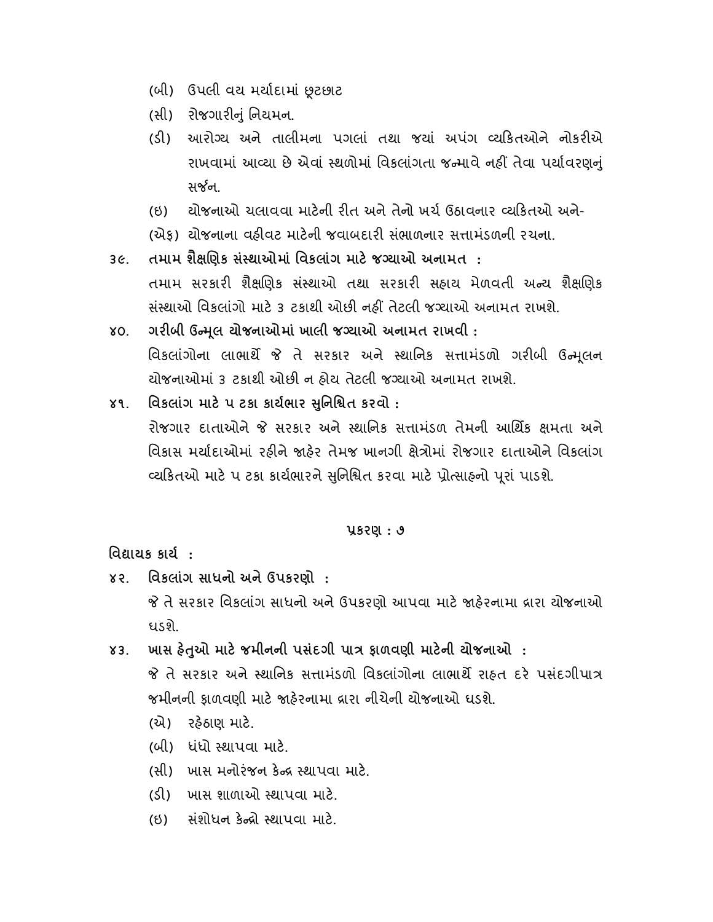- (બી) ઉપલી વય મયાદામાં ટછાટ
- (સી) રોજગારીનું નિયમન.
- (ડી) આરોગ્ય અને તાલીમના પગલાં તથા જયાં અપંગ વ્યકિતઓને નોકરીએ રાખવામાં આવ્યા છે એવાં સ્થળોમાં વિકલાંગતા જન્માવે નહીં તેવા પર્યાવરણનં સર્જન.
- (ઇ) યોજનાઓ ચલાવવા માટની રત અને તેનો ખચ ઉઠાવનાર યકતઓ અને-
- (એક) યોજનાના વઠીવટ માટેની જવાબદારી સંભાળનાર સત્તામંડળની રચના.
- ૩૯. તમામ શૈક્ષણિક સંસ્થાઓમાં વિકલાંગ માટે જગ્યાઓ અનામત : તમામ સરકારી શૈક્ષણિક સંસ્થાઓ તથા સરકારી સહ્યાય મેળવતી અન્ય શૈક્ષણિક સંસ્થાઓ વિકલાંગો માટે ૩ ટકાથી ઓછી નહીં તેટલી જગ્યાઓ અનામત રાખશે.
- ૪૦. ગરીબી ઉન્મુલ યોજનાઓમાં ખાલી જગ્યાઓ અનામત રાખવી: વિકલાંગોના લાભાર્થે જે તે સરકાર અને સ્થાનિક સત્તામંડળો ગરીબી ઉન્મલન યોજનાઓમાં ૩ ટકાથી ઓછી ન હોય તેટલી જગ્યાઓ અનામત રાખશે.
- ૪૧. વિકલાંગ માટે ૫ ટકા કાર્યભાર સુનિશ્વિત કરવો : રોજગાર દાતાઓને જે સરકાર અને સ્થાનિક સત્તામંડળ તેમની આર્થિક ક્ષમતા અને વિકાસ મર્યાદાઓમાં રહીને જાહેર તેમજ ખાનગી ક્ષેત્રોમાં રોજગાર દાતાઓને વિકલાંગ વ્યકિતઓ માટે પ ટકા કાર્યભારને સુનિશ્વિત કરવા માટે પ્રોત્સાહનો પૂરાં પાડશે.

## કરણ : ૭

િવાયક કાય :

- ૪૨. િવકલાંગ સાધનો અને ઉપકરણો : જે તે સરકાર વિકલાંગ સાધનો અને ઉપકરણો આપવા માટે જાહેરનામા વ્રારા યોજનાઓ ઘડશે.
- ૪૩. ખાસ હેતુઓ માટે જમીનની પસંદગી પાત્ર ફાળવણી માટેની યોજનાઓ : જે તે સરકાર અને સ્થાનિક સત્તામંડળો વિકલાંગોના લાભાર્થે રાહ્ન દરે પસંદગીપાત્ર જમીનની ફાળવણી માટ હરનામા ારા નીચેની યોજનાઓ ઘડશે.
	- (એ) રહઠાણ માટ.
	- (બી) ધ ંધો થાપવા માટ.
	- (સી) ખાસ મનોરંજન કેન્દ્ર સ્થાપવા માટે.
	- (ડ) ખાસ શાળાઓ થાપવા માટ.
	- (ઇ) સંશોધન કેન્દ્રો સ્થાપવા માટે.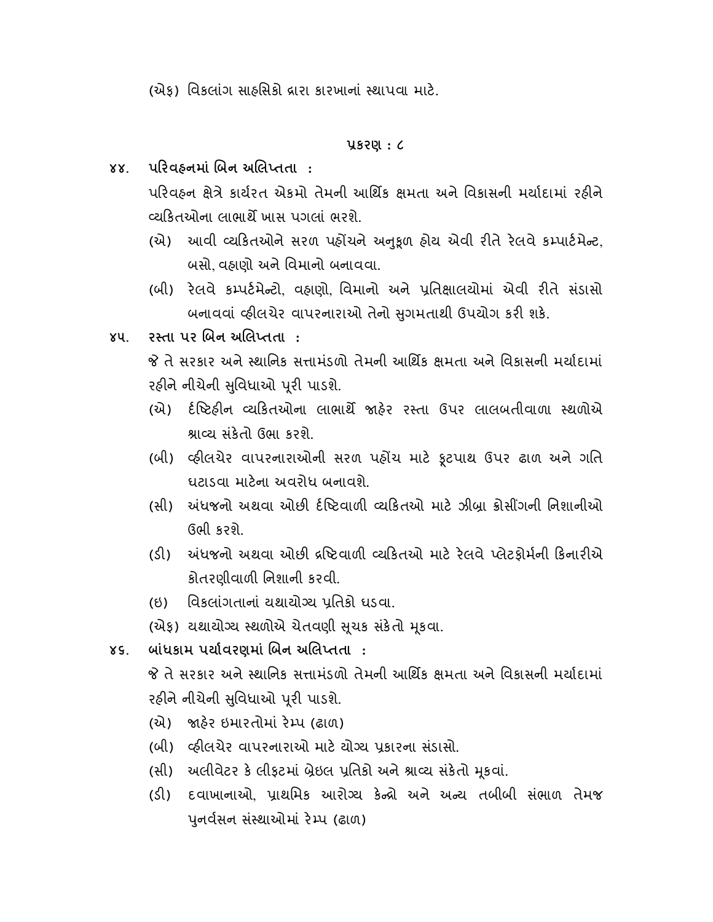(એક) વિકલાંગ સાહસિકો દ્રારા કારખાનાં સ્થાપવા માટે.

## કરણ : ૮

૪૪. પરિવઠનમાં બિન અલિપ્તતા :

પરિવહન ક્ષેત્રે કાર્યરત એકમો તેમની આર્થિક ક્ષમતા અને વિકાસની મર્યાદામાં રહીને યકતઓના લાભાથ ખાસ પગલાં ભરશે.

- (એ) આવી વ્યકિતઓને સરળ પહોંચને અનુકૂળ હોય એવી રીતે રેલવે કમ્પાર્ટમેન્ટ, બસો, વહાણો અને િવમાનો બનાવવા.
- (બી) રલવે ક પટમે ટો, વહાણો, િવમાનો અને િતાલયોમાં એવી રતે સ ંડાસો બનાવવાં વ્હીલચેર વાપરનારાઓ તેનો સુગમતાથી ઉપયોગ કરી શકે.
- ૪૫. રસ્તા પર બિન અલિપ્તતા :
	- તે સરકાર અને થાિનક સામંડળો તેમની આિથક મતા અને િવકાસની મયાદામાં રહીને નીચેની સુવિધાઓ પૂરી પાડશે.
	- (એ) ર્દષ્ટિઠીન વ્યકિતઓના લાભાર્થે જાઠેર રસ્તા ઉપર લાલબતીવાળા સ્થળોએ શ્નાવ્ય સંકેતો ઉભા કરશે.
	- (બી) લ્હીલચેર વાપરનારાઓની સરળ પહોંચ માટે ફૂટપાથ ઉપર ઢાળ અને ગતિ ઘટાડવા માટના અવરોધ બનાવશે.
	- (સી) અંધજનો અથવા ઓછી ર્દષ્ટિવાળી વ્યકિતઓ માટે ઝીબા ક્રોસીંગની નિશાનીઓ ઉભી કરશે.
	- (ડી) ખંધજનો અથવા ઓછી દ્રષ્ટિવાળી વ્યકિતઓ માટે રેલવે પ્લેટફોર્મની કિનારીએ કોતરણીવાળ િનશાની કરવી.
	- (ઇ) વિકલાંગતાનાં યથાયોગ્ય પ્રતિકો ઘડવા.
	- (એફ) યથાયોગ્ય સ્થળોએ ચેતવણી સૂચક સંકેતો મૂકવા.
- ૪૬. બાંધકામ પર્યાવરણમાં બિન અલિપ્તતા :

 તે સરકાર અને થાિનક સામંડળો તેમની આિથક મતા અને િવકાસની મયાદામાં રહીને નીચેની સુવિધાઓ પૂરી પાડશે.

- (એ) જાહેર ઇમારતોમાં રેમ્પ (ઢાળ)
- (બી) વ્હીલચેર વાપરનારાઓ માટે યોગ્ય પ્રકારના સંડાસો.
- (સી) અલીવેટર કે લીફટમાં બ્રેઇલ પ્રતિકો અને શ્રાવ્ય સંકેતો મુકવાં.
- (ડી) દવાખાનાઓ, પ્રાથમિક આરોગ્ય કેન્દ્રો અને અન્ય તબીબી સંભાળ તેમજ પુનર્વસન સંસ્થાઓમાં રેમ્પ (ઢાળ)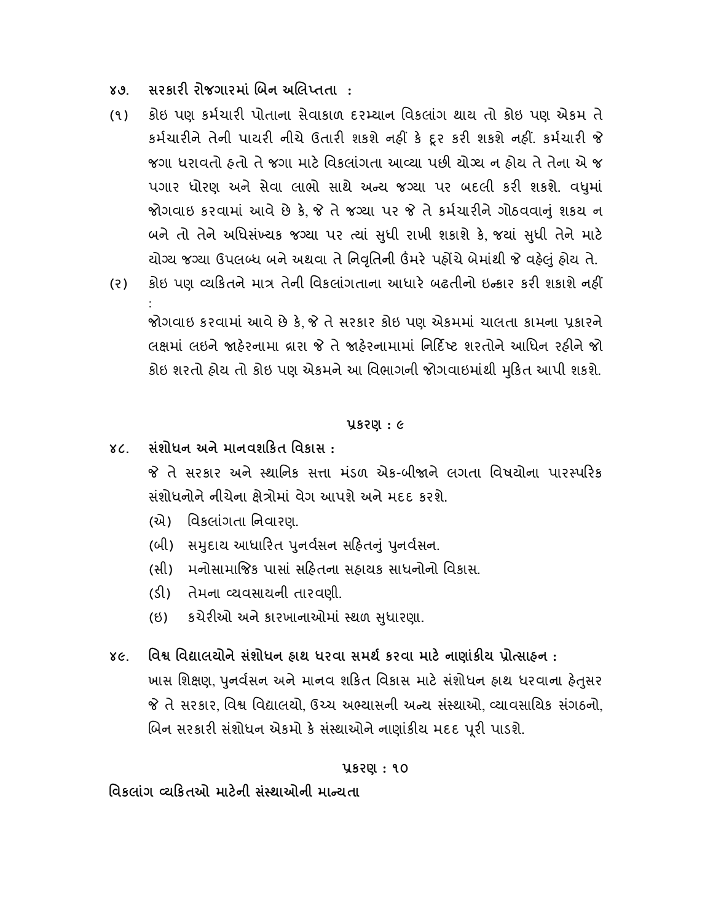- ૪૭. સરકારી રોજગારમાં બિન અલિપ્તતા :
- (૧) કોઇ પણ કર્મચારી પોતાના સેવાકાળ દરમ્યાન વિકલાંગ થાય તો કોઇ પણ એકમ તે કર્મચારીને તેની પાયરી નીચે ઉતારી શકશે નહીં કે દૂર કરી શકશે નહીં. કર્મચારી જે જગા ધરાવતો હતો તે જગા માટે વિકલાંગતા આવ્યા પછી યોગ્ય ન હોય તે તેના એ જ પગાર ધોરણ અને સેવા લાભો સાથે અન્ય જગ્યા પર બદલી કરી શકશે. વધમાં જોગવાઇ કરવામાં આવે છે કે જે તે જગ્યા પર જે તે કર્મચારીને ગોઠવવાનું શકય ન બને તો તેને અધિસંખ્યક જગ્યા પર ત્યાં સુધી રાખી શકાશે કે જયાં સુધી તેને માટે યોગ્ય જગ્યા ઉપલબ્ધ બને અથવા તે નિવૃતિની ઉંમરે પહોંચે બેમાંથી જે વહેલું હોય તે.
- (૨) કોઇ પણ વ્યકિતને માત્ર તેની વિકલાંગતાના આધારે બઢતીનો ઇન્કાર કરી શકાશે નહીં

 જોગવાઇ કરવામાં આવે છે ક, તે સરકાર કોઇ પણ એકમમાં ચાલતા કામના કારને લક્ષમાં લઇને જાહેરનામા વ્રારા જે તે જાહેરનામામાં નિર્દિષ્ટ શરતોને આધિન રહીને જો કોઇ શરતો હોય તો કોઇ પણ એકમને આ િવભાગની જોગવાઇમાંથી કત આપી શકશે. ુ

## કરણ : ૯

૪૮. સંશોધન અને માનવશકત િવકાસ :

:

જે તે સરકાર અને સ્થાનિક સત્તા મંડળ એક-બીજાને લગતા વિષયોના પારસ્પરિક સંશોધનોને નીચેના ક્ષેત્રોમાં વેગ આપશે અને મદદ કરશે.

- (એ) િવકલા ંગતા િનવારણ.
- (બી) સમુદાય આધારિત પુનર્વસન સહિતનું પુનર્વસન.
- (સી) મનોસામાજક પાસાં સહતના સહાયક સાધનોનો િવકાસ.
- (ડ) તેમના યવસાયની તારવણી.
- (ઇ) કચેરઓ અને કારખાનાઓમાં થળ ધારણા. ુ
- ૪૯. વિશ્વ વિદ્યાલયોને સંશોધન હ્રાથ ધરવા સમર્થ કરવા માટે નાણાંકીય પ્રોત્સાહન : ખાસ શિક્ષણ, પુનર્વસન અને માનવ શકિત વિકાસ માટે સંશોધન હાથ ધરવાના હેતુસર જે તે સરકાર, વિશ્વ વિદ્યાલયો, ઉચ્ચ અભ્યાસની અન્ય સંસ્થાઓ, વ્યાવસાયિક સંગઠનો, બિન સરકારી સંશોધન એકમો કે સંસ્થાઓને નાણાંકીય મદદ પૂરી પાડશે.

## કરણ : ૧૦

## વિકલાંગ વ્યકિતઓ માટેની સંસ્થાઓની માન્યતા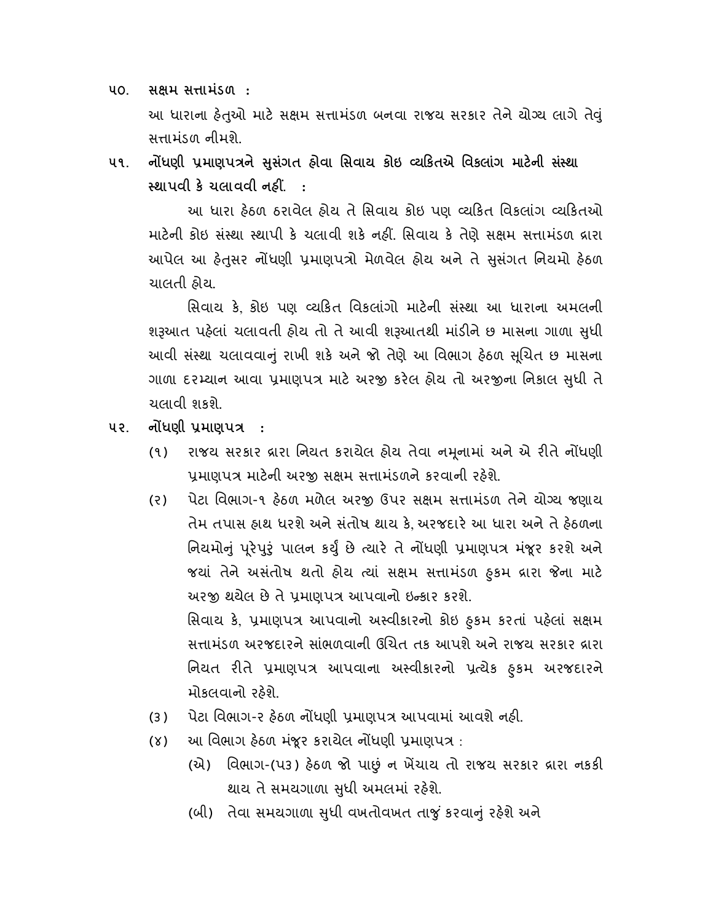૫૦. સક્ષમ સત્તામંડળ : આ ધારાના હેતુઓ માટે સક્ષમ સત્તામંડળ બનવા રાજય સરકાર તેને યોગ્ય લાગે તેવું સામ ંડળ નીમશે.

૫૧. નોંધણી પ્રમાણપત્રને સસંગત હોવા સિવાય કોઇ વ્યકિતએ વિકલાંગ માટેની સંસ્થા સ્થાપવી કે ચલાવવી નહીં. :

આ ધારા હેઠળ ઠરાવેલ હોય તે સિવાય કોઇ પણ વ્યકિત વિકલાંગ વ્યકિતઓ માટેની કોઇ સંસ્થા સ્થાપી કે ચલાવી શકે નહીં. સિવાય કે તેણે સક્ષમ સત્તામંડળ દ્રારા આપેલ આ હેતુસર નોંધણી પ્રમાણપત્રો મેળવેલ હોય અને તે સુસંગત નિયમો હેઠળ ચાલતી હોય.

સિવાય કે, કોઇ પણ વ્યકિત વિકલાંગો માટેની સંસ્થા આ ધારાના અમલની શરૂઆત પહેલાં ચલાવતી હોય તો તે આવી શરૂઆતથી માંડીને છ માસના ગાળા સુધી આવી સંસ્થા ચલાવવાનું રાખી શકે અને જો તેણે આ વિભાગ હેઠળ સુચિત છ માસના ગાળા દરમ્યાન આવા પ્રમાણપત્ર માટે અરજી કરેલ હોય તો અરજીના નિકાલ સુધી તે ચલાવી શકશે.

- ૫૨. નોંધણી પ્રમાણપત્ર :
	- (૧) રાજય સરકાર વ્રારા નિયત કરાયેલ હોય તેવા નમૂનામાં અને એ રીતે નોંધણી પ્રમાણપત્ર માટેની અરજી સક્ષમ સત્તામંડળને કરવાની રહેશે.
	- (૨) પેટા વિભાગ-૧ હેઠળ મળેલ અરજી ઉપર સક્ષમ સત્તામંડળ તેને યોગ્ય જણાય તેમ તપાસ હાથ ધરશે અને સ ંતોષ થાય ક, અરજદાર આ ધારા અને તે હઠળના ાનયમાનું પૂરપુરુ પાલન કર્યું છે ત્યાર તે નાંધણા પ્રમાણપત્ર મંજૂર કરશે અને જયાં તેને અસંતાષ થતાં હોય ત્યાં સક્ષમ સત્તામંડળ ઠુકમ દ્રારા જના માટ અરજી થયેલ છે તે પ્રમાણપત્ર આપવાનો ઇન્કાર કરશે. સિવાય કે, પ્રમાણપત્ર આપવાનો અસ્વીકારનો કોઇ હુકમ કરતા પહેલા સક્ષમ સત્તામંડળ અરજદારને સાંભળવાની ઉચિત તક આપશે અને રાજય સરકાર દ્રારા

ાનયત રાત પ્રમાણપત્ર આપવાના અસ્વાકારના પ્રત્યક ફુકમ અરજદારન મોકલવાનો રહશે.

- (૩) પેટા વિભાગ-૨ હેઠળ નોંધણી પ્રમાણપત્ર આપવામાં આવશે નહી.
- (૪) આ વિભાગ હેઠળ મંજૂર કરાયેલ નોંધણી પ્રમાણપત્ર :
	- (એ) વિભાગ-(પ3) હેઠળ જો પાછું ન ખેંચાય તો રાજય સરકાર વ્રારા નકકી થાય તે સમયગાળા સુધી અમલમાં રહેશે.
	- (બી) તેવા સમયગાળા સુધી વખતોવખત તાજું કરવાનું રહેશે અને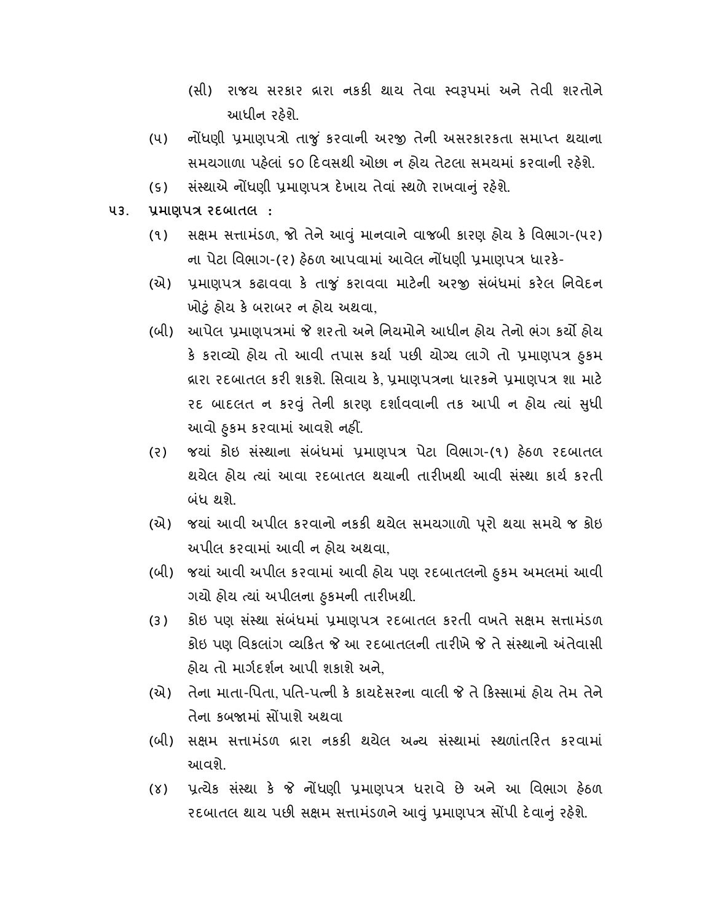- (સી) રાજય સરકાર વ્રારા નકકી થાય તેવા સ્વરૂપમાં અને તેવી શરતોને આધીન રહશે.
- (૫) નોંધણી પ્રમાણપત્રો તાજું કરવાની અરજી તેની અસરકારકતા સમાપ્ત થયાના સમયગાળા પહલાં ૬૦ દવસથી ઓછા ન હોય તેટલા સમયમાં કરવાની રહશે.
- (૬) સંસ્થાએ નોંધણી પ્રમાણપત્ર દેખાય તેવાં સ્થળે રાખવાનું રહેશે.
- ૫૩. પ્રમાણપત્ર રદબાતલ:
	- (૧) સક્ષમ સત્તામંડળ, જો તેને આવું માનવાને વાજબી કારણ હોય કે વિભાગ-(૫૨) ના પેટા વિભાગ-(૨) હેઠળ આપવામાં આવેલ નોંધણી પ્રમાણપત્ર ધારકે-
	- (એ) પ્રમાણપત્ર કઢાવવા કે તાજું કરાવવા માટેની અરજી સંબંધમાં કરેલ નિવેદન ખોું હોય ક બરાબર ન હોય અથવા,
	- (બી) આપેલ પ્રમાણપત્રમાં જે શરતો અને નિયમોને આધીન હોય તેનો ભંગ કર્યો હોય ક કરાવ્યા હ્રાય તા આવા તપાસ કર્યા પછા યાગ્ય લાગ તા પ્રમાણપત્ર હુકમ ક્રારા રદબાતલ કરી શકશે. સિવાય કે, પ્રમાણપત્રના ધારકને પ્રમાણપત્ર શા માટે રદ બાદલત ન કરું તેની કારણ દશાવવાની તક આપી ન હોય યાં ધી ુ આવા ઠુકમ કરવામાં આવશે નહા.
	- (૨) જયાં કોઇ સંસ્થાના સંબંધમાં પ્રમાણપત્ર પેટા વિભાગ-(૧) હેઠળ રદબાતલ થયેલ હોય ત્યાં આવા રદબાતલ થયાની તારીખથી આવી સંસ્થા કાર્ય કરતી બંધ થશે.
	- (એ) જયાં આવી અપીલ કરવાનો નકકી થયેલ સમયગાળો પૂરો થયા સમયે જ કોઇ અપીલ કરવામાં આવી ન હોય અથવા,
	- (બી) જયાં આવી અપીલ કરવામાં આવી હોય પણ રદબાતલનો ુ કમ અમલમાં આવી ગયા હ્રાય ત્યાં અપાલના હુકમના તારાખથા.
	- (૩) કોઇ પણ સંસ્થા સંબંધમાં પ્રમાણપત્ર રદબાતલ કરતી વખતે સક્ષમ સત્તામંડળ કોઇ પણ વિકલાંગ વ્યકિત જે આ રદબાતલની તારીખે જે તે સંસ્થાનો અંતેવાસી હોય તો માગદશન આપી શકાશે અને,
	- (એ) તેના માતા-િપતા, પિત-પ ની ક કાયદસરના વાલી તે ક સામાં હોય તેમ તેને તેના કબમાં સપાશે અથવા
	- (બી) સક્ષમ સત્તામંડળ દ્રારા નકકી થયેલ અન્ય સંસ્થામાં સ્થળાંતરિત કરવામાં આવશે.
	- (૪) પ્રત્યેક સંસ્થા કે જે નોંધણી પ્રમાણપત્ર ધરાવે છે અને આ વિભાગ હેઠળ રદબાતલ થાય પછી સક્ષમ સત્તામંડળને આવું પ્રમાણપત્ર સોંપી દેવાનું રહેશે.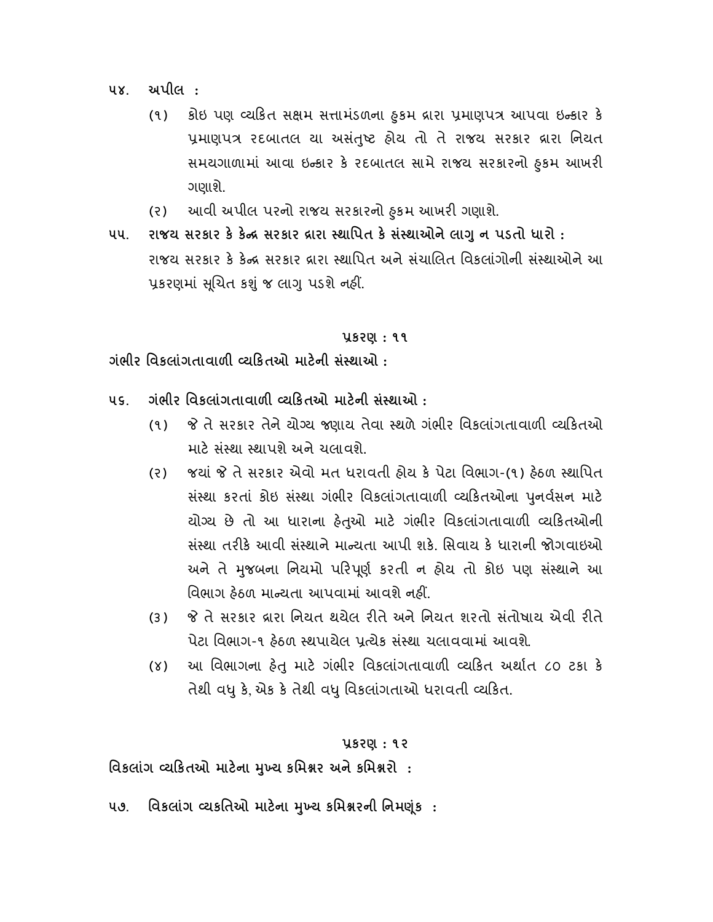૫૪. અપીલ :

- (૧) કોઇ પણ વ્યાકત સક્ષમ સત્તામડળના ફુકમ દ્રારા પ્રમાણપત્ર આપવા ઇન્કાર ક પ્રમાણપત્ર રદબાતલ યા અસંતુષ્ટ હોય તો તે રાજય સરકાર વ્રારા નિયત સમયગાળામાં આવા ઇન્કાર કે રદબાતલ સામે રાજય સરકારના ફુકમ આખરા ગણાશે.
- (ર) આવી અપીલ પરનો રાજય સરકારનો ુ કમ આખર ગણાશે.
- ૫૫. રાજય સરકાર કે કેન્દ્ર સરકાર દ્રારા સ્થાપિત કે સંસ્થાઓને લાગુ ન પડતો ધારો : રાજય સરકાર કે કેન્દ્ર સરકાર દ્રારા સ્થાપિત અને સંચાલિત વિકલાંગોની સંસ્થાઓને આ પ્રકરણમાં સૂચિત કશું જ લાગુ પડશે નહીં.

## કરણ : ૧૧

ગંભીર વિકલાંગતાવાળી વ્યકિતઓ માટેની સંસ્થાઓ  $\cdot$ 

- ૫૬. ગંભીર વિકલાંગતાવાળી વ્યકિતઓ માટેની સંસ્થાઓ :
	- (૧) જે તે સરકાર તેને યોગ્ય જણાય તેવા સ્થળે ગંભીર વિકલાંગતાવાળી વ્યકિતઓ માટે સંસ્થા સ્થાપશે અને ચલાવશે.
	- (ર) જયાં તે સરકાર એવો મત ધરાવતી હોય ક પેટા િવભાગ-(૧) હઠળ થાિપત સંસ્થા કરતાં કોઇ સંસ્થા ગંભીર વિકલાંગતાવાળી વ્યકિતઓના પુનર્વસન માટે યોગ્ય છે તો આ ધારાના હેતૃઓ માટે ગંભીર વિકલાંગતાવાળી વ્યકિતઓની સંસ્થા તરીકે આવી સંસ્થાને માન્ચતા આપી શકે. સિવાય કે ધારાની જોગવાઇઓ અને તે મુજબના નિયમો પરિપૂર્ણ કરતી ન હોય તો કોઇ પણ સંસ્થાને આ વિભાગ હેઠળ માન્ચતા આપવામાં આવશે નહીં.
	- (૩) તે સરકાર ારા િનયત થયેલ રતે અને િનયત શરતો સ ંતોષાય એવી રતે પેટા વિભાગ-૧ ઠેઠળ સ્થપાયેલ પત્ચેક સંસ્થા ચલાવવામાં આવશે.
	- (४) આ વિભાગના હેતુ માટે ગંભીર વિકલાંગતાવાળી વ્યકિત અર્થાત ૮૦ ટકા કે તેથી વધુ કે, એક કે તેથી વધુ વિકલાંગતાઓ ધરાવતી વ્યકિત.

#### કરણ : ૧૨

વિકલાંગ વ્યકિતઓ માટેના મુખ્ય કમિશ્નર અને કમિશ્નરો :

૫૭. વિકલાંગ વ્યકતિઓ માટેના મુખ્ય કમિશ્નરની નિમણુંક :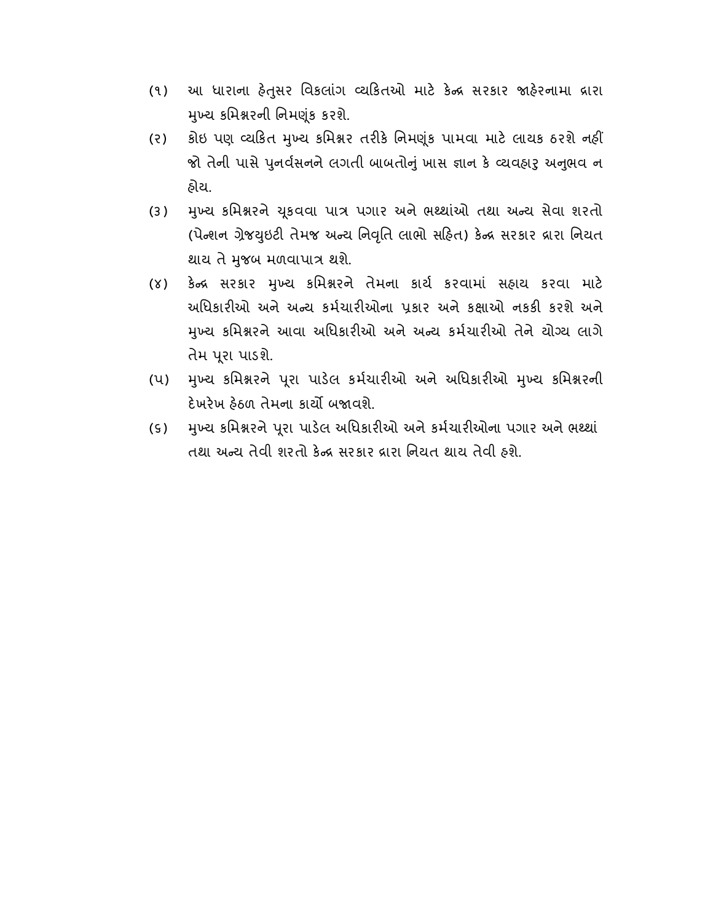- (૧) આ ધારાના હેતુસર વિકલાંગ વ્યકિતઓ માટે કેન્દ્ર સરકાર જાહેરનામા દ્રારા મુખ્ય કમિશ્નરની નિમણુંક કરશે.
- (૨) કોઇ પણ વ્યકિત મુખ્ય કમિશ્નર તરીકે નિમણુંક પામવા માટે લાયક ઠરશે નહીં જો તેની પાસે પુનર્વસનને લગતી બાબતોનું ખાસ જ્ઞાન કે વ્યવહારુ અનુભવ ન હોય.
- (3) મુખ્ય કમિશ્નરને ચુકવવા પાત્ર પગાર અને ભથ્થાંઓ તથા અન્ય સેવા શરતો (પેન્શન ગ્રેજયુઇટી તેમજ અન્ય નિવૃતિ લાભો સહિત) કેન્દ્ર સરકાર દ્રારા નિયત થાય તે મુજબ મળવાપાત્ર થશે.
- (४) કેન્દ્ર સરકાર મુખ્ય કમિશ્નરને તેમના કાર્ય કરવામાં સહાય કરવા માટે અધિકારીઓ અને અન્ય કર્મચારીઓના પ્રકાર અને કક્ષાઓ નકકી કરશે અને મુખ્ય કમિશ્નરને આવા અધિકારીઓ અને અન્ય કર્મચારીઓ તેને યોગ્ય લાગે તેમ પુરા પાડશે.
- (૫) મુખ્ય કમિશ્નરને પૂરા પાડેલ કર્મચારીઓ અને અધિકારીઓ મુખ્ય કમિશ્નરની દેખરેખ હેઠળ તેમના કાર્યો બજાવશે.
- (૬) મુખ્ય કમિશ્નરને પૂરા પાડેલ અધિકારીઓ અને કર્મચારીઓના પગાર અને ભથ્થાં તથા અન્ય તેવી શરતો કેન્દ્ર સરકાર દ્રારા નિયત થાય તેવી હશે.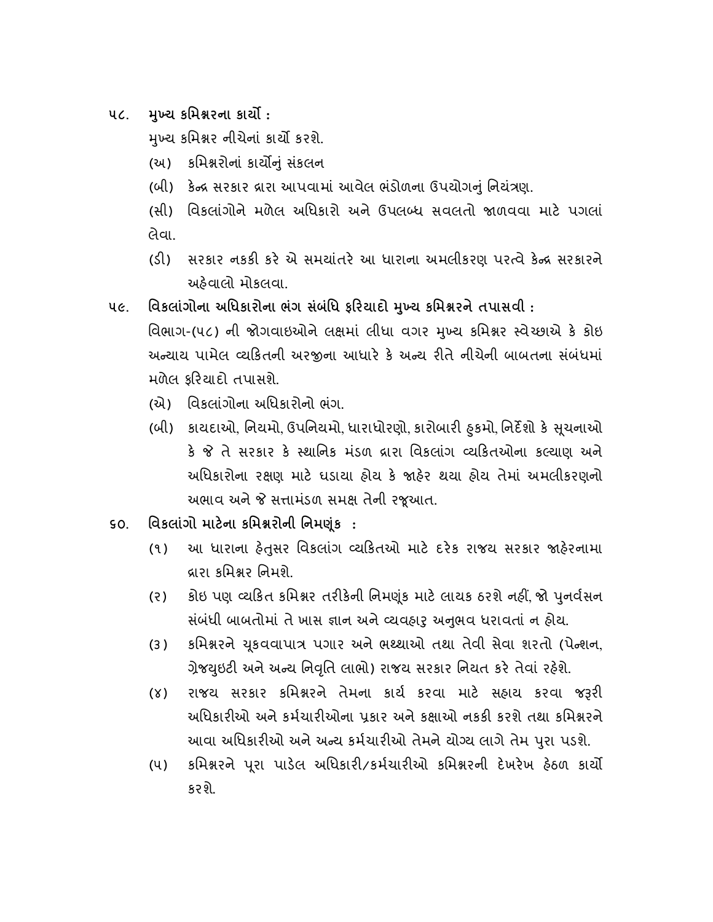૫૮. મુખ્ય કમિશ્નરના કાર્યો:

મખ્ય કમિશ્નર નીચેનાં કાર્યો કરશે.

- (અ) કિમરોનાં કાયું સ ંકલન
- (બી) કેન્દ્ર સરકાર દ્રારા આપવામાં આવેલ ભંડોળના ઉપયોગનું નિયંત્રણ.
- (સી) વિકલાંગોને મળેલ અધિકારો અને ઉપલબ્ધ સવલતો જાળવવા માટે પગલાં લેવા.
- (ડી) સરકાર નકકી કરે એ સમયાંતરે આ ધારાના અમલીકરણ પરત્વે કેન્દ્ર સરકારને અહવાલો મોકલવા.
- ૫૯. વિકલાંગોના અધિકારોના ભંગ સંબંધિ ફરિયાદો મુખ્ય કમિશ્નરને તપાસવી :
	- વિભાગ-(૫૮) ની જોગવાઇઓને લક્ષમાં લીધા વગર મખ્ય કમિશ્નર સ્વેચ્છાએ કે કોઇ અ યાય પામેલ યકતની અરના આધાર ક અ ય રતે નીચેની બાબતના સ ંબંધમાં મળેલ ફરયાદો તપાસશે.
		- (એ) િવકલા ંગોના અિધકારોનો ભંગ.
		- (બી) કાયદાઓ, નિયમો, ઉપનિયમો, ધારાધોરણો, કારોબારી ઠુકમો, નિર્દેશો કે સૂચનાઓ કે જે તે સરકાર કે સ્થાનિક મંડળ દ્રારા વિકલાંગ વ્યકિતઓના કલ્યાણ અને અધિકારોના રક્ષણ માટે ધડાયા હોય કે જાહેર થયા હોય તેમાં અમલીકરણનો અભાવ અને જે સત્તામંડળ સમક્ષ તેની રજૂઆત.
- ૬૦. િવકલાંગો માટના કિમરોની િનમૂંક :
	- (૧) આ ધારાના હેતુસર વિકલાંગ વ્યકિતઓ માટે દરેક રાજય સરકાર જાહેરનામા ારા કિમર િનમશે.
	- (૨) કોઇ પણ વ્યકિત કમિશ્નર તરીકેની નિમણુંક માટે લાયક ઠરશે નહીં જો પુનર્વસન સંબંધી બાબતોમાં તે ખાસ જ્ઞાન અને વ્યવહારુ અનુભવ ધરાવતાં ન હોય.
	- (૩) કમિશ્નરને ચૂકવવાપાત્ર પગાર અને ભશ્થાઓ તથા તેવી સેવા શરતો (પેન્શન, ગ્રેજયુઇટી અને અન્ય નિવૃતિ લાભો) રાજય સરકાર નિયત કરે તેવાં રહેશે.
	- (૪) રાજય સરકાર કમિશ્નરને તેમના કાર્ય કરવા માટે સહાય કરવા જરૂરી અધિકારીઓ અને કર્મચારીઓના પ્રકાર અને કક્ષાઓ નકકી કરશે તથા કમિશ્નરને આવા અધિકારીઓ અને અન્ય કર્મચારીઓ તેમને યોગ્ય લાગે તેમ પુરા પડશે.
	- (૫) કમિશ્નરને પૂરા પાડેલ અધિકારી/કર્મચારીઓ કમિશ્નરની દેખરેખ હેઠળ કાર્યો કરશે.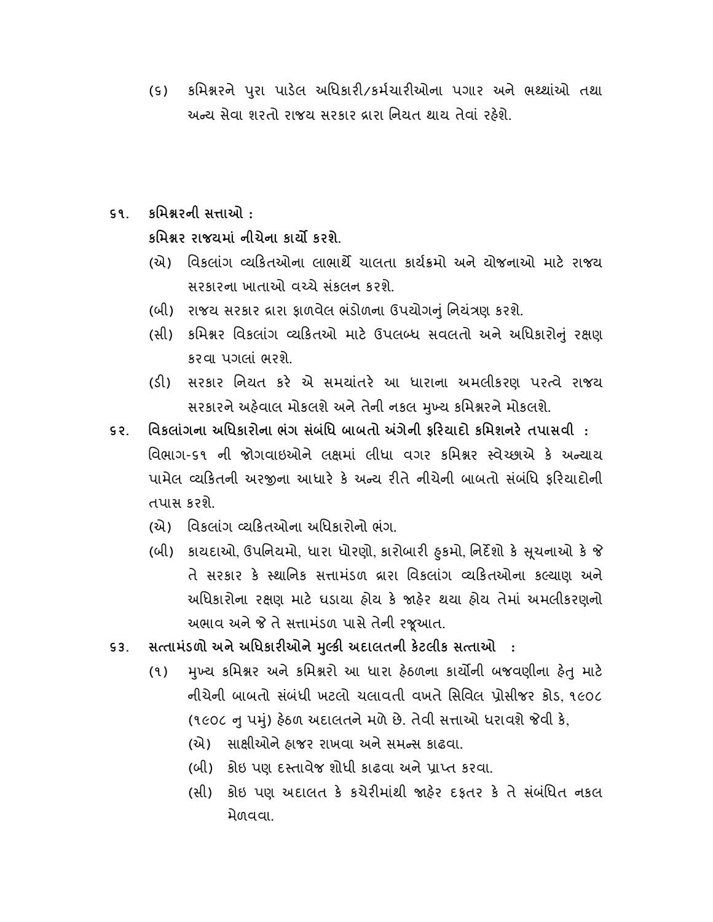(૬) કમિશ્નરને પુરા પાડેલ અધિકારી/કર્મચારીઓના પગાર અને ભથ્થાંઓ તથા અન્ય સેવા શરતો રાજય સરકાર દ્રારા નિયત થાય તેવાં રહેશે.

## ૬૧. કિમરની સાઓ :

કમિશ્નર રાજયમાં નીચેના કાર્યો કરશે.

- (એ) વિકલાંગ વ્યકિતઓના લાભાર્થે ચાલતા કાર્યક્રમો અને ચોજનાઓ માટે રાજય સરકારના ખાતાઓ વ ચે સ ંકલન કરશે.
- (બી) રાજય સરકાર ારા ફાળવેલ ભ ંડોળના ઉપયોગું િનયંણ કરશે.
- (સી) કમિશ્નર વિકલાંગ વ્યકિતઓ માટે ઉપલબ્ધ સવલતો અને અધિકારોનું રક્ષણ કરવા પગલાં ભરશે.
- (ડ) સરકાર િનયત કર એ સમયાંતર આ ધારાના અમલીકરણ પર વે રાજય સરકારને અહેવાલ મોકલશે અને તેની નકલ મખ્ય કમિશ્નરને મોકલશે.
- ૬૨. િવકલાંગના અિધકારોના ભંગ સંબંિધ બાબતો ગેની ફરયાદો કિમશનર તપાસવી : વિભાગ-૬૧ ની જોગવાઇઓને લક્ષમાં લીધા વગર કમિશ્નર સ્વેચ્છાએ કે અન્યાય પામેલ વ્યકિતની અરજીના આધારે કે અન્ય રીતે નીચેની બાબતો સંબંધિ કરિયાદોની તપાસ કરશે.
	- (એ) વિકલાંગ વ્યકિતઓના અધિકારોનો ભંગ.
	- (બી) કાયદાઓ, ઉપનિયમો, ધારા ધોરણો, કારોબારી હુકમો, નિર્દેશો કે સૂચનાઓ કે જે તે સરકાર કે સ્થાનિક સત્તામંડળ દ્રારા વિકલાંગ વ્યકિતઓના કલ્યાણ અને અધિકારોના રક્ષણ માટે ધડાયા હોય કે જાહેર થયા હોય તેમાં અમલીકરણનો અભાવ અને જે તે સત્તામંડળ પાસે તેની રજૂઆત.
- ૬૩. સત્તામંડળો અને અધિકારીઓને મૂલ્કી અદાલતની કેટલીક સત્તાઓ :
	- (૧) મુખ્ય કમિશ્નર અને કમિશ્નરો આ ધારા હેઠળના કાર્યોની બજવણીના હેતુ માટે નીચેની બાબતો સ ંબ ંધી ખટલો ચલાવતી વખતે િસિવલ ોસીજર કોડ, ૧૯૦૮ (૧૯૦૮ નુ પમું) હેઠળ અદાલતને મળે છે. તેવી સત્તાઓ ધરાવશે જેવી કે,
		- (એ) સાક્ષીઓને હાજર રાખવા અને સમન્સ કાઢવા.
		- (બી) કોઇ પણ દસ્તાવેજ શોધી કાઢવા અને પાપ્ત કરવા.
		- (સી) કોઇ પણ અદાલત કે કચેરીમાંથી જાહેર દકતર કે તે સંબંધિત નકલ મેળવવા.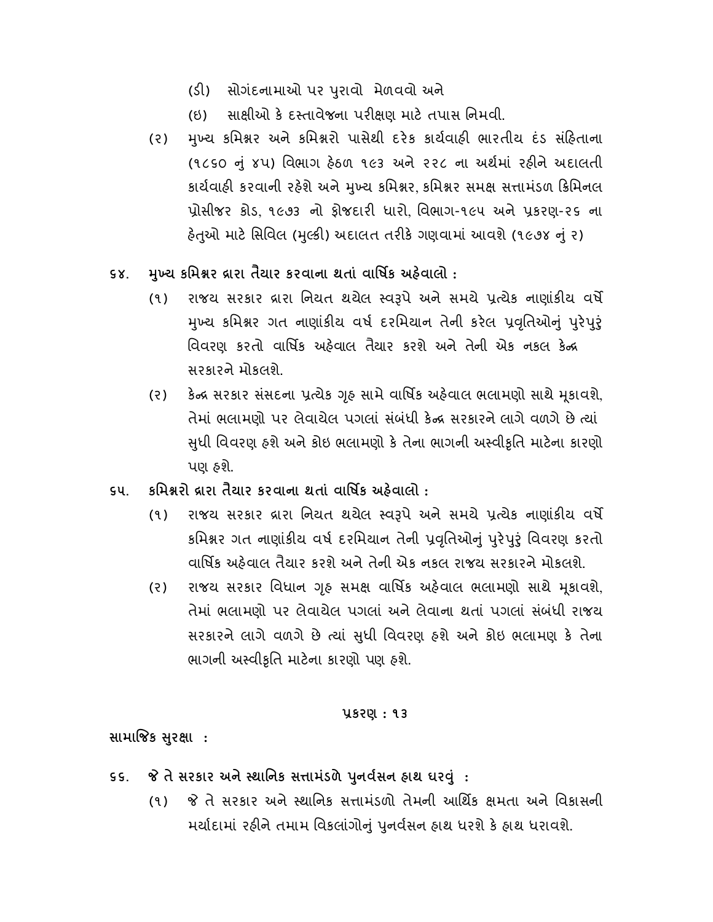- (ડ) સોગંદનામાઓ પર રાવો મેળવવો અને ુ
- (ઇ) સાક્ષીઓ કે દસ્તાવેજના પરીક્ષણ માટે તપાસ નિમવી.
- (૨) મુખ્ય કમિશ્નર અને કમિશ્નરો પાસેથી દરેક કાર્યવાહી ભારતીય દંડ સંહિતાના (૧૮૬૦ ું ૪પ) િવભાગ હઠળ ૧૯૩ અને ૨૨૮ ના અથમાં રહને અદાલતી કાર્યવાહી કરવાની રહેશે અને મુખ્ય કમિશ્નર કમિશ્નર સમક્ષ સત્તામંડળ ક્રિમિનલ પ્રોસીજર કોડ, ૧૯૭૩ નો ફોજદારી ધારો, વિભાગ-૧૯૫ અને પ્રકરણ-૨૬ ના હેતુઓ માટે સિવિલ (મુલ્કી) અદાલત તરીકે ગણવામાં આવશે (૧૯૭૪ નું ૨)
- ૬૪. મુખ્ય કમિશ્નર વ્રારા તૈયાર કરવાના થતાં વાર્ષિક અહેવાલો :
	- (૧) રાજય સરકાર દ્રારા નિયત થયેલ સ્વરૂપે અને સમયે પ્રત્યેક નાણાંકીય વર્ષે મુખ્ય કમિશ્નર ગત નાણાંકીય વર્ષ દરમિયાન તેની કરેલ પ્રવૃતિઓનું પુરેપુરું િવવરણ કરતો વાિષક અહવાલ તૈયાર કરશે અને તેની એક નકલ ક સરકારને મોકલશે.
	- (૨) કેન્દ્ર સરકાર સંસદના પ્રત્યેક ગૃહ સામે વાર્ષિક અહેવાલ ભલામણો સાથે મૂકાવશે, તેમાં ભલામણો પર લેવાયેલ પગલાં સંબંધી કેન્દ્ર સરકારને લાગે વળગે છે ત્યાં ધી િવવરણ હશે અને કોઇ ભલામણો ક તેના ભાગની અ વી ુ ૃિત માટના કારણો પણ હશે.
- ૬૫. કિમરો ારા તૈયાર કરવાના થતાં વાિષક અહવાલો :
	- (૧) રાજય સરકાર દ્રારા નિયત થયેલ સ્વરૂપે અને સમયે પ્રત્યેક નાણાંકીય વર્ષે કમિશ્નર ગત નાણાંકીય વર્ષ દરમિયાન તેની પ્રવૃતિઓનું પુરેપુરું વિવરણ કરતો વાિષક અહવાલ તૈયાર કરશે અને તેની એક નકલ રાજય સરકારને મોકલશે.
	- (૨) રાજય સરકાર વિધાન ગૃહ સમક્ષ વાર્ષિક અહેવાલ ભલામણો સાથે મૃકાવશે, તેમાં ભલામણો પર લેવાયેલ પગલાં અને લેવાના થતાં પગલાં સંબંધી રાજય સરકારને લાગે વળગે છે યાં ધી િવવરણ હશે અને કોઇ ભલામણ ક તેના ુ ભાગની અસ્વીકૃતિ માટેના કારણો પણ હશે.

## કરણ : ૧૩

સામાજિક સુરક્ષા :

- ૬૬. જે તે સરકાર અને સ્થાનિક સત્તામંડળે પુનર્વસન હાથ ઘરવું:
	- (૧) તે સરકાર અને થાિનક સામંડળો તેમની આિથક મતા અને િવકાસની મર્યાદામાં રહીને તમામ વિકલાંગોનું પુનર્વસન હાથ ધરશે કે હાથ ધરાવશે.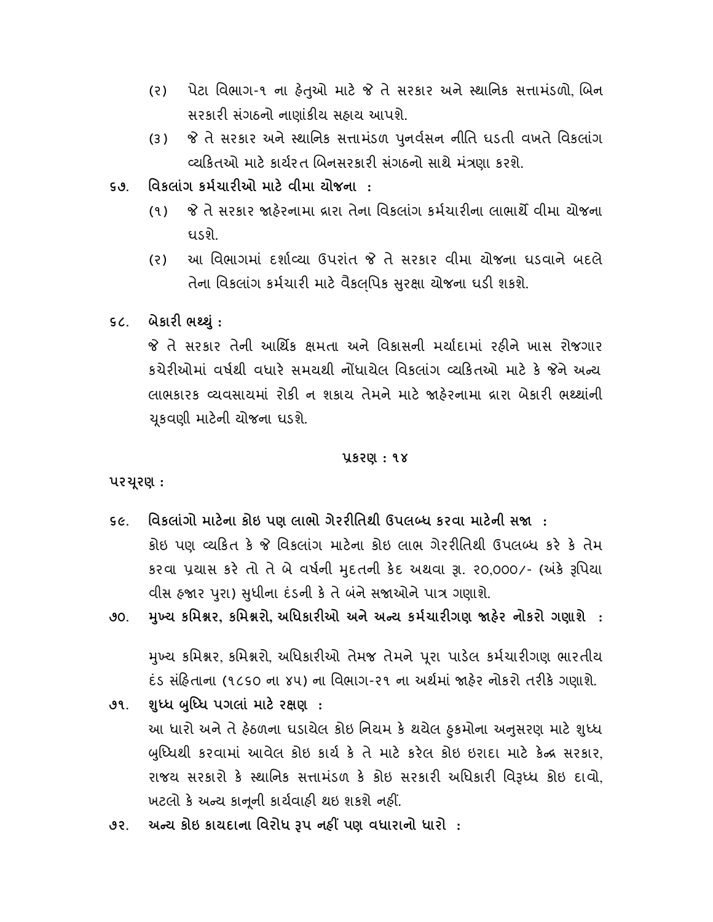- (૨) પેટા વિભાગ-૧ ના હેતુઓ માટે જે તે સરકાર અને સ્થાનિક સત્તામંડળો બિન સરકારી સંગઠનો નાણાંકીય સહ્રાય આપશે.
- (૩) જે તે સરકાર અને સ્થાનિક સત્તામંડળ પુનર્વસન નીતિ ઘડતી વખતે વિકલાંગ વ્યકિતઓ માટે કાર્યરત બિનસરકારી સંગઠનો સાથે મંત્રણા કરશે.
- ૬૭. િવકલાંગ કમચારઓ માટ વીમા યોજના :
	- (૧) જે તે સરકાર જાહેરનામા દ્રારા તેના વિકલાંગ કર્મચારીના લાભાર્થે વીમા યોજના ઘડશે.
	- (ર) આ િવભાગમાં દશા યા ઉપરાંત તે સરકાર વીમા યોજના ઘડવાને બદલે તેના વિકલાંગ કર્મચારી માટે વૈકલપિક સુરક્ષા ચોજના ઘડી શકશે.
- ૬૮. બેકારી ભથ્થું :

 તે સરકાર તેની આિથક મતા અને િવકાસની મયાદામાં રહને ખાસ રોજગાર કચેરીઓમાં વર્ષથી વધારે સમયથી નોંધાયેલ વિકલાંગ વ્યકિતઓ માટે કે જેને અન્ય લાભકારક વ્યવસાયમાં રોકી ન શકાય તેમને માટે જાહેરનામા દ્રારા બેકારી ભથ્થાંની ૂકવણી માટની યોજના ઘડશે.

## કરણ : ૧૪

પર ૂરણ :

- ૬૯. વિકલાંગો માટેના કોઇ પણ લાભો ગેરરીતિથી ઉપલબ્ધ કરવા માટેની સજા : કોઇ પણ વ્યકિત કે જે વિકલાંગ માટેના કોઇ લાભ ગેરરીતિથી ઉપલબ્ધ કરે કે તેમ કરવા પ્રયાસ કરે તો તે બે વર્ષની મુદતની કેદ અથવા રૂા. ૨૦,૦૦૦/- (અંકે રૂપિયા વીસ હજાર પુરા) સુધીના દંડની કે તે બંને સજાઓને પાત્ર ગણાશે.
- ૭૦. મુખ્ય કમિશ્નર, કમિશ્નરો, અધિકારીઓ અને અન્ય કર્મચારીગણ જાહેર નોકરો ગણાશે :

મુખ્ય કમિશ્નર, કમિશ્નરો, અધિકારીઓ તેમજ તેમને પૂરા પાડેલ કર્મચારીગણ ભારતીય દંડ સંહિતાના (૧૮૬૦ ના ૪૫) ના વિભાગ-૨૧ ના અર્થમાં જાહેર નોકરો તરીકે ગણાશે.

- ૭૧. શુધ્ધ બુધ્ધિ પગલાં માટે રક્ષણ : આ ધારા અને તે હેઠળના ઘડાયેલ કોઇ નિયમ કે થયેલ હુકમાના અનુસરણ માટે શુધ્ધ બુધ્ધિથી કરવામાં આવેલ કોઇ કાર્ય કે તે માટે કરેલ કોઇ ઇરાદા માટે કેન્દ્ર સરકાર, રાજય સરકારો કે સ્થાનિક સત્તામંડળ કે કોઇ સરકારી અધિકારી વિરૂધ્ધ કોઇ દાવો, ખટલો કે અન્ય કાનૂની કાર્યવાહી થઇ શકશે નહીં.
- ૭૨. અન્ય કોઇ કાયદાના વિરોધ રૂપ નહીં પણ વધારાનો ધારો :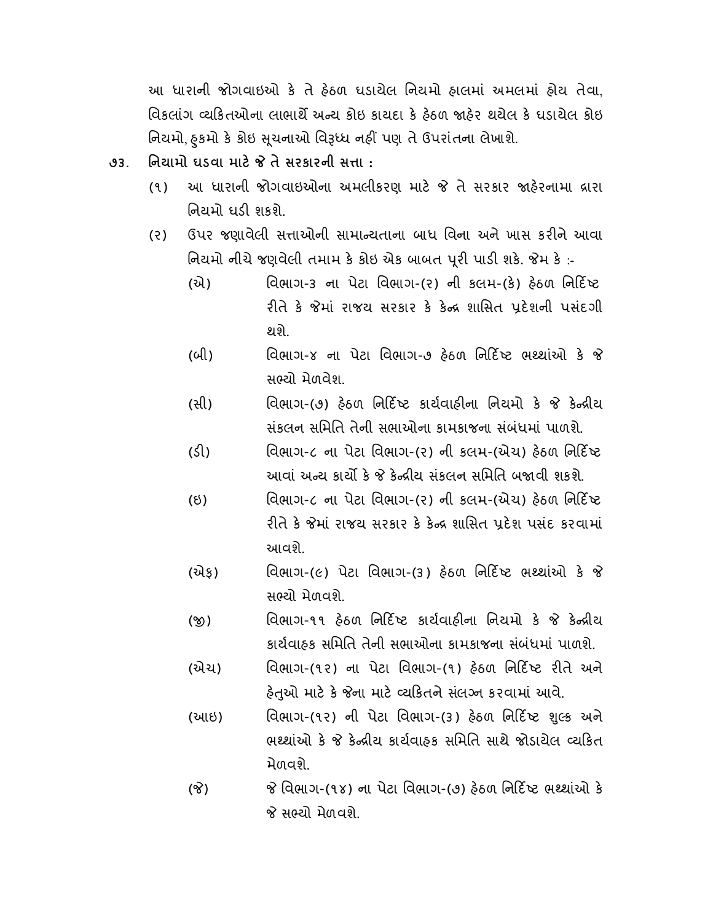આ ધારાની જોગવાઇઓ ક તે હઠળ ઘડાયેલ િનયમો હાલમાં અમલમાં હોય તેવા, વિકલાંગ વ્યકિતઓના લાભાર્થે અન્ય કોઇ કાયદા કે હેઠળ જાહેર થયેલ કે ઘડાયેલ કોઇ નિયમો, ફકમો કે કોઇ સુચનાઓ વિરૂધ્ધ નહીં પણ તે ઉપરાંતના લેખાશે.

- ૭૩. િનિયામો ઘડવા માટે જે તે સરકારની સત્તા :
	- (૧) આ ધારાની જોગવાઇઓના અમલીકરણ માટે જે તે સરકાર જાઠેરનામા દ્રારા નિયમો ધડી શકશે.
	- (૨) ઉપર જણાવેલી સત્તાઓની સામાન્યતાના બાધ વિના અને ખાસ કરીને આવા નિયમો નીચે જણવેલી તમામ કે કોઇ એક બાબત પૂરી પાડી શકે. જેમ કે :-
		- (એ) વિભાગ-૩ ના પેટા વિભાગ-(૨) ની કલમ-(કે) હેઠળ નિર્દિષ્ટ રીતે કે જેમાં રાજય સરકાર કે કેન્દ્ર શાસિત પ્રદેશની પસંદગી થશે.
		- (બી) વિભાગ-૪ ના પેટા વિભાગ-૭ હેઠળ નિર્દિષ્ટ ભથ્થાંઓ કે જે સ યો મેળવેશ.
		- (સી) વિભાગ-(૭) હેઠળ નિર્દિષ્ટ કાર્યવાહીના નિયમો કે જે કેન્દ્રીય સ ંકલન સિમિત તેની સભાઓના કામકાજના સ ંબ ંધમાં પાળશે.
		- (ડી) વિભાગ-૮ ના પેટા વિભાગ-(૨) ની કલમ-(એચ) હેઠળ નિર્દિષ્ટ આવાં અન્ય કાર્યો કે જે કેન્દ્રીય સંકલન સમિતિ બજાવી શકશે.
		- (ઇ) વિભાગ-૮ ના પેટા વિભાગ-(૨) ની કલમ-(એચ) હેઠળ નિર્દિષ્ટ રીતે કે જેમાં રાજય સરકાર કે કેન્દ્ર શાસિત પ્રદેશ પસંદ કરવામાં આવશે.
		- $(\partial \lambda_{\xi})$  વિભાગ-(૯) પેટા વિભાગ-(૩) હેઠળ નિર્દિષ્ટ ભથ્થાંઓ કે જે સભ્યો મેળવશે.
		- (જી) વિભાગ-૧૧ હેઠળ નિર્દિષ્ટ કાર્યવાહીના નિયમો કે જે કેન્દ્રીય કાર્યવાહક સમિતિ તેની સભાઓના કામકાજના સંબંધમાં પાળશે.
		- (એચ) વિભાગ-(૧૨) ના પેટા વિભાગ-(૧) હેઠળ નિર્દિષ્ટ રીતે અને હેતુઓ માટે કે જેના માટે વ્યકિતને સંલગ્ન કરવામાં આવે.
		- (આઇ) વિભાગ-(૧૨) ની પેટા વિભાગ-(૩) હેઠળ નિર્દિષ્ટ શુલ્ક અને ભથ્થાંઓ કે જે કેન્દ્રીય કાર્યવાહક સમિતિ સાથે જોડાયેલ વ્યકિત મેળવશે.
		- (જે) જે વિભાગ-(૧૪) ના પેટા વિભાગ-(૭) હેઠળ નિર્દિષ્ટ ભથ્થાંઓ કે જે સભ્યો મેળવશે.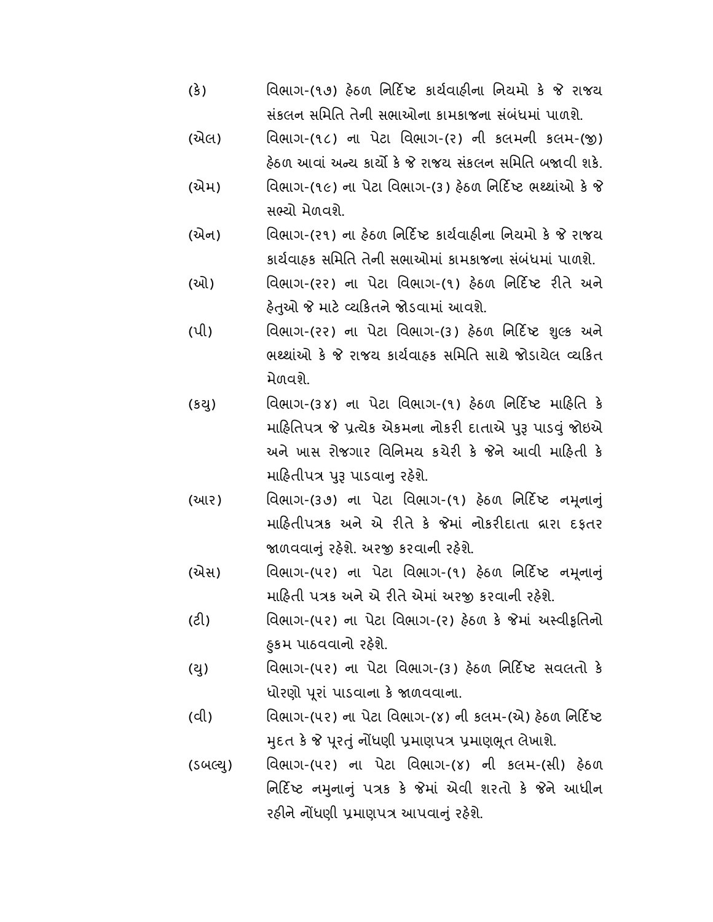- (કે) વિભાગ-(૧૭) હેઠળ નિર્દિષ્ટ કાર્યવાહીના નિયમો કે જે રાજય સ ંકલન સિમિત તેની સભાઓના કામકાજના સ ંબ ંધમાં પાળશે.
- (એલ) િવભાગ-(૧૮) ના પેટા િવભાગ-(ર) ની કલમની કલમ-() હેઠળ આવાં અન્ય કાર્યો કે જે રાજય સંકલન સમિતિ બજાવી શકે.
- (એમ) વિભાગ-(૧૯) ના પેટા વિભાગ-(૩) હેઠળ નિર્દિષ્ટ ભથ્થાંઓ કે જે સ યો મેળવશે.
- (એન) વિભાગ-(૨૧) ના હેઠળ નિર્દિષ્ટ કાર્યવાહીના નિયમો કે જે રાજય કાર્યવાઠક સમિતિ તેની સભાઓમાં કામકાજના સંબંધમાં પાળશે.
- (ઓ) િવભાગ-(રર) ના પેટા િવભાગ-(૧) હઠળ િનદ ટ રતે અને હેતુઓ જે માટે વ્યકિતને જોડવામાં આવશે.
- (પી) વિભાગ-(૨૨) ના પેટા વિભાગ-(૩) હેઠળ નિર્દિષ્ટ શુલ્ક અને ભ થાંઓ ક રાજય કાયવાહક સિમિત સાથે જોડાયેલ યકત મેળવશે.
- (કયુ) વિભાગ-(૩૪) ના પેટા વિભાગ-(૧) હેઠળ નિર્દિષ્ટ માહિતિ કે માહિતિપત્ર જે પ્રત્યેક એકમના નોકરી દાતાએ પરૂ પાડવું જોઇએ અને ખાસ રોજગાર વિનિમય કચેરી કે જેને આવી માહિતી કે માહિતીપત્ર પુરૂ પાડવાનુ રહેશે.
- (આર) િવભાગ-(૩૭) ના પેટા િવભાગ-(૧) હઠળ િનદ ટ નૂનાું માહિતીપત્રક અને એ રીતે કે જેમાં નોકરીદાતા વ્રારા દફતર જાળવવાનું રહેશે. અરજી કરવાની રહેશે.
- (એસ) વિભાગ-(૫૨) ના પેટા વિભાગ-(૧) હેઠળ નિર્દિષ્ટ નમૂનાનું માહિતી પત્રક અને એ રીતે એમાં અરજી કરવાની રહેશે.
- (ટ) િવભાગ-(૫૨) ના પેટા િવભાગ-(ર) હઠળ ક માં અ વીૃિતનો કમ પાઠવવાનો રહશે. ુ
- (યુ) વિભાગ-(૫૨) ના પેટા વિભાગ-(૩) હેઠળ નિર્દિષ્ટ સવલતો કે ધોરણો ૂરા ં પાડવાના ક ળવવાના.
- (વી) વિભાગ-(૫૨) ના પેટા વિભાગ-(૪) ની કલમ-(એ) હેઠળ નિર્દિષ્ટ મુદત કે જે પુરતું નોંધણી પ્રમાણપત્ર પ્રમાણભુત લેખાશે.
- (ડબલ્યુ) વિભાગ-(૫૨) ના પેટા વિભાગ-(૪) ની કલમ-(સી) હેઠળ નિર્દિષ્ટ નમુનાનું પત્રક કે જેમાં એવી શરતો કે જેને આધીન રહીને નોંધણી પ્રમાણપત્ર આપવાનું રહેશે.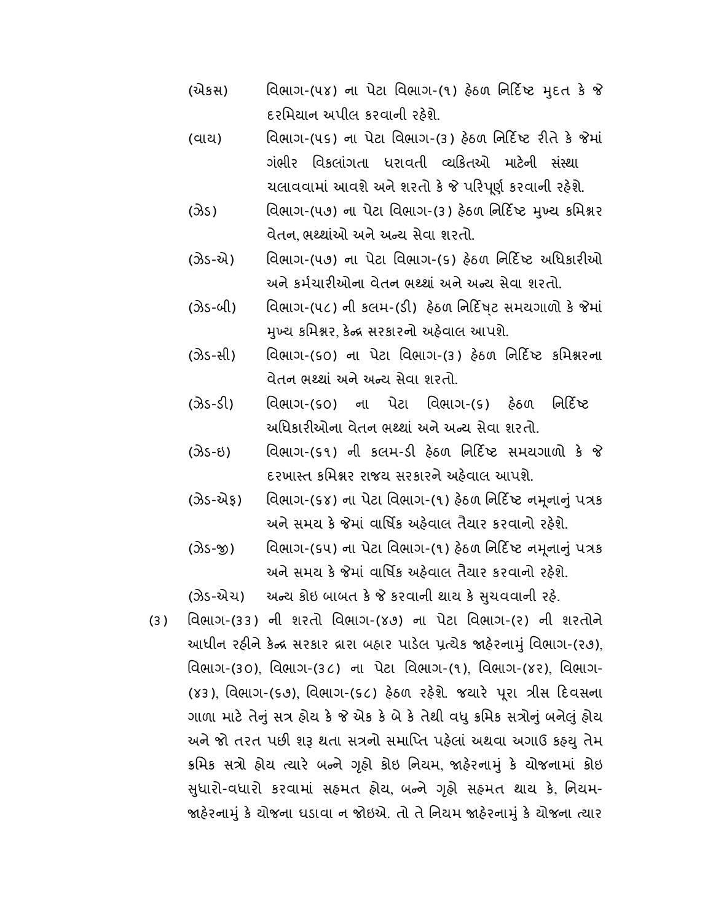- (એકસ) વિભાગ-(૫૪) ના પેટા વિભાગ-(૧) હેઠળ નિર્દિષ્ટ મુદત કે જે દરિમયાન અપીલ કરવાની રહશે.
- (વાય) વિભાગ-(૫૬) ના પેટા વિભાગ-(૩) હેઠળ નિર્દિષ્ટ રીતે કે જેમાં ગંભીર વિકલાંગતા ધરાવતી વ્યકિતઓ માટેની સંસ્થા ચલાવવામાં આવશે અને શરતો કે જે પરિપૂર્ણ કરવાની રહેશે.
- (ઝેડ) વિભાગ-(૫૭) ના પેટા વિભાગ-(૩) હેઠળ નિર્દિષ્ટ મુખ્ય કમિશ્નર વેતન, ભથ્થાંઓ અને અન્ય સેવા શરતો.
- (ઝેડ-એ) વિભાગ-(૫૭) ના પેટા વિભાગ-(૬) હેઠળ નિર્દિષ્ટ અધિકારીઓ અને કર્મચારીઓના વેતન ભથ્થાં અને અન્ય સેવા શરતો.
- (ઝેડ-બી) વિભાગ-(૫૮) ની કલમ-(ડી) હેઠળ નિર્દિષટ સમયગાળો કે જેમાં મુખ્ય કમિશ્નર, કેન્દ્ર સરકારનો અહેવાલ આપશે.
- (ઝેડ-સી) વિભાગ-(૬૦) ના પેટા વિભાગ-(૩) હેઠળ નિર્દિષ્ટ કમિશ્નરના વેતન ભ થાં અને અ ય સેવા શરતો.
- (ઝેડ-ડી) વિભાગ-(૬૦) ના પેટા વિભાગ-(૬) હેઠળ નિર્દિષ્ટ અધિકારીઓના વેતન ભથ્થાં અને અન્ય સેવા શરતો.
- (ઝેડ-ઇ) વિભાગ-(૬૧) ની કલમ-ડી હેઠળ નિર્દિષ્ટ સમયગાળો કે જે દરખા ત કિમર રાજય સરકારને અહવાલ આપશે.
- (ઝેડ-એફ) િવિભાગ-(૬૪) ના પેટા વિભાગ-(૧) હેઠળ નિર્દિષ્ટ નમૂનાનું પત્રક અને સમય કે જેમાં વાર્ષિક અહેવાલ તૈયાર કરવાનો રહેશે.
- (ઝેડ-જી) વિભાગ-(૬૫) ના પેટા વિભાગ-(૧) હેઠળ નિર્દિષ્ટ નમૂનાનું પત્રક અને સમય કે જેમાં વાર્ષિક અઠેવાલ તૈયાર કરવાનો રઠેશે.

(ઝેડ-એચ) અન્ય કોઇ બાબત કે જે કરવાની થાય કે સુચવવાની રહે.

(૩) િવભાગ-(૩૩) ની શરતો િવભાગ-(૪૭) ના પેટા િવભાગ-(ર) ની શરતોને આધીન રહીને કેન્દ્ર સરકાર દ્રારા બહાર પાડેલ પ્રત્યેક જાહેરનામું વિભાગ-(ર૭), િવભાગ-(૩૦), િવભાગ-(૩૮) ના પેટા િવભાગ-(૧), િવભાગ-(૪ર), િવભાગ- (૪૩), વિભાગ-(૬૭), વિભાગ-(૬૮) હેઠળ રહેશે. જયારે પૂરા ત્રીસ દિવસના ગાળા માટે તેનું સત્ર હોય કે જે એક કે બે કે તેથી વધુ ક્રમિક સત્રોનું બનેલું હોય અને જો તરત પછી શરૂ થતા સત્રનો સમાપ્તિ પહેલાં અથવા અગાઉ કહ્યુ તેમ ક્રમિક સત્રો હોય ત્યારે બન્ને ગૃહો કોઇ નિયમ જાહેરનામું કે યોજનામાં કોઇ સુધારો-વધારો કરવામાં સહમત હોય, બન્ને ગૃહો સહમત થાય કે, નિયમ-જાહેરનામું કે યોજના ઘડાવા ન જોઇએ. તો તે નિયમ જાહેરનામું કે યોજના ત્યાર